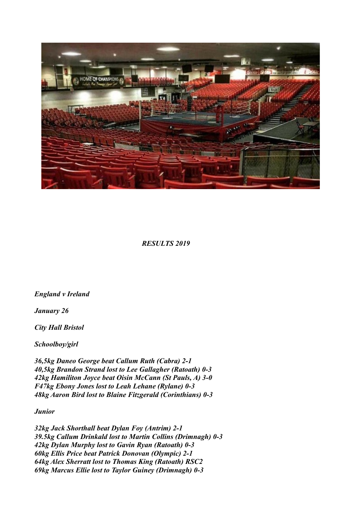

 *RESULTS 2019* 

*England v Ireland*

*January 26*

*City Hall Bristol*

*Schoolboy/girl*

*36,5kg Daneo George beat Callum Ruth (Cabra) 2-1 40,5kg Brandon Strand lost to Lee Gallagher (Ratoath) 0-3 42kg Hamiliton Joyce beat Oisin McCann (St Pauls, A) 3-0 F47kg Ebony Jones lost to Leah Lehane (Rylane) 0-3 48kg Aaron Bird lost to Blaine Fitzgerald (Corinthians) 0-3*

*Junior*

*32kg Jack Shorthall beat Dylan Foy (Antrim) 2-1 39.5kg Callum Drinkald lost to Martin Collins (Drimnagh) 0-3 42kg Dylan Murphy lost to Gavin Ryan (Ratoath) 0-3 60kg Ellis Price beat Patrick Donovan (Olympic) 2-1 64kg Alex Sherratt lost to Thomas King (Ratoath) RSC2 69kg Marcus Ellie lost to Taylor Guiney (Drimnagh) 0-3*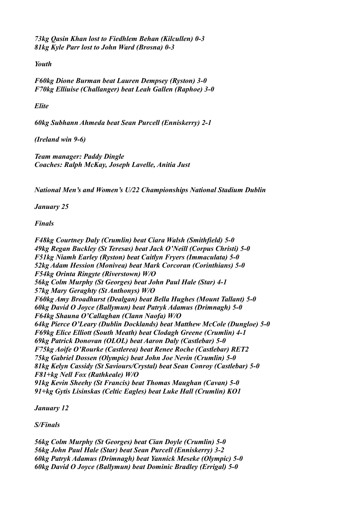*73kg Qasin Khan lost to Fiedhlem Behan (Kilcullen) 0-3 81kg Kyle Parr lost to John Ward (Brosna) 0-3*

*Youth*

*F60kg Dione Burman beat Lauren Dempsey (Ryston) 3-0 F70kg Elliuise (Challanger) beat Leah Gallen (Raphoe) 3-0*

*Elite*

*60kg Subhann Ahmeda beat Sean Purcell (Enniskerry) 2-1*

*(Ireland win 9-6)*

*Team manager: Paddy Dingle Coaches: Ralph McKay, Joseph Lavelle, Anitia Just*

*National Men's and Women's U/22 Championships National Stadium Dublin*

*January 25*

*Finals*

*F48kg Courtney Daly (Crumlin) beat Ciara Walsh (Smithfield) 5-0 49kg Regan Buckley (St Teresas) beat Jack O'Neill (Corpus Christi) 5-0 F51kg Niamh Earley (Ryston) beat Caitlyn Fryers (Immaculata) 5-0 52kg Adam Hession (Monivea) beat Mark Corcoran (Corinthians) 5-0 F54kg Orinta Ringyte (Riverstown) W/O 56kg Colm Murphy (St Georges) beat John Paul Hale (Star) 4-1 57kg Mary Geraghty (St Anthonys) W/O F60kg Amy Broadhurst (Dealgan) beat Bella Hughes (Mount Tallant) 5-0 60kg David O Joyce (Ballymun) beat Patryk Adamus (Drimnagh) 5-0 F64kg Shauna O'Callaghan (Clann Naofa) W/O 64kg Pierce O'Leary (Dublin Docklands) beat Matthew McCole (Dungloe) 5-0 F69kg Elice Elliott (South Meath) beat Clodagh Greene (Crumlin) 4-1 69kg Patrick Donovan (OLOL) beat Aaron Daly (Castlebar) 5-0 F75kg Aoife O'Rourke (Castlerea) beat Renee Roche (Castlebar) RET2 75kg Gabriel Dossen (Olympic) beat John Joe Nevin (Crumlin) 5-0 81kg Kelyn Cassidy (St Saviours/Crystal) beat Sean Conroy (Castlebar) 5-0 F81+kg Nell Fox (Rathkeale) W/O 91kg Kevin Sheehy (St Francis) beat Thomas Maughan (Cavan) 5-0 91+kg Gytis Lisinskas (Celtic Eagles) beat Luke Hall (Crumlin) KO1*

*January 12*

*S/Finals*

*56kg Colm Murphy (St Georges) beat Cian Doyle (Crumlin) 5-0 56kg John Paul Hale (Star) beat Sean Purcell (Enniskerry) 3-2 60kg Patryk Adamus (Drimnagh) beat Yannick Meseke (Olympic) 5-0 60kg David O Joyce (Ballymun) beat Dominic Bradley (Errigal) 5-0*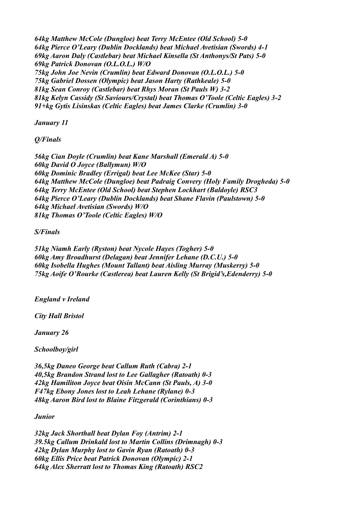*64kg Matthew McCole (Dungloe) beat Terry McEntee (Old School) 5-0 64kg Pierce O'Leary (Dublin Docklands) beat Michael Avetisian (Swords) 4-1 69kg Aaron Daly (Castlebar) beat Michael Kinsella (St Anthonys/St Pats) 5-0 69kg Patrick Donovan (O.L.O.L.) W/O 75kg John Joe Nevin (Crumlin) beat Edward Donovan (O.L.O.L.) 5-0 75kg Gabriel Dossen (Olympic) beat Jason Harty (Rathkeale) 5-0 81kg Sean Conroy (Castlebar) beat Rhys Moran (St Pauls W) 3-2 81kg Kelyn Cassidy (St Saviours/Crystal) beat Thomas O'Toole (Celtic Eagles) 3-2 91+kg Gytis Lisinskas (Celtic Eagles) beat James Clarke (Crumlin) 3-0*

*January 11*

*Q/Finals*

*56kg Cian Doyle (Crumlin) beat Kane Marshall (Emerald A) 5-0 60kg David O Joyce (Ballymun) W/O 60kg Dominic Bradley (Errigal) beat Lee McKee (Star) 5-0 64kg Matthew McCole (Dungloe) beat Padraig Convery (Holy Family Drogheda) 5-0 64kg Terry McEntee (Old School) beat Stephen Lockhart (Baldoyle) RSC3 64kg Pierce O'Leary (Dublin Docklands) beat Shane Flavin (Paulstown) 5-0 64kg Michael Avetisian (Swords) W/O 81kg Thomas O'Toole (Celtic Eagles) W/O*

*S/Finals*

*51kg Niamh Early (Ryston) beat Nycole Hayes (Togher) 5-0 60kg Amy Broadhurst (Delagan) beat Jennifer Lehane (D.C.U.) 5-0 60kg Isobella Hughes (Mount Tallant) beat Aisling Murray (Muskerry) 5-0 75kg Aoife O'Rourke (Castlerea) beat Lauren Kelly (St Brigid's,Edenderry) 5-0*

*England v Ireland*

*City Hall Bristol*

*January 26*

*Schoolboy/girl*

*36,5kg Daneo George beat Callum Ruth (Cabra) 2-1 40,5kg Brandon Strand lost to Lee Gallagher (Ratoath) 0-3 42kg Hamiliton Joyce beat Oisin McCann (St Pauls, A) 3-0 F47kg Ebony Jones lost to Leah Lehane (Rylane) 0-3 48kg Aaron Bird lost to Blaine Fitzgerald (Corinthians) 0-3*

*Junior*

*32kg Jack Shorthall beat Dylan Foy (Antrim) 2-1 39.5kg Callum Drinkald lost to Martin Collins (Drimnagh) 0-3 42kg Dylan Murphy lost to Gavin Ryan (Ratoath) 0-3 60kg Ellis Price beat Patrick Donovan (Olympic) 2-1 64kg Alex Sherratt lost to Thomas King (Ratoath) RSC2*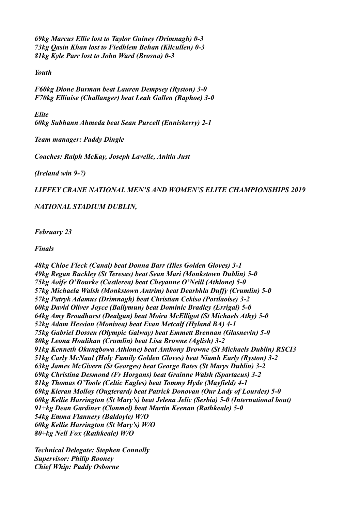*69kg Marcus Ellie lost to Taylor Guiney (Drimnagh) 0-3 73kg Qasin Khan lost to Fiedhlem Behan (Kilcullen) 0-3 81kg Kyle Parr lost to John Ward (Brosna) 0-3*

*Youth*

*F60kg Dione Burman beat Lauren Dempsey (Ryston) 3-0 F70kg Elliuise (Challanger) beat Leah Gallen (Raphoe) 3-0*

*Elite 60kg Subhann Ahmeda beat Sean Purcell (Enniskerry) 2-1*

*Team manager: Paddy Dingle*

*Coaches: Ralph McKay, Joseph Lavelle, Anitia Just*

*(Ireland win 9-7)*

*LIFFEY CRANE NATIONAL MEN'S AND WOMEN'S ELITE CHAMPIONSHIPS 2019*

*NATIONAL STADIUM DUBLIN,*

*February 23* 

*Finals*

*48kg Chloe Fleck (Canal) beat Donna Barr (Ilies Golden Gloves) 3-1 49kg Regan Buckley (St Teresas) beat Sean Mari (Monkstown Dublin) 5-0 75kg Aoife O'Rourke (Castlerea) beat Cheyanne O'Neill (Athlone) 5-0 57kg Michaela Walsh (Monkstown Antrim) beat Dearbhla Duffy (Crumlin) 5-0 57kg Patryk Adamus (Drimnagh) beat Christian Cekiso (Portlaoise) 3-2 60kg David Oliver Joyce (Ballymun) beat Dominic Bradley (Errigal) 5-0 64kg Amy Broadhurst (Dealgan) beat Moira McElligot (St Michaels Athy) 5-0 52kg Adam Hession (Monivea) beat Evan Metcalf (Hyland BA) 4-1 75kg Gabriel Dossen (Olympic Galway) beat Emmett Brennan (Glasnevin) 5-0 80kg Leona Houlihan (Crumlin) beat Lisa Browne (Aglish) 3-2 91kg Kenneth Okungbowa Athlone) beat Anthony Browne (St Michaels Dublin) RSCI3 51kg Carly McNaul (Holy Family Golden Gloves) beat Niamh Early (Ryston) 3-2 63kg James McGivern (St Georges) beat George Bates (St Marys Dublin) 3-2 69kg Christina Desmond (Fr Horgans) beat Grainne Walsh (Spartacus) 3-2 81kg Thomas O'Toole (Celtic Eagles) beat Tommy Hyde (Mayfield) 4-1 69kg Kieran Molloy (Ougterard) beat Patrick Donovan (Our Lady of Lourdes) 5-0 60kg Kellie Harrington (St Mary's) beat Jelena Jelic (Serbia) 5-0 (International bout) 91+kg Dean Gardiner (Clonmel) beat Martin Keenan (Rathkeale) 5-0 54kg Emma Flannery (Baldoyle) W/O 60kg Kellie Harrington (St Mary's) W/O 80+kg Nell Fox (Rathkeale) W/O*

*Technical Delegate: Stephen Connolly Supervisor: Philip Rooney Chief Whip: Paddy Osborne*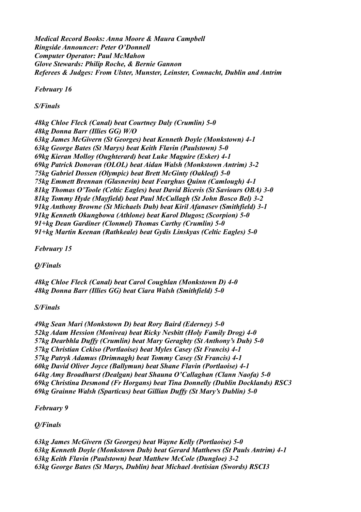*Medical Record Books: Anna Moore & Maura Campbell Ringside Announcer: Peter O'Donnell Computer Operator: Paul McMahon Glove Stewards: Philip Roche, & Bernie Gannon Referees & Judges: From Ulster, Munster, Leinster, Connacht, Dublin and Antrim*

*February 16*

*S/Finals*

*48kg Chloe Fleck (Canal) beat Courtney Daly (Crumlin) 5-0 48kg Donna Barr (Illies GG) W/O 63kg James McGivern (St Georges) beat Kenneth Doyle (Monkstown) 4-1 63kg George Bates (St Marys) beat Keith Flavin (Paulstown) 5-0 69kg Kieran Molloy (Oughterard) beat Luke Maguire (Esker) 4-1 69kg Patrick Donovan (OLOL) beat Aidan Walsh (Monkstown Antrim) 3-2 75kg Gabriel Dossen (Olympic) beat Brett McGinty (Oakleaf) 5-0 75kg Emmett Brennan (Glasnevin) beat Fearghus Quinn (Camlough) 4-1 81kg Thomas O'Toole (Celtic Eagles) beat David Bicevis (St Saviours OBA) 3-0 81kg Tommy Hyde (Mayfield) beat Paul McCullagh (St John Bosco Bel) 3-2 91kg Anthony Browne (St Michaels Dub) beat Kiril Afanasev (Smithfield) 3-1 91kg Kenneth Okungbowa (Athlone) beat Karol Dlugosz (Scorpion) 5-0 91+kg Dean Gardiner (Clonmel) Thomas Carthy (Crumlin) 5-0 91+kg Martin Keenan (Rathkeale) beat Gydis Linskyas (Celtic Eagles) 5-0*

*February 15*

*Q/Finals*

*48kg Chloe Fleck (Canal) beat Carol Coughlan (Monkstown D) 4-0 48kg Donna Barr (Illies GG) beat Ciara Walsh (Smithfield) 5-0*

*S/Finals*

*49kg Sean Mari (Monkstown D) beat Rory Baird (Ederney) 5-0 52kg Adam Hession (Monivea) beat Ricky Nesbitt (Holy Family Drog) 4-0 57kg Dearbhla Duffy (Crumlin) beat Mary Geraghty (St Anthony's Dub) 5-0 57kg Christian Cekiso (Portlaoise) beat Myles Casey (St Francis) 4-1 57kg Patryk Adamus (Drimnagh) beat Tommy Casey (St Francis) 4-1 60kg David Oliver Joyce (Ballymun) beat Shane Flavin (Portlaoise) 4-1 64kg Amy Broadhurst (Dealgan) beat Shauna O'Callaghan (Clann Naofa) 5-0 69kg Christina Desmond (Fr Horgans) beat Tina Donnelly (Dublin Docklands) RSC3 69kg Grainne Walsh (Sparticus) beat Gillian Duffy (St Mary's Dublin) 5-0*

*February 9*

*Q/Finals*

*63kg James McGivern (St Georges) beat Wayne Kelly (Portlaoise) 5-0 63kg Kenneth Doyle (Monkstown Dub) beat Gerard Matthews (St Pauls Antrim) 4-1 63kg Keith Flavin (Paulstown) beat Matthew McCole (Dungloe) 3-2 63kg George Bates (St Marys, Dublin) beat Michael Avetisian (Swords) RSCI3*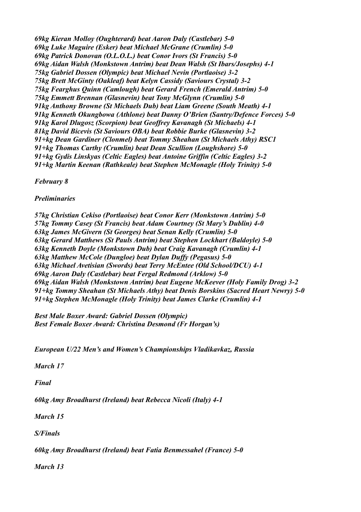*69kg Kieran Molloy (Oughterard) beat Aaron Daly (Castlebar) 5-0 69kg Luke Maguire (Esker) beat Michael McGrane (Crumlin) 5-0 69kg Patrick Donovan (O.L.O.L.) beat Conor Ivors (St Francis) 5-0 69kg Aidan Walsh (Monkstown Antrim) beat Dean Walsh (St Ibars/Josephs) 4-1 75kg Gabriel Dossen (Olympic) beat Michael Nevin (Portlaoise) 3-2 75kg Brett McGinty (Oakleaf) beat Kelyn Cassidy (Saviours Crystal) 3-2 75kg Fearghus Quinn (Camlough) beat Gerard French (Emerald Antrim) 5-0 75kg Emmett Brennan (Glasnevin) beat Tony McGlynn (Crumlin) 5-0 91kg Anthony Browne (St Michaels Dub) beat Liam Greene (South Meath) 4-1 91kg Kenneth Okungbowa (Athlone) beat Danny O'Brien (Santry/Defence Forces) 5-0 91kg Karol Dlugosz (Scorpion) beat Geoffrey Kavanagh (St Michaels) 4-1 81kg David Bicevis (St Saviours OBA) beat Robbie Burke (Glasnevin) 3-2 91+kg Dean Gardiner (Clonmel) beat Tommy Sheahan (St Michaels Athy) RSC1 91+kg Thomas Carthy (Crumlin) beat Dean Scullion (Loughshore) 5-0 91+kg Gydis Linskyas (Celtic Eagles) beat Antoine Griffin (Celtic Eagles) 3-2 91+kg Martin Keenan (Rathkeale) beat Stephen McMonagle (Holy Trinity) 5-0*

*February 8*

*Preliminaries*

*57kg Christian Cekiso (Portlaoise) beat Conor Kerr (Monkstown Antrim) 5-0 57kg Tommy Casey (St Francis) beat Adam Courtney (St Mary's Dublin) 4-0 63kg James McGivern (St Georges) beat Senan Kelly (Crumlin) 5-0 63kg Gerard Matthews (St Pauls Antrim) beat Stephen Lockhart (Baldoyle) 5-0 63kg Kenneth Doyle (Monkstown Dub) beat Craig Kavanagh (Crumlin) 4-1 63kg Matthew McCole (Dungloe) beat Dylan Duffy (Pegasus) 5-0 63kg Michael Avetisian (Swords) beat Terry McEntee (Old School/DCU) 4-1 69kg Aaron Daly (Castlebar) beat Fergal Redmond (Arklow) 5-0 69kg Aidan Walsh (Monkstown Antrim) beat Eugene McKeever (Holy Family Drog) 3-2 91+kg Tommy Sheahan (St Michaels Athy) beat Denis Borskins (Sacred Heart Newry) 5-0 91+kg Stephen McMonagle (Holy Trinity) beat James Clarke (Crumlin) 4-1*

*Best Male Boxer Award: Gabriel Dossen (Olympic) Best Female Boxer Award: Christina Desmond (Fr Horgan's)*

*European U/22 Men's and Women's Championships Vladikavkaz, Russia*

*March 17*

*Final*

*60kg Amy Broadhurst (Ireland) beat Rebecca Nicoli (Italy) 4-1*

*March 15*

*S/Finals*

*60kg Amy Broadhurst (Ireland) beat Fatia Benmessahel (France) 5-0*

*March 13*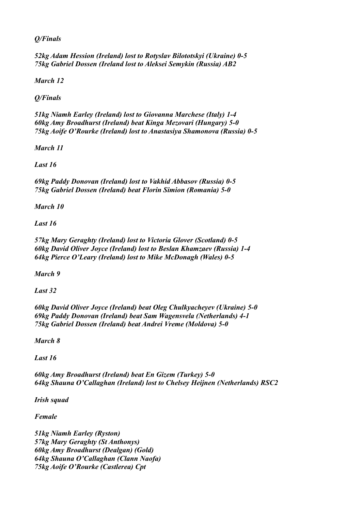*Q/Finals*

*52kg Adam Hession (Ireland) lost to Rotyslav Bilototskyi (Ukraine) 0-5 75kg Gabriel Dossen (Ireland lost to Aleksei Semykin (Russia) AB2*

*March 12*

*Q/Finals*

*51kg Niamh Earley (Ireland) lost to Giovanna Marchese (Italy) 1-4 60kg Amy Broadhurst (Ireland) beat Kinga Mezovari (Hungary) 5-0 75kg Aoife O'Rourke (Ireland) lost to Anastasiya Shamonova (Russia) 0-5*

*March 11*

*Last 16*

*69kg Paddy Donovan (Ireland) lost to Vakhid Abbasov (Russia) 0-5 75kg Gabriel Dossen (Ireland) beat Florin Simion (Romania) 5-0*

*March 10*

*Last 16*

*57kg Mary Geraghty (Ireland) lost to Victoria Glover (Scotland) 0-5 60kg David Oliver Joyce (Ireland) lost to Beslan Khamzaev (Russia) 1-4 64kg Pierce O'Leary (Ireland) lost to Mike McDonagh (Wales) 0-5*

*March 9*

*Last 32*

*60kg David Oliver Joyce (Ireland) beat Oleg Chulkyacheyev (Ukraine) 5-0 69kg Paddy Donovan (Ireland) beat Sam Wagensvela (Netherlands) 4-1 75kg Gabriel Dossen (Ireland) beat Andrei Vreme (Moldova) 5-0*

*March 8*

*Last 16*

*60kg Amy Broadhurst (Ireland) beat En Gizem (Turkey) 5-0 64kg Shauna O'Callaghan (Ireland) lost to Chelsey Heijnen (Netherlands) RSC2*

*Irish squad*

*Female*

*51kg Niamh Earley (Ryston) 57kg Mary Geraghty (St Anthonys) 60kg Amy Broadhurst (Dealgan) (Gold) 64kg Shauna O'Callaghan (Clann Naofa) 75kg Aoife O'Rourke (Castlerea) Cpt*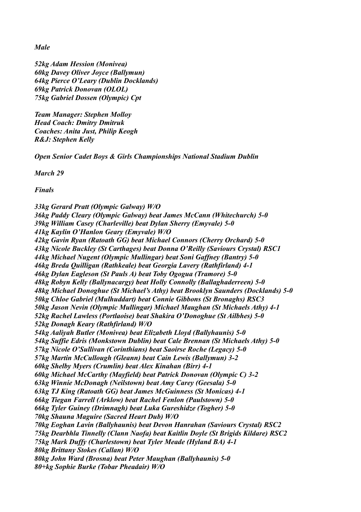*Male*

*52kg Adam Hession (Monivea) 60kg Davey Oliver Joyce (Ballymun) 64kg Pierce O'Leary (Dublin Docklands) 69kg Patrick Donovan (OLOL) 75kg Gabriel Dossen (Olympic) Cpt*

*Team Manager: Stephen Molloy Head Coach: Dmitry Dmitruk Coaches: Anita Just, Philip Keogh R&J: Stephen Kelly*

*Open Senior Cadet Boys & Girls Championships National Stadium Dublin*

*March 29*

*Finals* 

*33kg Gerard Pratt (Olympic Galway) W/O 36kg Paddy Cleary (Olympic Galway) beat James McCann (Whitechurch) 5-0 39kg William Casey (Charleville) beat Dylan Sherry (Emyvale) 5-0 41kg Kaylin O'Hanlon Geary (Emyvale) W/O 42kg Gavin Ryan (Ratoath GG) beat Michael Connors (Cherry Orchard) 5-0 43kg Nicole Buckley (St Carthages) beat Donna O'Reilly (Saviours Crystal) RSC1 44kg Michael Nugent (Olympic Mullingar) beat Soni Gaffney (Bantry) 5-0 46kg Breda Quilligan (Rathkeale) beat Georgia Lavery (Rathfirland) 4-1 46kg Dylan Eagleson (St Pauls A) beat Toby Ogogua (Tramore) 5-0 48kg Robyn Kelly (Ballynacargy) beat Holly Connolly (Ballaghaderreen) 5-0 48kg Michael Donoghue (St Michael's Athy) beat Brooklyn Saunders (Docklands) 5-0 50kg Chloe Gabriel (Mulhuddart) beat Connie Gibbons (St Bronaghs) RSC3 50kg Jason Nevin (Olympic Mullingar) Michael Maughan (St Michaels Athy) 4-1 52kg Rachel Lawless (Portlaoise) beat Shakira O'Donoghue (St Ailbhes) 5-0 52kg Donagh Keary (Rathfirland) W/O 54kg Aaliyah Butler (Monivea) beat Elizabeth Lloyd (Ballyhaunis) 5-0 54kg Suffie Edris (Monkstown Dublin) beat Cale Brennan (St Michaels Athy) 5-0 57kg Nicole O'Sullivan (Corinthians) beat Saoirse Roche (Legacy) 5-0 57kg Martin McCullough (Gleann) beat Cain Lewis (Ballymun) 3-2 60kg Shelby Myers (Crumlin) beat Alex Kinahan (Birr) 4-1 60kg Michael McCarthy (Mayfield) beat Patrick Donovan (Olympic C) 3-2 63kg Winnie McDonagh (Neilstown) beat Amy Carey (Geesala) 5-0 63kg TJ King (Ratoath GG) beat James McGuinness (St Monicas) 4-1 66kg Tiegan Farrell (Arklow) beat Rachel Fenlon (Paulstown) 5-0 66kg Tyler Guiney (Drimnagh) beat Luka Gureshidze (Togher) 5-0 70kg Shauna Maguire (Sacred Heart Dub) W/O 70kg Eoghan Lavin (Ballyhaunis) beat Devon Hanrahan (Saviours Crystal) RSC2 75kg Dearbhla Tinnelly (Clann Naofa) beat Kaitlin Doyle (St Brigids Kildare) RSC2 75kg Mark Duffy (Charlestown) beat Tyler Meade (Hyland BA) 4-1 80kg Brittany Stokes (Callan) W/O 80kg John Ward (Brosna) beat Peter Maughan (Ballyhaunis) 5-0 80+kg Sophie Burke (Tobar Pheadair) W/O*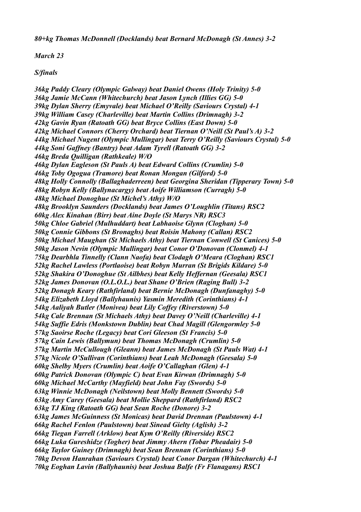*80+kg Thomas McDonnell (Docklands) beat Bernard McDonagh (St Annes) 3-2*

*March 23*

### *S/finals*

*36kg Paddy Cleary (Olympic Galway) beat Daniel Owens (Holy Trinity) 5-0 36kg Jamie McCann (Whitechurch) beat Jason Lynch (Illies GG) 5-0 39kg Dylan Sherry (Emyvale) beat Michael O'Reilly (Saviours Crystal) 4-1 39kg William Casey (Charleville) beat Martin Collins (Drimnagh) 3-2 42kg Gavin Ryan (Ratoath GG) beat Bryce Collins (East Down) 5-0 42kg Michael Connors (Cherry Orchard) beat Tiernan O'Neill (St Paul's A) 3-2 44kg Michael Nugent (Olympic Mullingar) beat Terry O'Reilly (Saviours Crystal) 5-0 44kg Soni Gaffney (Bantry) beat Adam Tyrell (Ratoath GG) 3-2 46kg Breda Quilligan (Rathkeale) W/O 46kg Dylan Eagleson (St Pauls A) beat Edward Collins (Crumlin) 5-0 46kg Toby Ogogua (Tramore) beat Ronan Mongan (Gilford) 5-0 48kg Holly Connolly (Ballaghaderreen) beat Georgina Sheridan (Tipperary Town) 5-0 48kg Robyn Kelly (Ballynacargy) beat Aoife Williamson (Curragh) 5-0 48kg Michael Donoghue (St Michel's Athy) W/O 48kg Brooklyn Saunders (Docklands) beat James O'Loughlin (Titans) RSC2 60kg Alex Kinahan (Birr) beat Aine Doyle (St Marys NR) RSC3 50kg Chloe Gabriel (Mulhuddart) beat Labhaoise Glynn (Cloghan) 5-0 50kg Connie Gibbons (St Bronaghs) beat Roisin Mahony (Callan) RSC2 50kg Michael Maughan (St Michaels Athy) beat Tiernan Conwell (St Canices) 5-0 50kg Jason Nevin (Olympic Mullingar) beat Conor O'Donovan (Clonmel) 4-1 75kg Dearbhla Tinnelly (Clann Naofa) beat Clodagh O'Meara (Cloghan) RSC1 52kg Rachel Lawless (Portlaoise) beat Robyn Murran (St Brigids Kildare) 5-0 52kg Shakira O'Donoghue (St Ailbhes) beat Kelly Heffernan (Geesala) RSC1 52kg James Donovan (O.L.O.L.) beat Shane O'Brien (Raging Bull) 3-2 52kg Donagh Keary (Rathfirland) beat Bernie McDonagh (Dunfanaghy) 5-0 54kg Elizabeth Lloyd (Ballyhaunis) Yasmin Meredith (Corinthians) 4-1 54kg Aaliyah Butler (Monivea) beat Lily Coffey (Riverstown) 5-0 54kg Cale Brennan (St Michaels Athy) beat Davey O'Neill (Charleville) 4-1 54kg Suffie Edris (Monkstown Dublin) beat Chad Magill (Glengormley 5-0 57kg Saoirse Roche (Legacy) beat Cori Gleeson (St Francis) 5-0 57kg Cain Lewis (Ballymun) beat Thomas McDonagh (Crumlin) 5-0 57kg Martin McCullough (Gleann) beat James McDonagh (St Pauls Wat) 4-1 57kg Nicole O'Sullivan (Corinthians) beat Leah McDonagh (Geesala) 5-0 60kg Shelby Myers (Crumlin) beat Aoife O'Callaghan (Glen) 4-1 60kg Patrick Donovan (Olympic C) beat Evan Kirwan (Drimnagh) 5-0 60kg Michael McCarthy (Mayfield) beat John Fay (Swords) 5-0 63kg Winnie McDonagh (Neilstown) beat Molly Bennett (Swords) 5-0 63kg Amy Carey (Geesala) beat Mollie Sheppard (Rathfirland) RSC2 63kg TJ King (Ratoath GG) beat Sean Roche (Donore) 3-2 63kg James McGuinness (St Monicas) beat David Drennan (Paulstown) 4-1 66kg Rachel Fenlon (Paulstown) beat Sinead Gielty (Aglish) 3-2 66kg Tiegan Farrell (Arklow) beat Kym O'Reilly (Riverside) RSC2 66kg Luka Gureshidze (Togher) beat Jimmy Ahern (Tobar Pheadair) 5-0 66kg Taylor Guiney (Drimnagh) beat Sean Brennan (Corinthians) 5-0 70kg Devon Hanrahan (Saviours Crystal) beat Conor Dargan (Whitechurch) 4-1 70kg Eoghan Lavin (Ballyhaunis) beat Joshua Balfe (Fr Flanagans) RSC1*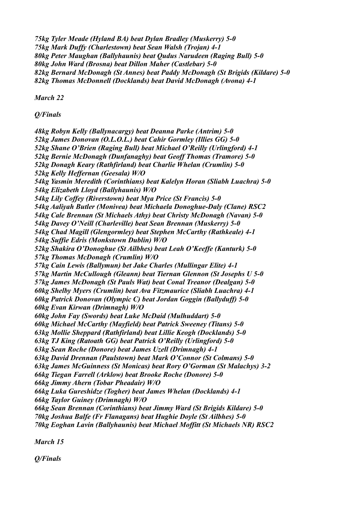*75kg Tyler Meade (Hyland BA) beat Dylan Bradley (Muskerry) 5-0 75kg Mark Duffy (Charlestown) beat Sean Walsh (Trojan) 4-1 80kg Peter Maughan (Ballyhaunis) beat Qudus Narudeen (Raging Bull) 5-0 80kg John Ward (Brosna) beat Dillon Maher (Castlebar) 5-0 82kg Bernard McDonagh (St Annes) beat Paddy McDonagh (St Brigids (Kildare) 5-0 82kg Thomas McDonnell (Docklands) beat David McDonagh (Avona) 4-1*

*March 22*

*Q/Finals*

*48kg Robyn Kelly (Ballynacargy) beat Deanna Parke (Antrim) 5-0 52kg James Donovan (O.L.O.L.) beat Cahir Gormley (Illies GG) 5-0 52kg Shane O'Brien (Raging Bull) beat Michael O'Reilly (Urlingford) 4-1 52kg Bernie McDonagh (Dunfanaghy) beat Geoff Thomas (Tramore) 5-0 52kg Donagh Keary (Rathfirland) beat Charlie Whelan (Crumlin) 5-0 52kg Kelly Heffernan (Geesala) W/O 54kg Yasmin Meredith (Corinthians) beat Kalelyn Horan (Sliabh Luachra) 5-0 54kg Elizabeth Lloyd (Ballyhaunis) W/O 54kg Lily Coffey (Riverstown) beat Mya Price (St Francis) 5-0 54kg Aaliyah Butler (Monivea) beat Michaela Donoghue-Daly (Clane) RSC2 54kg Cale Brennan (St Michaels Athy) beat Christy McDonagh (Navan) 5-0 54kg Davey O'Neill (Charleville) beat Sean Brennan (Muskerry) 5-0 54kg Chad Magill (Glengormley) beat Stephen McCarthy (Rathkeale) 4-1 54kg Suffie Edris (Monkstown Dublin) W/O 52kg Shakira O'Donoghue (St Ailbhes) beat Leah O'Keeffe (Kanturk) 5-0 57kg Thomas McDonagh (Crumlin) W/O 57kg Cain Lewis (Ballymun) bet Jake Charles (Mullingar Elite) 4-1 57kg Martin McCullough (Gleann) beat Tiernan Glennon (St Josephs U 5-0 57kg James McDonagh (St Pauls Wat) beat Conal Treanor (Dealgan) 5-0 60kg Shelby Myers (Crumlin) beat Ava Fitzmaurice (Sliabh Luachra) 4-1 60kg Patrick Donovan (Olympic C) beat Jordan Goggin (Ballyduff) 5-0 60kg Evan Kirwan (Drimnagh) W/O 60kg John Fay (Swords) beat Luke McDaid (Mulhuddart) 5-0 60kg Michael McCarthy (Mayfield) beat Patrick Sweeney (Titans) 5-0 63kg Mollie Sheppard (Rathfirland) beat Lillie Keogh (Docklands) 5-0 63kg TJ King (Ratoath GG) beat Patrick O'Reilly (Urlingford) 5-0 63kg Sean Roche (Donore) beat James Uzell (Drimnagh) 4-1 63kg David Drennan (Paulstown) beat Mark O'Connor (St Colmans) 5-0 63kg James McGuinness (St Monicas) beat Rory O'Gorman (St Malachys) 3-2 66kg Tiegan Farrell (Arklow) beat Brooke Roche (Donore) 5-0 66kg Jimmy Ahern (Tobar Pheadair) W/O 66kg Luka Gureshidze (Togher) beat James Whelan (Docklands) 4-1 66kg Taylor Guiney (Drimnagh) W/O 66kg Sean Brennan (Corinthians) beat Jimmy Ward (St Brigids Kildare) 5-0 70kg Joshua Balfe (Fr Flanagans) beat Hughie Doyle (St Ailbhes) 5-0 70kg Eoghan Lavin (Ballyhaunis) beat Michael Moffitt (St Michaels NR) RSC2*

*March 15*

*Q/Finals*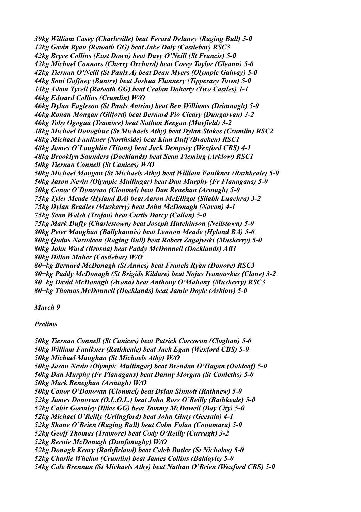*39kg William Casey (Charleville) beat Ferard Delaney (Raging Bull) 5-0 42kg Gavin Ryan (Ratoath GG) beat Jake Daly (Castlebar) RSC3 42kg Bryce Collins (East Down) beat Davy O'Neill (St Francis) 5-0 42kg Michael Connors (Cherry Orchard) beat Corey Taylor (Gleann) 5-0 42kg Tiernan O'Neill (St Pauls A) beat Dean Myers (Olympic Galway) 5-0 44kg Soni Gaffney (Bantry) beat Joshua Flannery (Tipperary Town) 5-0 44kg Adam Tyrell (Ratoath GG) beat Cealan Doherty (Two Castles) 4-1 46kg Edward Collins (Crumlin) W/O 46kg Dylan Eagleson (St Pauls Antrim) beat Ben Williams (Drimnagh) 5-0 46kg Ronan Mongan (Gilford) beat Bernard Pio Cleary (Dungarvan) 3-2 46kg Toby Ogogua (Tramore) beat Nathan Keegan (Mayfield) 3-2 48kg Michael Donoghue (St Michaels Athy) beat Dylan Stokes (Crumlin) RSC2 48kg Michael Faulkner (Northside) beat Kian Duff (Bracken) RSC1 48kg James O'Loughlin (Titans) beat Jack Dempsey (Wexford CBS) 4-1 48kg Brooklyn Saunders (Docklands) beat Sean Fleming (Arklow) RSC1 50kg Tiernan Connell (St Canices) W/O 50kg Michael Mongan (St Michaels Athy) beat William Faulkner (Rathkeale) 5-0 50kg Jason Nevin (Olympic Mullingar) beat Dan Murphy (Fr Flanagans) 5-0 50kg Conor O'Donovan (Clonmel) beat Dan Renehan (Armagh) 5-0 75kg Tyler Meade (Hyland BA) beat Aaron McElligot (Sliabh Luachra) 3-2 75kg Dylan Bradley (Muskerry) beat John McDonagh (Navan) 4-1 75kg Sean Walsh (Trojan) beat Curtis Darcy (Callan) 5-0 75kg Mark Duffy (Charlestown) beat Joseph Hutchinson (Neilstown) 5-0 80kg Peter Maughan (Ballyhaunis) beat Lennon Meade (Hyland BA) 5-0 80kg Qudus Narudeen (Raging Bull) beat Robert Zagajwski (Muskerry) 5-0 80kg John Ward (Brosna) beat Paddy McDonnell (Docklands) AB1 80kg Dillon Maher (Castlebar) W/O 80+kg Bernard McDonagh (St Annes) beat Francis Ryan (Donore) RSC3 80+kg Paddy McDonagh (St Brigids Kildare) beat Nojus Ivanouskas (Clane) 3-2 80+kg David McDonagh (Avona) beat Anthony O'Mahony (Muskerry) RSC3 80+kg Thomas McDonnell (Docklands) beat Jamie Doyle (Arklow) 5-0*

*March 9*

*Prelims*

*50kg Tiernan Connell (St Canices) beat Patrick Corcoran (Cloghan) 5-0 50kg William Faulkner (Rathkeale) beat Jack Egan (Wexford CBS) 5-0 50kg Michael Maughan (St Michaels Athy) W/O 50kg Jason Nevin (Olympic Mullingar) beat Brendan O'Hagan (Oakleaf) 5-0 50kg Dan Murphy (Fr Flanagans) beat Danny Morgan (St Conleths) 5-0 50kg Mark Reneghan (Armagh) W/O 50kg Conor O'Donovan (Clonmel) beat Dylan Sinnott (Rathnew) 5-0 52kg James Donovan (O.L.O.L.) beat John Ross O'Reilly (Rathkeale) 5-0 52kg Cahir Gormley (Illies GG) beat Tommy McDowell (Bay City) 5-0 52kg Michael O'Reilly (Urlingford) beat John Ginty (Geesala) 4-1 52kg Shane O'Brien (Raging Bull) beat Colm Folan (Conamara) 5-0 52kg Geoff Thomas (Tramore) beat Cody O'Reilly (Curragh) 3-2 52kg Bernie McDonagh (Dunfanaghy) W/O 52kg Donagh Keary (Rathfirland) beat Caleb Butler (St Nicholas) 5-0 52kg Charlie Whelan (Crumlin) beat James Collins (Baldoyle) 5-0 54kg Cale Brennan (St Michaels Athy) beat Nathan O'Brien (Wexford CBS) 5-0*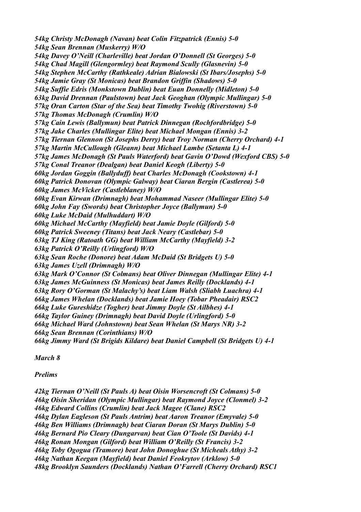*54kg Christy McDonagh (Navan) beat Colin Fitzpatrick (Ennis) 5-0 54kg Sean Brennan (Muskerry) W/O 54kg Davey O'Neill (Charleville) beat Jordan O'Donnell (St Georges) 5-0 54kg Chad Magill (Glengormley) beat Raymond Scully (Glasnevin) 5-0 54kg Stephen McCarthy (Rathkeale) Adrian Bialowski (St Ibars/Josephs) 5-0 54kg Jamie Gray (St Monicas) beat Brandon Griffin (Shadows) 5-0 54kg Suffie Edris (Monkstown Dublin) beat Euan Donnelly (Midleton) 5-0 63kg David Drennan (Paulstown) beat Jack Geoghan (Olympic Mullingar) 5-0 57kg Oran Carton (Star of the Sea) beat Timothy Twohig (Riverstown) 5-0 57kg Thomas McDonagh (Crumlin) W/O 57kg Cain Lewis (Ballymun) beat Patrick Dinnegan (Rochfordbridge) 5-0 57kg Jake Charles (Mullingar Elite) beat Michael Mongan (Ennis) 3-2 57kg Tiernan Glennon (St Josephs Derry) beat Troy Norman (Cherry Orchard) 4-1 57kg Martin McCullough (Gleann) beat Michael Lambe (Setanta L) 4-1 57kg James McDonagh (St Pauls Waterford) beat Gavin O'Dowd (Wexford CBS) 5-0 57kg Conal Treanor (Dealgan) beat Daniel Keogh (Liberty) 5-0 60kg Jordan Goggin (Ballyduff) beat Charles McDonagh (Cookstown) 4-1 60kg Patrick Donovan (Olympic Galway) beat Ciaran Bergin (Castlerea) 5-0 60kg James McVicker (Castleblaney) W/O 60kg Evan Kirwan (Drimnagh) beat Mohammad Naseer (Mullingar Elite) 5-0 60kg John Fay (Swords) beat Christopher Joyce (Ballymun) 5-0 60kg Luke McDaid (Mulhuddart) W/O 60kg Michael McCarthy (Mayfield) beat Jamie Doyle (Gilford) 5-0 60kg Patrick Sweeney (Titans) beat Jack Neary (Castlebar) 5-0 63kg TJ King (Ratoath GG) beat William McCarthy (Mayfield) 3-2 63kg Patrick O'Reilly (Urlingford) W/O 63kg Sean Roche (Donore) beat Adam McDaid (St Bridgets U) 5-0 63kg James Uzell (Drimnagh) W/O 63kg Mark O'Connor (St Colmans) beat Oliver Dinnegan (Mullingar Elite) 4-1 63kg James McGuinness (St Monicas) beat James Reilly (Docklands) 4-1 63kg Rory O'Gorman (St Malachy's) beat Liam Walsh (Sliabh Luachra) 4-1 66kg James Whelan (Docklands) beat Jamie Hoey (Tobar Pheadair) RSC2 66kg Luke Gureshidze (Togher) beat Jimmy Doyle (St Ailbhes) 4-1 66kg Taylor Guiney (Drimnagh) beat David Doyle (Urlingford) 5-0 66kg Michael Ward (Johnstown) beat Sean Whelan (St Marys NR) 3-2 66kg Sean Brennan (Corinthians) W/O 66kg Jimmy Ward (St Brigids Kildare) beat Daniel Campbell (St Bridgets U) 4-1*

*March 8*

# *Prelims*

*42kg Tiernan O'Neill (St Pauls A) beat Oisin Worsencroft (St Colmans) 5-0 46kg Oisin Sheridan (Olympic Mullingar) beat Raymond Joyce (Clonmel) 3-2 46kg Edward Collins (Crumlin) beat Jack Magee (Clane) RSC2 46kg Dylan Eagleson (St Pauls Antrim) beat Aaron Treanor (Emyvale) 5-0 46kg Ben Williams (Drimnagh) beat Ciaran Doran (St Marys Dublin) 5-0 46kg Bernard Pio Cleary (Dungarvan) beat Cian O'Toole (St Davids) 4-1 46kg Ronan Mongan (Gilford) beat William O'Reilly (St Francis) 3-2 46kg Toby Ogogua (Tramore) beat John Donoghue (St Micheals Athy) 3-2 46kg Nathan Keegan (Mayfield) beat Daniel Feokrytov (Arklow) 5-0 48kg Brooklyn Saunders (Docklands) Nathan O'Farrell (Cherry Orchard) RSC1*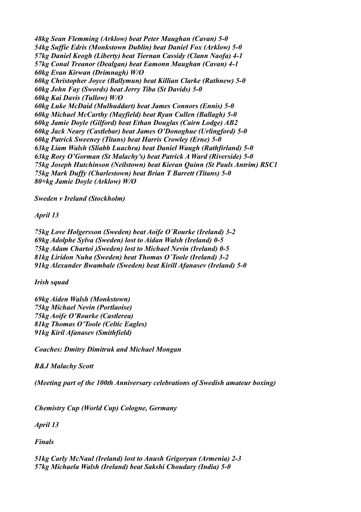*48kg Sean Flemming (Arklow) beat Peter Maughan (Cavan) 5-0 54kg Suffie Edris (Monkstown Dublin) beat Daniel Fox (Arklow) 5-0 57kg Daniel Keogh (Liberty) beat Tiernan Cassidy (Clann Naofa) 4-1 57kg Conal Treanor (Dealgan) beat Eamonn Maughan (Cavan) 4-1 60kg Evan Kirwan (Drimnagh) W/O 60kg Christopher Joyce (Ballymun) beat Killian Clarke (Rathnew) 5-0 60kg John Fay (Swords) beat Jerry Tiba (St Davids) 5-0 60kg Kai Davis (Tullow) W/O 60kg Luke McDaid (Mulhuddart) beat James Connors (Ennis) 5-0 60kg Michael McCarthy (Mayfield) beat Ryan Cullen (Ballagh) 5-0 60kg Jamie Doyle (Gilford) beat Ethan Douglas (Cairn Lodge) AB2 60kg Jack Neary (Castlebar) beat James O'Donoghue (Urlingford) 5-0 60kg Patrick Sweeney (Titans) beat Harris Crowley (Erne) 5-0 63kg Liam Walsh (Sliabh Luachra) beat Daniel Waugh (Rathfirland) 5-0 63kg Rory O'Gorman (St Malachy's) beat Patrick A Ward (Riverside) 5-0 75kg Joseph Hutchinson (Neilstown) beat Kieran Quinn (St Pauls Antrim) RSC1 75kg Mark Duffy (Charlestown) beat Brian T Barrett (Titans) 5-0 80+kg Jamie Doyle (Arklow) W/O*

*Sweden v Ireland (Stockholm)*

*April 13*

*75kg Love Holgersson (Sweden) beat Aoife O´Rourke (Ireland) 3-2 69kg Adolphe Sylva (Sweden) lost to Aidan Walsh (Ireland) 0-5 75kg Adam Chartoi )Sweden) lost to Michael Nevin (Ireland) 0-5 81kg Liridon Nuha (Sweden) beat Thomas O´Toole (Ireland) 3-2 91kg Alexander Bwambale (Sweden) beat Kirill Afanasev (Ireland) 5-0*

*Irish squad*

*69kg Aiden Walsh (Monkstown) 75kg Michael Nevin (Portlaoise) 75kg Aoife O'Rourke (Castlerea) 81kg Thomas O'Toole (Celtic Eagles) 91kg Kiril Afanasev (Smithfield)*

*Coaches: Dmitry Dimitruk and Michael Mongan*

*R&J Malachy Scott*

*(Meeting part of the 100th Anniversary celebrations of Swedish amateur boxing)*

*Chemistry Cup (World Cup) Cologne, Germany*

*April 13*

*Finals*

*51kg Carly McNaul (Ireland) lost to Anush Grigoryan (Armenia) 2-3 57kg Michaela Walsh (Ireland) beat Sakshi Choudary (India) 5-0*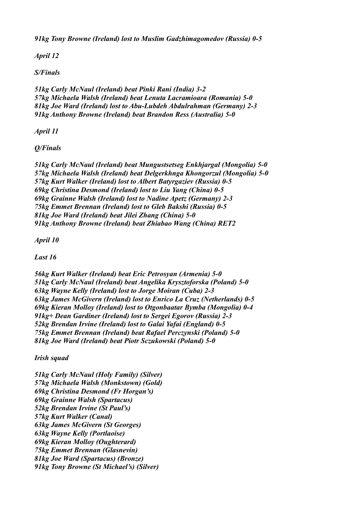*91kg Tony Browne (Ireland) lost to Muslim Gadzhimagomedov (Russia) 0-5*

*April 12*

*S/Finals*

*51kg Carly McNaul (Ireland) beat Pinki Rani (India) 3-2 57kg Michaela Walsh (Ireland) beat Lenuta Lacramioara (Romania) 5-0 81kg Joe Ward (Ireland) lost to Abu-Lubdeh Abdulrahman (Germany) 2-3 91kg Anthony Browne (Ireland) beat Brandon Ress (Australia) 5-0*

*April 11*

*Q/Finals*

*51kg Carly McNaul (Ireland) beat Mungustsetseg Enkhjargal (Mongolia) 5-0 57kg Michaela Walsh (Ireland) beat Delgerkhnga Khongorzul (Mongolia) 5-0 57kg Kurt Walker (Ireland) lost to Albert Batyrgaziev (Russia) 0-5 69kg Christina Desmond (Ireland) lost to Liu Yang (China) 0-5 69kg Grainne Walsh (Ireland) lost to Nadine Apetz (Germany) 2-3 75kg Emmet Brennan (Ireland) lost to Gleb Bakshi (Russia) 0-5 81kg Joe Ward (Ireland) beat Jilei Zhang (China) 5-0 91kg Anthony Browne (Ireland) beat Zhiabao Wang (China) RET2*

*April 10*

*Last 16*

*56kg Kurt Walker (Ireland) beat Eric Petrosyan (Armenia) 5-0 51kg Carly McNaul (Ireland) beat Angelika Krysztoforska (Poland) 5-0 63kg Wayne Kelly (Ireland) lost to Jorge Moiran (Cuba) 2-3 63kg James McGivern (Ireland) lost to Enrico La Cruz (Netherlands) 0-5 69kg Kieran Molloy (Ireland) lost to Otgonbaatar Bymba (Mongolia) 0-4 91kg+ Dean Gardiner (Ireland) lost to Sergei Egorov (Russia) 2-3 52kg Brendan Irvine (Ireland) lost to Galai Yafai (England) 0-5 75kg Emmet Brennan (Ireland) beat Rafael Perczynski (Poland) 5-0 81kg Joe Ward (Ireland) beat Piotr Sczukowski (Poland) 5-0*

*Irish squad*

*51kg Carly McNaul (Holy Family) (Silver) 57kg Michaela Walsh (Monkstown) (Gold) 69kg Christina Desmond (Fr Horgan's) 69kg Grainne Walsh (Spartacus) 52kg Brendan Irvine (St Paul's) 57kg Kurt Walker (Canal) 63kg James McGivern (St Georges) 63kg Wayne Kelly (Portlaoise) 69kg Kieran Molloy (Oughterard) 75kg Emmet Brennan (Glasnevin) 81kg Joe Ward (Spartacus) (Bronze) 91kg Tony Browne (St Michael's) (Silver)*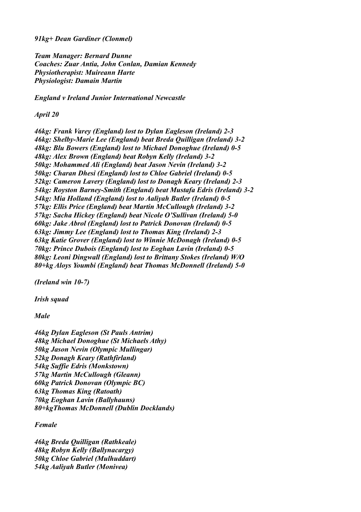*91kg+ Dean Gardiner (Clonmel)*

*Team Manager: Bernard Dunne Coaches: Zuar Antia, John Conlan, Damian Kennedy Physiotherapist: Muireann Harte Physiologist: Damain Martin*

*England v Ireland Junior International Newcastle* 

*April 20*

*46kg: Frank Varey (England) lost to Dylan Eagleson (Ireland) 2-3 46kg: Shelby-Marie Lee (England) beat Breda Quilligan (Ireland) 3-2 48kg: Blu Bowers (England) lost to Michael Donoghue (Ireland) 0-5 48kg: Alex Brown (England) beat Robyn Kelly (Ireland) 3-2 50kg: Mohammed Ali (England) beat Jason Nevin (Ireland) 3-2 50kg: Charan Dhesi (England) lost to Chloe Gabriel (Ireland) 0-5 52kg: Cameron Lavery (England) lost to Donagh Keary (Ireland) 2-3 54kg: Royston Barney-Smith (England) beat Mustafa Edris (Ireland) 3-2 54kg: Mia Holland (England) lost to Aaliyah Butler (Ireland) 0-5 57kg: Ellis Price (England) beat Martin McCullough (Ireland) 3-2 57kg: Sacha Hickey (England) beat Nicole O'Sullivan (Ireland) 5-0 60kg: Jake Abrol (England) lost to Patrick Donovan (Ireland) 0-5 63kg: Jimmy Lee (England) lost to Thomas King (Ireland) 2-3 63kg Katie Grover (England) lost to Winnie McDonagh (Ireland) 0-5 70kg: Prince Dubois (England) lost to Eoghan Lavin (Ireland) 0-5 80kg: Leoni Dingwall (England) lost to Brittany Stokes (Ireland) W/O 80+kg Aloys Youmbi (England) beat Thomas McDonnell (Ireland) 5-0*

*(Ireland win 10-7)*

*Irish squad*

*Male*

*46kg Dylan Eagleson (St Pauls Antrim) 48kg Michael Donoghue (St Michaels Athy) 50kg Jason Nevin (Olympic Mullingar) 52kg Donagh Keary (Rathfirland) 54kg Suffie Edris (Monkstown) 57kg Martin McCullough (Gleann) 60kg Patrick Donovan (Olympic BC) 63kg Thomas King (Ratoath) 70kg Eoghan Lavin (Ballyhauns) 80+kgThomas McDonnell (Dublin Docklands)*

*Female*

*46kg Breda Quilligan (Rathkeale) 48kg Robyn Kelly (Ballynacargy) 50kg Chloe Gabriel (Mulhuddart) 54kg Aaliyah Butler (Monivea)*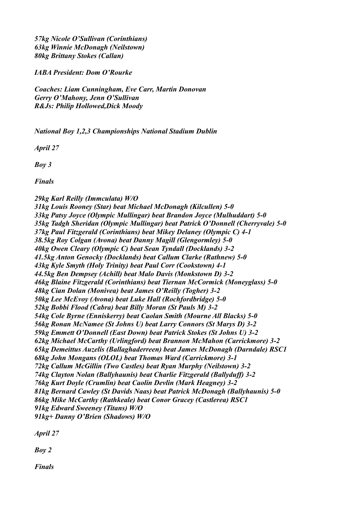*57kg Nicole O'Sullivan (Corinthians) 63kg Winnie McDonagh (Neilstown) 80kg Brittany Stokes (Callan)*

*IABA President: Dom O'Rourke*

*Coaches: Liam Cunningham, Eve Carr, Martin Donovan Gerry O'Mahony, Jenn O'Sullivan R&Js: Philip Hollowed,Dick Moody*

*National Boy 1,2,3 Championships National Stadium Dublin*

*April 27*

*Boy 3*

*Finals*

#### *29kg Karl Reilly (Immculata) W/O*

*31kg Louis Rooney (Star) beat Michael McDonagh (Kilcullen) 5-0 33kg Patsy Joyce (Olympic Mullingar) beat Brandon Joyce (Mulhuddart) 5-0 35kg Tadgh Sheridan (Olympic Mullingar) beat Patrick O'Donnell (Cherryvale) 5-0 37kg Paul Fitzgerald (Corinthians) beat Mikey Delaney (Olympic C) 4-1 38.5kg Roy Colgan (Avona) beat Danny Magill (Glengormley) 5-0 40kg Owen Cleary (Olympic C) beat Sean Tyndall (Docklands) 3-2 41.5kg Anton Genocky (Docklands) beat Callum Clarke (Rathnew) 5-0 43kg Kyle Smyth (Holy Trinity) beat Paul Corr (Cookstown) 4-1 44.5kg Ben Dempsey (Achill) beat Malo Davis (Monkstown D) 3-2 46kg Blaine Fitzgerald (Corinthians) beat Tiernan McCormick (Moneyglass) 5-0 48kg Cian Dolan (Monivea) beat James O'Reilly (Togher) 3-2 50kg Lee McEvoy (Avona) beat Luke Hall (Rochfordbridge) 5-0 52kg Bobbi Flood (Cabra) beat Billy Moran (St Pauls M) 3-2 54kg Cole Byrne (Enniskerry) beat Caolan Smith (Mourne All Blacks) 5-0 56kg Ronan McNamee (St Johns U) beat Larry Connors (St Marys D) 3-2 59kg Emmett O'Donnell (East Down) beat Patrick Stokes (St Johns U) 3-2 62kg Michael McCarthy (Urlingford) beat Brannon McMahon (Carrickmore) 3-2 65kg Demeittus Auzelis (Ballaghaderreen) beat James McDonagh (Darndale) RSC1 68kg John Mongans (OLOL) beat Thomas Ward (Carrickmore) 3-1 72kg Callum McGillin (Two Castles) beat Ryan Murphy (Neilstown) 3-2 74kg Clayton Nolan (Ballyhaunis) beat Charlie Fitzgerald (Ballyduff) 3-2 76kg Kurt Doyle (Crumlin) beat Caolin Devlin (Mark Heagney) 3-2 81kg Bernard Cawley (St Davids Naas) beat Patrick McDonagh (Ballyhaunis) 5-0 86kg Mike McCarthy (Rathkeale) beat Conor Gracey (Castlerea) RSC1 91kg Edward Sweeney (Titans) W/O 91kg+ Danny O'Brien (Shadows) W/O*

*April 27*

*Boy 2*

*Finals*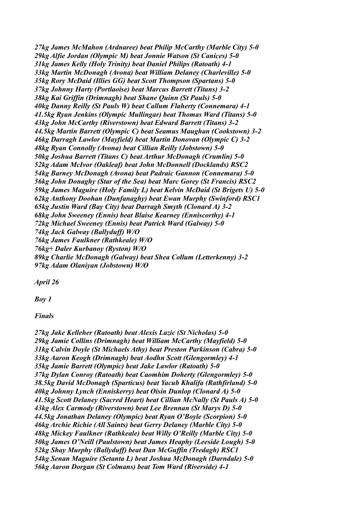*27kg James McMahon (Ardnaree) beat Philip McCarthy (Marble City) 5-0 29kg Alfie Jordan (Olympic M) beat Jonnie Watson (St Canices) 5-0 31kg James Kelly (Holy Trinity) beat Daniel Philips (Ratoath) 4-1 33kg Martin McDonagh (Avona) beat William Delaney (Charleville) 5-0 35kg Rory McDaid (Illies GG) beat Scott Thompson (Spartans) 5-0 37kg Johnny Harty (Portlaoise) beat Marcus Barrett (Titans) 3-2 38kg Kai Griffin (Drimnagh) beat Shane Quinn (St Pauls) 5-0 40kg Danny Reilly (St Pauls W) beat Callum Flaherty (Connemara) 4-1 41.5kg Ryan Jenkins (Olympic Mullingar) beat Thomas Ward (Titans) 5-0 43kg John McCarthy (Riverstown) beat Edward Barrett (Titans) 3-2 44.5kg Martin Barrett (Olympic C) beat Seamus Maughan (Cookstown) 3-2 46kg Darragh Lawlor (Mayfield) beat Martin Donovan (Olympic C) 3-2 48kg Ryan Connolly (Avona) beat Cillian Reilly (Jobstown) 5-0 50kg Joshua Barrett (Titans C) beat Arthur McDonagh (Crumlin) 5-0 52kg Adam McIvor (Oakleaf) beat John McDonnell (Docklands) RSC2 54kg Barney McDonagh (Avona) beat Padraic Gannon (Connemara) 5-0 56kg John Donaghy (Star of the Sea) beat Marc Gorey (St Francis) RSC2 59kg James Maguire (Holy Family L) beat Kelvin McDaid (St Brigets U) 5-0 62kg Anthony Doohan (Dunfanaghy) beat Ewan Murphy (Swinford) RSC1 65kg Justin Ward (Bay City) beat Darragh Smyth (Clonard A) 3-2 68kg John Sweeney (Ennis) beat Blaise Kearney (Enniscorthy) 4-1 72kg Michael Sweeney (Ennis) beat Patrick Ward (Galway) 5-0 74kg Jack Galway (Ballyduff) W/O 76kg James Faulkner (Rathkeale) W/O 76kg+ Daler Kurbanoy (Ryston) W/O 89kg Charlie McDonagh (Galway) beat Shea Collum (Letterkenny) 3-2 97kg Adam Olaniyan (Jobstown) W/O*

*April 26*

*Boy 1*

*Finals*

*27kg Jake Kelleher (Ratoath) beat Alexis Lazic (St Nicholas) 5-0 29kg Jamie Collins (Drimnagh) beat William McCarthy (Mayfield) 5-0 31kg Calvin Doyle (St Michaels Athy) beat Preston Parkinson (Cabra) 5-0 33kg Aaron Keogh (Drimnagh) beat Aodhn Scott (Glengormley) 4-1 35kg Jamie Barrett (Olympic) beat Jake Lawlor (Ratoath) 5-0 37kg Dylan Conroy (Ratoath) beat Caomhim Doherty (Glengormley) 5-0 38.5kg David McDonagh (Sparticus) beat Yacub Khalifa (Rathfirland) 5-0 40kg Johnny Lynch (Enniskerry) beat Oisin Dunlop (Clonard A) 5-0 41.5kg Scott Delaney (Sacred Heart) beat Cillian McNally (St Pauls A) 5-0 43kg Alex Carmody (Riverstown) beat Lee Brennan (St Marys D) 5-0 44.5kg Jonathan Delaney (Olympic) beat Ryan O'Boyle (Scorpion) 5-0 46kg Archie Richie (All Saints) beat Gerry Delaney (Marble City) 5-0 48kg Mickey Faulkner (Rathkeale) beat Willy O'Reilly (Marble City) 5-0 50kg James O'Neill (Paulstown) beat James Heaphy (Leeside Lough) 5-0 52kg Shay Murphy (Ballyduff) beat Dan McGuffin (Tredagh) RSC1 54kg Senan Maguire (Setanta L) beat Joshua McDonagh (Darndale) 5-0 56kg Aaron Dorgan (St Colmans) beat Tom Ward (Riverside) 4-1*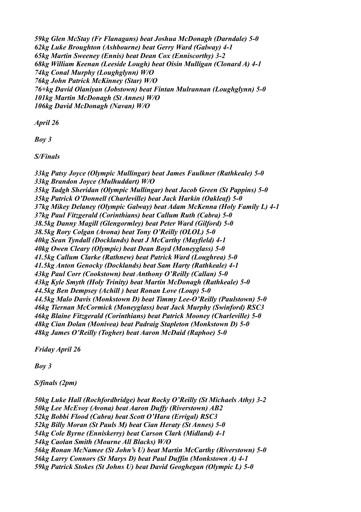*59kg Glen McStay (Fr Flanagans) beat Joshua McDonagh (Darndale) 5-0 62kg Luke Broughton (Ashbourne) beat Gerry Ward (Galway) 4-1 65kg Martin Sweeney (Ennis) beat Dean Cox (Enniscorthy) 3-2 68kg William Keenan (Leeside Lough) beat Oisin Mulligan (Clonard A) 4-1 74kg Conal Murphy (Loughglynn) W/O 76kg John Patrick McKinney (Star) W/O 76+kg David Olaniyan (Jobstown) beat Fintan Mulrannan (Loughglynn) 5-0 101kg Martin McDonagh (St Annes) W/O 106kg David McDonagh (Navan) W/O*

*April 26*

*Boy 3*

*S/Finals*

*33kg Patsy Joyce (Olympic Mullingar) beat James Faulkner (Rathkeale) 5-0 33kg Brandon Joyce (Mulhuddart) W/O 35kg Tadgh Sheridan (Olympic Mullingar) beat Jacob Green (St Pappins) 5-0 35kg Patrick O'Donnell (Charleville) beat Jack Harkin (Oakleaf) 5-0 37kg Mikey Delaney (Olympic Galway) beat Adam McKenna (Holy Family L) 4-1 37kg Paul Fitzgerald (Corinthians) beat Callum Ruth (Cabra) 5-0 38.5kg Danny Magill (Glengormley) beat Peter Ward (Gilford) 5-0 38.5kg Rory Colgan (Avona) beat Tony O'Reilly (OLOL) 5-0 40kg Sean Tyndall (Docklands) beat J McCarthy (Mayfield) 4-1 40kg Owen Cleary (Olympic) beat Dean Boyd (Moneyglass) 5-0 41.5kg Callum Clarke (Rathnew) beat Patrick Ward (Loughrea) 5-0 41.5kg Anton Genocky (Docklands) beat Sam Harty (Rathkeale) 4-1 43kg Paul Corr (Cookstown) beat Anthony O'Reilly (Callan) 5-0 43kg Kyle Smyth (Holy Trinity) beat Martin McDonagh (Rathkeale) 5-0 44.5kg Ben Dempsey (Achill ) beat Ronan Love (Loup) 5-0 44.5kg Malo Davis (Monkstown D) beat Timmy Lee-O'Reilly (Paulstown) 5-0 46kg Tiernan McCormick (Moneyglass) beat Jack Murphy (Swinford) RSC3 46kg Blaine Fitzgerald (Corinthians) beat Patrick Mooney (Charleville) 5-0 48kg Cian Dolan (Monivea) beat Padraig Stapleton (Monkstown D) 5-0 48kg James O'Reilly (Togher) beat Aaron McDaid (Raphoe) 5-0*

*Friday April 26*

*Boy 3*

*S/finals (2pm)*

*50kg Luke Hall (Rochfordbridge) beat Rocky O'Reilly (St Michaels Athy) 3-2 50kg Lee McEvoy (Avona) beat Aaron Duffy (Riverstown) AB2 52kg Bobbi Flood (Cabra) beat Scott O'Hara (Errigal) RSC3 52kg Billy Moran (St Pauls M) beat Cian Heraty (St Annes) 5-0 54kg Cole Byrne (Enniskerry) beat Carson Clark (Midland) 4-1 54kg Caolan Smith (Mourne All Blacks) W/O 56kg Ronan McNamee (St John's U) beat Martin McCarthy (Riverstown) 5-0 56kg Larry Connors (St Marys D) beat Paul Duffin (Monkstown A) 4-1 59kg Patrick Stokes (St Johns U) beat David Geoghegan (Olympic L) 5-0*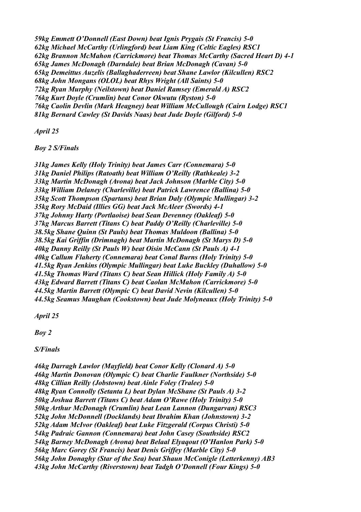*59kg Emmett O'Donnell (East Down) beat Ignis Prygais (St Francis) 5-0 62kg Michael McCarthy (Urlingford) beat Liam King (Celtic Eagles) RSC1 62kg Brannon McMahon (Carrickmore) beat Thomas McCarthy (Sacred Heart D) 4-1 65kg James McDonagh (Darndale) beat Brian McDonagh (Cavan) 5-0 65kg Demeittus Auzelis (Ballaghaderreen) beat Shane Lawlor (Kilcullen) RSC2 68kg John Mongans (OLOL) beat Rhys Wright (All Saints) 5-0 72kg Ryan Murphy (Neilstown) beat Daniel Ramsey (Emerald A) RSC2 76kg Kurt Doyle (Crumlin) beat Conor Okwutu (Ryston) 5-0 76kg Caolin Devlin (Mark Heagney) beat William McCullough (Cairn Lodge) RSC1 81kg Bernard Cawley (St Davids Naas) beat Jude Doyle (Gilford) 5-0*

*April 25*

*Boy 2 S/Finals*

*31kg James Kelly (Holy Trinity) beat James Carr (Connemara) 5-0 31kg Daniel Philips (Ratoath) beat William O'Reilly (Rathkeale) 3-2 33kg Martin McDonagh (Avona) beat Jack Johnson (Marble City) 5-0 33kg William Delaney (Charleville) beat Patrick Lawrence (Ballina) 5-0 35kg Scott Thompson (Spartans) beat Brian Daly (Olympic Mullingar) 3-2 35kg Rory McDaid (Illies GG) beat Jack McAleer (Swords) 4-1 37kg Johnny Harty (Portlaoise) beat Sean Devenney (Oakleaf) 5-0 37kg Marcus Barrett (Titans C) beat Paddy O'Reilly (Charleville) 5-0 38.5kg Shane Quinn (St Pauls) beat Thomas Muldoon (Ballina) 5-0 38.5kg Kai Griffin (Drimnagh) beat Martin McDonagh (St Marys D) 5-0 40kg Danny Reilly (St Pauls W) beat Oisin McCann (St Pauls A) 4-1 40kg Callum Flaherty (Connemara) beat Conal Burns (Holy Trinity) 5-0 41.5kg Ryan Jenkins (Olympic Mullingar) beat Luke Buckley (Duhallow) 5-0 41.5kg Thomas Ward (Titans C) beat Sean Hillick (Holy Family A) 5-0 43kg Edward Barrett (Titans C) beat Caolan McMahon (Carrickmore) 5-0 44.5kg Martin Barrett (Olympic C) beat David Nevin (Kilcullen) 5-0 44.5kg Seamus Maughan (Cookstown) beat Jude Molyneaux (Holy Trinity) 5-0*

*April 25*

*Boy 2*

*S/Finals*

*46kg Darragh Lawlor (Mayfield) beat Conor Kelly (Clonard A) 5-0 46kg Martin Donovan (Olympic C) beat Charlie Faulkner (Northside) 5-0 48kg Cillian Reilly (Jobstown) beat Ainle Foley (Tralee) 5-0 48kg Ryan Connolly (Setanta L) beat Dylan McShane (St Pauls A) 3-2 50kg Joshua Barrett (Titans C) beat Adam O'Rawe (Holy Trinity) 5-0 50kg Arthur McDonagh (Crumlin) beat Lean Lannon (Dungarvan) RSC3 52kg John McDonnell (Docklands) beat Ibrahim Khan (Johnstown) 3-2 52kg Adam McIvor (Oakleaf) beat Luke Fitzgerald (Corpus Christi) 5-0 54kg Padraic Gannon (Connemara) beat John Casey (Southside) RSC2 54kg Barney McDonagh (Avona) beat Belaal Elyaqout (O'Hanlon Park) 5-0 56kg Marc Gorey (St Francis) beat Denis Griffey (Marble City) 5-0 56kg John Donaghy (Star of the Sea) beat Shaun McConigle (Letterkenny) AB3 43kg John McCarthy (Riverstown) beat Tadgh O'Donnell (Four Kings) 5-0*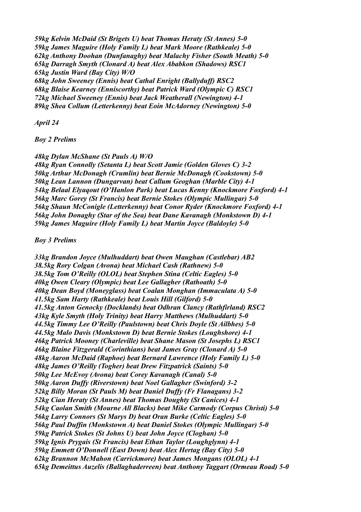*59kg Kelvin McDaid (St Brigets U) beat Thomas Heraty (St Annes) 5-0 59kg James Maguire (Holy Family L) beat Mark Moore (Rathkeale) 5-0 62kg Anthony Doohan (Dunfanaghy) beat Malachy Fisher (South Meath) 5-0 65kg Darragh Smyth (Clonard A) beat Alex Ababkon (Shadows) RSC1 65kg Justin Ward (Bay City) W/O 68kg John Sweeney (Ennis) beat Cathal Enright (Ballyduff) RSC2*

*68kg Blaise Kearney (Enniscorthy) beat Patrick Ward (Olympic C) RSC1 72kg Michael Sweeney (Ennis) beat Jack Weatherall (Newington) 4-1 89kg Shea Collum (Letterkenny) beat Eoin McAdorney (Newington) 5-0*

#### *April 24*

### *Boy 2 Prelims*

### *48kg Dylan McShane (St Pauls A) W/O*

*48kg Ryan Connolly (Setanta L) beat Scott Jamie (Golden Gloves C) 3-2 50kg Arthur McDonagh (Crumlin) beat Bernie McDonagh (Cookstown) 5-0 50kg Lean Lannon (Dungarvan) beat Callum Geoghan (Marble City) 4-1 54kg Belaal Elyaqout (O'Hanlon Park) beat Lucas Kenny (Knockmore Foxford) 4-1 56kg Marc Gorey (St Francis) beat Bernie Stokes (Olympic Mullingar) 5-0 56kg Shaun McConigle (Letterkenny) beat Conor Ryder (Knockmore Foxford) 4-1 56kg John Donaghy (Star of the Sea) beat Dane Kavanagh (Monkstown D) 4-1 59kg James Maguire (Holy Family L) beat Martin Joyce (Baldoyle) 5-0*

#### *Boy 3 Prelims*

*33kg Brandon Joyce (Mulhuddart) beat Owen Maughan (Castlebar) AB2 38.5kg Rory Colgan (Avona) beat Michael Cash (Rathnew) 5-0 38.5kg Tom O'Reilly (OLOL) beat Stephen Stina (Celtic Eagles) 5-0 40kg Owen Cleary (Olympic) beat Lee Gallagher (Rathoath) 5-0 40kg Dean Boyd (Moneyglass) beat Coalan Monghan (Immaculata A) 5-0 41.5kg Sam Harty (Rathkeale) beat Louis Hill (Gilford) 5-0 41.5kg Anton Genocky (Docklands) beat Odhran Clancy (Rathfirland) RSC2 43kg Kyle Smyth (Holy Trinity) beat Harry Matthews (Mulhuddart) 5-0 44.5kg Timmy Lee O'Reilly (Paulstown) beat Chris Doyle (St Ailbhes) 5-0 44.5kg Malo Davis (Monkstown D) beat Bernie Stokes (Loughshore) 4-1 46kg Patrick Mooney (Charleville) beat Shane Mason (St Josephs L) RSC1 46kg Blaine Fitzgerald (Corinthians) beat James Gray (Clonard A) 5-0 48kg Aaron McDaid (Raphoe) beat Bernard Lawrence (Holy Family L) 5-0 48kg James O'Reilly (Togher) beat Drew Fitzpatrick (Saints) 5-0 50kg Lee McEvoy (Avona) beat Corey Kavanagh (Canal) 5-0 50kg Aaron Duffy (Riverstown) beat Noel Gallagher (Swinford) 3-2 52kg Billy Moran (St Pauls M) beat Daniel Duffy (Fr Flanagans) 3-2 52kg Cian Heraty (St Annes) beat Thomas Doughty (St Canices) 4-1 54kg Caolan Smith (Mourne All Blacks) beat Mike Carmody (Corpus Christi) 5-0 56kg Larry Connors (St Marys D) beat Oran Burke (Celtic Eagles) 5-0 56kg Paul Duffin (Monkstown A) beat Daniel Stokes (Olympic Mullingar) 5-0 59kg Patrick Stokes (St Johns U) beat John Joyce (Cloghan) 5-0 59kg Ignis Prygais (St Francis) beat Ethan Taylor (Loughglynn) 4-1 59kg Emmett O'Donnell (East Down) beat Alex Hertag (Bay City) 5-0 62kg Brannon McMahon (Carrickmore) beat James Mongans (OLOL) 4-1 65kg Demeittus Auzelis (Ballaghaderreen) beat Anthony Taggart (Ormeau Road) 5-0*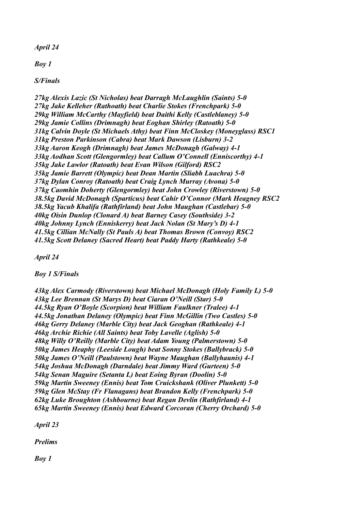*April 24*

*Boy 1*

*S/Finals*

*27kg Alexis Lazic (St Nicholas) beat Darragh McLaughlin (Saints) 5-0 27kg Jake Kelleher (Rathoath) beat Charlie Stokes (Frenchpark) 5-0 29kg William McCarthy (Mayfield) beat Daithi Kelly (Castleblaney) 5-0 29kg Jamie Collins (Drimnagh) beat Eoghan Shirley (Ratoath) 5-0 31kg Calvin Doyle (St Michaels Athy) beat Finn McCloskey (Moneyglass) RSC1 31kg Preston Parkinson (Cabra) beat Mark Dawson (Lisburn) 3-2 33kg Aaron Keogh (Drimnagh) beat James McDonagh (Galway) 4-1 33kg Aodhan Scott (Glengormley) beat Callum O'Connell (Enniscorthy) 4-1 35kg Jake Lawlor (Ratoath) beat Evan Wilson (Gilford) RSC2 35kg Jamie Barrett (Olympic) beat Dean Martin (Sliabh Luachra) 5-0 37kg Dylan Conroy (Ratoath) beat Craig Lynch Murray (Avona) 5-0 37kg Caomhin Doherty (Glengormley) beat John Crowley (Riverstown) 5-0 38.5kg David McDonagh (Sparticus) beat Cahir O'Connor (Mark Heagney RSC2 38.5kg Yacub Khalifa (Rathfirland) beat John Maughan (Castlebar) 5-0 40kg Oisin Dunlop (Clonard A) beat Barney Casey (Southside) 3-2 40kg Johnny Lynch (Enniskerry) beat Jack Nolan (St Mary's D) 4-1 41.5kg Cillian McNally (St Pauls A) beat Thomas Brown (Convoy) RSC2 41.5kg Scott Delaney (Sacred Heart) beat Paddy Harty (Rathkeale) 5-0*

*April 24*

*Boy 1 S/Finals*

*43kg Alex Carmody (Riverstown) beat Michael McDonagh (Holy Family L) 5-0 43kg Lee Brennan (St Marys D) beat Ciaran O'Neill (Star) 5-0 44.5kg Ryan O'Boyle (Scorpion) beat William Faulkner (Tralee) 4-1 44.5kg Jonathan Delaney (Olympic) beat Finn McGillin (Two Castles) 5-0 46kg Gerry Delaney (Marble City) beat Jack Geoghan (Rathkeale) 4-1 46kg Archie Richie (All Saints) beat Toby Lavelle (Aglish) 5-0 48kg Willy O'Reilly (Marble City) beat Adam Young (Palmerstown) 5-0 50kg James Heaphy (Leeside Lough) beat Sonny Stokes (Ballybrack) 5-0 50kg James O'Neill (Paulstown) beat Wayne Maughan (Ballyhaunis) 4-1 54kg Joshua McDonagh (Darndale) beat Jimmy Ward (Gurteen) 5-0 54kg Senan Maguire (Setanta L) beat Eoing Byran (Doolin) 5-0 59kg Martin Sweeney (Ennis) beat Tom Cruickshank (Oliver Plunkett) 5-0 59kg Glen McStay (Fr Flanagans) beat Brandon Kelly (Frenchpark) 5-0 62kg Luke Broughton (Ashbourne) beat Regan Devlin (Rathfirland) 4-1 65kg Martin Sweeney (Ennis) beat Edward Corcoran (Cherry Orchard) 5-0*

*April 23*

*Prelims*

*Boy 1*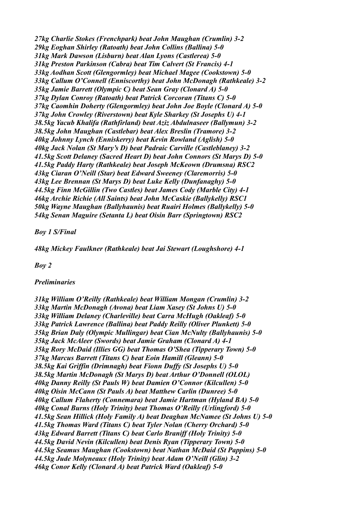*27kg Charlie Stokes (Frenchpark) beat John Maughan (Crumlin) 3-2 29kg Eoghan Shirley (Ratoath) beat John Collins (Ballina) 5-0 31kg Mark Dawson (Lisburn) beat Alan Lyons (Castlerea) 5-0 31kg Preston Parkinson (Cabra) beat Tim Calvert (St Francis) 4-1 33kg Aodhan Scott (Glengormley) beat Michael Magee (Cookstown) 5-0 33kg Callum O'Connell (Enniscorthy) beat John McDonagh (Rathkeale) 3-2 35kg Jamie Barrett (Olympic C) beat Sean Gray (Clonard A) 5-0 37kg Dylan Conroy (Ratoath) beat Patrick Corcoran (Titans C) 5-0 37kg Caomhin Doherty (Glengormley) beat John Joe Boyle (Clonard A) 5-0 37kg John Crowley (Riverstown) beat Kyle Sharkey (St Josephs U) 4-1 38.5kg Yacub Khalifa (Rathfirland) beat Aziz Abdulnaseer (Ballymun) 3-2 38.5kg John Maughan (Castlebar) beat Alex Breslin (Tramore) 3-2 40kg Johnny Lynch (Enniskerry) beat Kevin Rowland (Aglish) 5-0 40kg Jack Nolan (St Mary's D) beat Padraic Carville (Castleblaney) 3-2 41.5kg Scott Delaney (Sacred Heart D) beat John Connors (St Marys D) 5-0 41.5kg Paddy Harty (Rathkeale) beat Joseph McKeown (Drumsna) RSC2 43kg Ciaran O'Neill (Star) beat Edward Sweeney (Claremorris) 5-0 43kg Lee Brennan (St Marys D) beat Luke Kelly (Dunfanaghy) 5-0 44.5kg Finn McGillin (Two Castles) beat James Cody (Marble City) 4-1 46kg Archie Richie (All Saints) beat John McCaskie (Ballykelly) RSC1 50kg Wayne Maughan (Ballyhaunis) beat Ruairi Holmes (Ballykelly) 5-0 54kg Senan Maguire (Setanta L) beat Oisin Barr (Springtown) RSC2*

*Boy 1 S/Final*

*48kg Mickey Faulkner (Rathkeale) beat Jai Stewart (Loughshore) 4-1*

*Boy 2*

#### *Preliminaries*

*31kg William O'Reilly (Rathkeale) beat William Mongan (Crumlin) 3-2 33kg Martin McDonagh (Avona) beat Liam Xasey (St Johns U) 5-0 33kg William Delaney (Charleville) beat Carra McHugh (Oakleaf) 5-0 33kg Patrick Lawrence (Ballina) beat Paddy Reilly (Oliver Plunkett) 5-0 35kg Brian Daly (Olympic Mullingar) beat Cian McNulty (Ballyhaunis) 5-0 35kg Jack McAleer (Swords) beat Jamie Graham (Clonard A) 4-1 35kg Rory McDaid (Illies GG) beat Thomas O'Shea (Tipperary Town) 5-0 37kg Marcus Barrett (Titans C) beat Eoin Hamill (Gleann) 5-0 38.5kg Kai Griffin (Drimnagh) beat Fionn Duffy (St Josephs U) 5-0 38.5kg Martin McDonagh (St Marys D) beat Arthur O'Donnell (OLOL) 40kg Danny Reilly (St Pauls W) beat Damien O'Connor (Kilcullen) 5-0 40kg Oisin McCann (St Pauls A) beat Matthew Carlin (Dunree) 5-0 40kg Callum Flaherty (Connemara) beat Jamie Hartman (Hyland BA) 5-0 40kg Conal Burns (Holy Trinity) beat Thomas O'Reilly (Urlingford) 5-0 41.5kg Sean Hillick (Holy Family A) beat Deaghan McNamee (St Johns U) 5-0 41.5kg Thomas Ward (Titans C) beat Tyler Nolan (Cherry Orchard) 5-0 43kg Edward Barrett (Titans C) beat Carlo Braniff (Holy Trinity) 5-0 44.5kg David Nevin (Kilcullen) beat Denis Ryan (Tipperary Town) 5-0 44.5kg Seamus Maughan (Cookstown) beat Nathan McDaid (St Pappins) 5-0 44.5kg Jude Molyneaux (Holy Trinity) beat Adam O'Neill (Glin) 3-2 46kg Conor Kelly (Clonard A) beat Patrick Ward (Oakleaf) 5-0*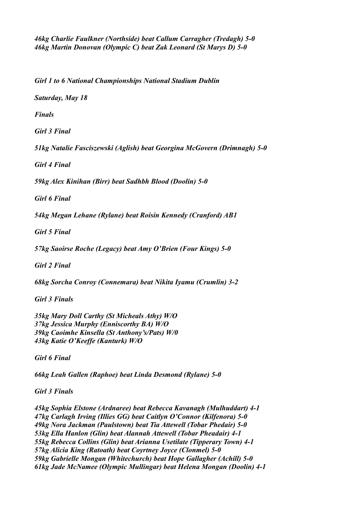*46kg Charlie Faulkner (Northside) beat Callum Carragher (Tredagh) 5-0 46kg Martin Donovan (Olympic C) beat Zak Leonard (St Marys D) 5-0*

*Girl 1 to 6 National Championships National Stadium Dublin*

*Saturday, May 18*

*Finals*

*Girl 3 Final*

*51kg Natalie Fasciszewski (Aglish) beat Georgina McGovern (Drimnagh) 5-0*

*Girl 4 Final*

*59kg Alex Kinihan (Birr) beat Sadhbh Blood (Doolin) 5-0*

*Girl 6 Final*

*54kg Megan Lehane (Rylane) beat Roisin Kennedy (Cranford) AB1*

*Girl 5 Final*

*57kg Saoirse Roche (Legacy) beat Amy O'Brien (Four Kings) 5-0*

*Girl 2 Final*

*68kg Sorcha Conroy (Connemara) beat Nikita Iyamu (Crumlin) 3-2*

*Girl 3 Finals*

*35kg Mary Doll Carthy (St Micheals Athy) W/O 37kg Jessica Murphy (Enniscorthy BA) W/O 39kg Caoimhe Kinsella (St Anthony's/Pats) W/0 43kg Katie O'Keeffe (Kanturk) W/O*

*Girl 6 Final*

*66kg Leah Gallen (Raphoe) beat Linda Desmond (Rylane) 5-0*

*Girl 3 Finals*

*45kg Sophia Elstone (Ardnaree) beat Rebecca Kavanagh (Mulhuddart) 4-1 47kg Carlagh Irving (Illies GG) beat Caitlyn O'Connor (Kilfenora) 5-0 49kg Nora Jackman (Paulstown) beat Tia Attewell (Tobar Phedair) 5-0 53kg Ella Hanlon (Glin) beat Alannah Attewell (Tobar Pheadair) 4-1 55kg Rebecca Collins (Glin) beat Arianna Usetilate (Tipperary Town) 4-1 57kg Alicia King (Ratoath) beat Coyrtney Joyce (Clonmel) 5-0 59kg Gabrielle Mongan (Whitechurch) beat Hope Gallagher (Achill) 5-0 61kg Jade McNamee (Olympic Mullingar) beat Helena Mongan (Doolin) 4-1*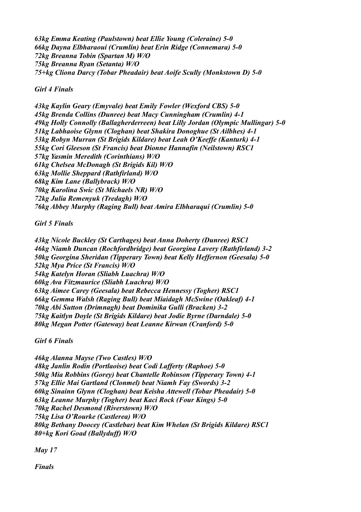*63kg Emma Keating (Paulstown) beat Ellie Young (Coleraine) 5-0 66kg Dayna Elbharaoui (Crumlin) beat Erin Ridge (Connemara) 5-0 72kg Breanna Tobin (Spartan M) W/O 75kg Breanna Ryan (Setanta) W/O 75+kg Cliona Darcy (Tobar Pheadair) beat Aoife Scully (Monkstown D) 5-0*

*Girl 4 Finals*

*43kg Kaylin Geary (Emyvale) beat Emily Fowler (Wexford CBS) 5-0 45kg Brenda Collins (Dunree) beat Macy Cunningham (Crumlin) 4-1 49kg Holly Connolly (Ballagherderreen) beat Lilly Jordan (Olympic Mullingar) 5-0 51kg Labhaoise Glynn (Cloghan) beat Shakira Donoghue (St Ailbhes) 4-1 53kg Robyn Murran (St Brigids Kildare) beat Leah O'Keeffe (Kanturk) 4-1 55kg Cori Gleeson (St Francis) beat Dionne Hannafin (Neilstown) RSC1 57kg Yasmin Meredith (Corinthians) W/O 61kg Chelsea McDonagh (St Brigids Kil) W/O 63kg Mollie Sheppard (Rathfirland) W/O 68kg Kim Lane (Ballybrack) W/O 70kg Karolina Swic (St Michaels NR) W/O 72kg Julia Remenyuk (Tredagh) W/O 76kg Abbey Murphy (Raging Bull) beat Amira Elbharaqui (Crumlin) 5-0*

*Girl 5 Finals*

*43kg Nicole Buckley (St Carthages) beat Anna Doherty (Dunree) RSC1 46kg Niamh Duncan (Rochfordbridge) beat Georgina Lavery (Rathfirland) 3-2 50kg Georgina Sheridan (Tipperary Town) beat Kelly Heffernon (Geesala) 5-0 52kg Mya Price (St Francis) W/O 54kg Katelyn Horan (Sliabh Luachra) W/O 60kg Ava Fitzmaurice (Sliabh Luachra) W/O 63kg Aimee Carey (Geesala) beat Rebecca Hennessy (Togher) RSC1 66kg Gemma Walsh (Raging Bull) beat Miaidagh McSwine (Oakleaf) 4-1 70kg Abi Sutton (Drimnagh) beat Dominika Gulli (Bracken) 3-2 75kg Kaitlyn Doyle (St Brigids Kildare) beat Jodie Byrne (Darndale) 5-0 80kg Megan Potter (Gateway) beat Leanne Kirwan (Cranford) 5-0*

*Girl 6 Finals*

*46kg Alanna Mayse (Two Castles) W/O 48kg Janlin Rodin (Portlaoise) beat Codi Lafferty (Raphoe) 5-0 50kg Mia Robbins (Gorey) beat Chantelle Robinson (Tipperary Town) 4-1 57kg Ellie Mai Gartland (Clonmel) beat Niamh Fay (Swords) 3-2 60kg Sinainn Glynn (Cloghan) beat Keisha Attewell (Tobar Pheadair) 5-0 63kg Leanne Murphy (Togher) beat Kaci Rock (Four Kings) 5-0 70kg Rachel Desmond (Riverstown) W/O 75kg Lisa O'Rourke (Castlerea) W/O 80kg Bethany Doocey (Castlebar) beat Kim Whelan (St Brigids Kildare) RSC1 80+kg Kori Goad (Ballyduff) W/O*

*May 17*

*Finals*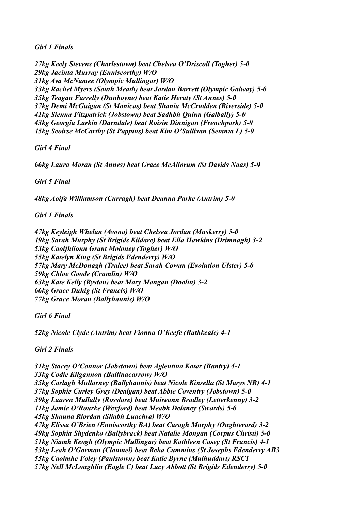*Girl 1 Finals*

*27kg Keely Stevens (Charlestown) beat Chelsea O'Driscoll (Togher) 5-0 29kg Jacinta Murray (Enniscorthy) W/O 31kg Ava McNamee (Olympic Mullingar) W/O 33kg Rachel Myers (South Meath) beat Jordan Barrett (Olympic Galway) 5-0 35kg Teagan Farrelly (Dunboyne) beat Katie Heraty (St Annes) 5-0 37kg Demi McGuigan (St Monicas) beat Shania McCrudden (Riverside) 5-0 41kg Sienna Fitzpatrick (Jobstown) beat Sadhbh Quinn (Galbally) 5-0 43kg Georgia Larkin (Darndale) beat Roisin Dinnigan (Frenchpark) 5-0 45kg Seoirse McCarthy (St Pappins) beat Kim O'Sullivan (Setanta L) 5-0*

*Girl 4 Final*

*66kg Laura Moran (St Annes) beat Grace McAllorum (St Davids Naas) 5-0*

*Girl 5 Final*

*48kg Aoifa Williamson (Curragh) beat Deanna Parke (Antrim) 5-0*

*Girl 1 Finals*

*47kg Keyleigh Whelan (Avona) beat Chelsea Jordan (Muskerry) 5-0 49kg Sarah Murphy (St Brigids Kildare) beat Ella Hawkins (Drimnagh) 3-2 53kg Caoifhlionn Grant Moloney (Togher) W/O 55kg Katelyn King (St Brigids Edenderry) W/O 57kg Mary McDonagh (Tralee) beat Sarah Cowan (Evolution Ulster) 5-0 59kg Chloe Goode (Crumlin) W/O 63kg Kate Kelly (Ryston) beat Mary Mongan (Doolin) 3-2 66kg Grace Duhig (St Francis) W/O 77kg Grace Moran (Ballyhaunis) W/O*

*Girl 6 Final*

*52kg Nicole Clyde (Antrim) beat Fionna O'Keefe (Rathkeale) 4-1*

*Girl 2 Finals*

*31kg Stacey O'Connor (Jobstown) beat Aglentina Kotar (Bantry) 4-1 33kg Codie Kilgannon (Ballinacarrow) W/O 35kg Carlagh Mullarney (Ballyhaunis) beat Nicole Kinsella (St Marys NR) 4-1 37kg Sophie Curley Gray (Dealgan) beat Abbie Coventry (Jobstown) 5-0 39kg Lauren Mullally (Rosslare) beat Muireann Bradley (Letterkenny) 3-2 41kg Jamie O'Rourke (Wexford) beat Meabh Delaney (Swords) 5-0 45kg Shauna Riordan (Sliabh Luachra) W/O 47kg Elissa O'Brien (Enniscorthy BA) beat Caragh Murphy (Oughterard) 3-2 49kg Sophia Shydenko (Ballybrack) beat Natalie Mongan (Corpus Christi) 5-0 51kg Niamh Keogh (Olympic Mullingar) beat Kathleen Casey (St Francis) 4-1 53kg Leah O'Gorman (Clonmel) beat Reka Cummins (St Josephs Edenderry AB3 55kg Caoimhe Foley (Paulstown) beat Katie Byrne (Mulhuddart) RSC1 57kg Nell McLoughlin (Eagle C) beat Lucy Abbott (St Brigids Edenderry) 5-0*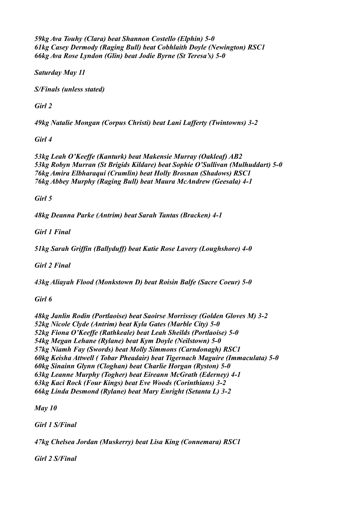*59kg Ava Touhy (Clara) beat Shannon Costello (Elphin) 5-0 61kg Casey Dermody (Raging Bull) beat Cobhlaith Doyle (Newington) RSC1 66kg Ava Rose Lyndon (Glin) beat Jodie Byrne (St Teresa's) 5-0*

*Saturday May 11*

*S/Finals (unless stated)*

*Girl 2*

*49kg Natalie Mongan (Corpus Christi) beat Lani Lafferty (Twintowns) 3-2*

*Girl 4*

*53kg Leah O'Keeffe (Kanturk) beat Makensie Murray (Oakleaf) AB2 53kg Robyn Murran (St Brigids Kildare) beat Sophie O'Sullivan (Mulhuddart) 5-0 76kg Amira Elbharaqui (Crumlin) beat Holly Brosnan (Shadows) RSC1 76kg Abbey Murphy (Raging Bull) beat Maura McAndrew (Geesala) 4-1*

*Girl 5*

*48kg Deanna Parke (Antrim) beat Sarah Tantas (Bracken) 4-1*

*Girl 1 Final*

*51kg Sarah Griffin (Ballyduff) beat Katie Rose Lavery (Loughshore) 4-0*

*Girl 2 Final*

*43kg Aliayah Flood (Monkstown D) beat Roisin Balfe (Sacre Coeur) 5-0*

*Girl 6*

*48kg Janlin Rodin (Portlaoise) beat Saoirse Morrissey (Golden Gloves M) 3-2 52kg Nicole Clyde (Antrim) beat Kyla Gates (Marble City) 5-0 52kg Fiona O'Keeffe (Rathkeale) beat Leah Sheilds (Portlaoise) 5-0 54kg Megan Lehane (Rylane) beat Kym Doyle (Neilstown) 5-0 57kg Niamh Fay (Swords) beat Molly Simmons (Carndonagh) RSC1 60kg Keisha Attwell ( Tobar Pheadair) beat Tigernach Maguire (Immaculata) 5-0 60kg Sinainn Glynn (Cloghan) beat Charlie Horgan (Ryston) 5-0 63kg Leanne Murphy (Togher) beat Eireann McGrath (Ederney) 4-1 63kg Kaci Rock (Four Kings) beat Eve Woods (Corinthians) 3-2 66kg Linda Desmond (Rylane) beat Mary Enright (Setanta L) 3-2*

*May 10*

*Girl 1 S/Final*

*47kg Chelsea Jordan (Muskerry) beat Lisa King (Connemara) RSC1*

*Girl 2 S/Final*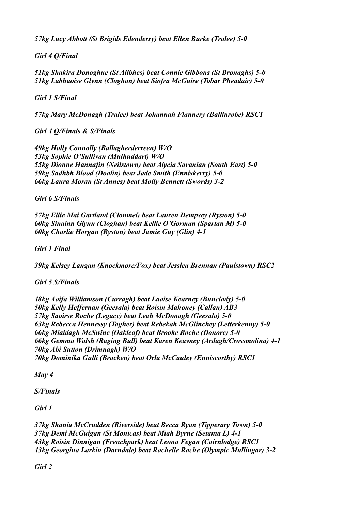*57kg Lucy Abbott (St Brigids Edenderry) beat Ellen Burke (Tralee) 5-0*

*Girl 4 Q/Final*

*51kg Shakira Donoghue (St Ailbhes) beat Connie Gibbons (St Bronaghs) 5-0 51kg Labhaoise Glynn (Cloghan) beat Siofra McGuire (Tobar Pheadair) 5-0*

*Girl 1 S/Final*

*57kg Mary McDonagh (Tralee) beat Johannah Flannery (Ballinrobe) RSC1*

*Girl 4 Q/Finals & S/Finals*

*49kg Holly Connolly (Ballagherderreen) W/O 53kg Sophie O'Sullivan (Mulhuddart) W/O 55kg Dionne Hannafin (Neilstown) beat Alycia Savanian (South East) 5-0 59kg Sadhbh Blood (Doolin) beat Jade Smith (Enniskerry) 5-0 66kg Laura Moran (St Annes) beat Molly Bennett (Swords) 3-2*

*Girl 6 S/Finals*

*57kg Ellie Mai Gartland (Clonmel) beat Lauren Dempsey (Ryston) 5-0 60kg Sinainn Glynn (Cloghan) beat Kellie O'Gorman (Spartan M) 5-0 60kg Charlie Horgan (Ryston) beat Jamie Guy (Glin) 4-1*

*Girl 1 Final*

*39kg Kelsey Langan (Knockmore/Fox) beat Jessica Brennan (Paulstown) RSC2*

*Girl 5 S/Finals*

*48kg Aoifa Williamson (Curragh) beat Laoise Kearney (Bunclody) 5-0 50kg Kelly Heffernan (Geesala) beat Roisin Mahoney (Callan) AB3 57kg Saoirse Roche (Legacy) beat Leah McDonagh (Geesala) 5-0 63kg Rebecca Hennessy (Togher) beat Rebekah McGlinchey (Letterkenny) 5-0 66kg Miaidagh McSwine (Oakleaf) beat Brooke Roche (Donore) 5-0 66kg Gemma Walsh (Raging Bull) beat Karen Keavney (Ardagh/Crossmolina) 4-1 70kg Abi Sutton (Drimnagh) W/O 70kg Dominika Gulli (Bracken) beat Orla McCauley (Enniscorthy) RSC1*

*May 4*

*S/Finals*

*Girl 1*

*37kg Shania McCrudden (Riverside) beat Becca Ryan (Tipperary Town) 5-0 37kg Demi McGuigan (St Monicas) beat Miah Byrne (Setanta L) 4-1 43kg Roisin Dinnigan (Frenchpark) beat Leona Fegan (Cairnlodge) RSC1 43kg Georgina Larkin (Darndale) beat Rochelle Roche (Olympic Mullingar) 3-2*

*Girl 2*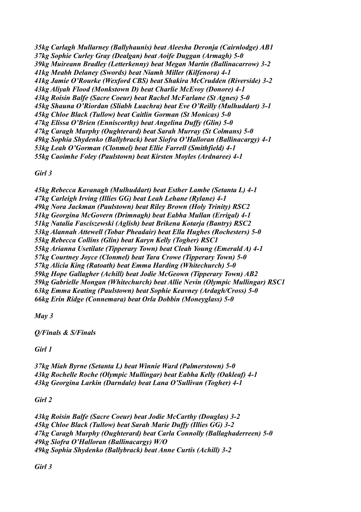*35kg Carlagh Mullarney (Ballyhaunis) beat Aleesha Deronja (Cairnlodge) AB1 37kg Sophie Curley Gray (Dealgan) beat Aoife Duggan (Armagh) 5-0 39kg Muireann Bradley (Letterkenny) beat Megan Martin (Ballinacarrow) 3-2 41kg Meabh Delaney (Swords) beat Niamh Miller (Kilfenora) 4-1 41kg Jamie O'Rourke (Wexford CBS) beat Shakira McCrudden (Riverside) 3-2 43kg Aliyah Flood (Monkstown D) beat Charlie McEvoy (Donore) 4-1 43kg Roisin Balfe (Sacre Coeur) beat Rachel McFarlane (St Agnes) 5-0 45kg Shauna O'Riordan (Sliabh Luachra) beat Eve O'Reilly (Mulhuddart) 3-1 45kg Chloe Black (Tullow) beat Caitlin Gorman (St Monicas) 5-0 47kg Elissa O'Brien (Enniscorthy) beat Angelina Duffy (Glin) 5-0 47kg Caragh Murphy (Oughterard) beat Sarah Murray (St Colmans) 5-0 49kg Sophia Shydenko (Ballybrack) beat Siofra O'Halloran (Ballinacargy) 4-1 53kg Leah O'Gorman (Clonmel) beat Ellie Farrell (Smithfield) 4-1 55kg Caoimhe Foley (Paulstown) beat Kirsten Moyles (Ardnaree) 4-1*

*Girl 3*

*45kg Rebecca Kavanagh (Mulhuddart) beat Esther Lambe (Setanta L) 4-1 47kg Carleigh Irving (Illies GG) beat Leah Lehane (Rylane) 4-1 49kg Nora Jackman (Paulstown) beat Riley Brown (Holy Trinity) RSC2 51kg Georgina McGovern (Drimnagh) beat Eabha Mullan (Errigal) 4-1 51kg Natalia Fasciszewski (Aglish) beat Brikena Kotarja (Bantry) RSC2 53kg Alannah Attewell (Tobar Pheadair) beat Ella Hughes (Rochesters) 5-0 55kg Rebecca Collins (Glin) beat Karyn Kelly (Togher) RSC1 55kg Arianna Usetilate (Tipperary Town) beat Cleah Young (Emerald A) 4-1 57kg Courtney Joyce (Clonmel) beat Tara Crowe (Tipperary Town) 5-0 57kg Alicia King (Ratoath) beat Emma Harding (Whitechurch) 5-0 59kg Hope Gallagher (Achill) beat Jodie McGeown (Tipperary Town) AB2 59kg Gabrielle Mongan (Whitechurch) beat Allie Nevin (Olympic Mullingar) RSC1 63kg Emma Keating (Paulstown) beat Sophie Keavney (Ardagh/Cross) 5-0 66kg Erin Ridge (Connemara) beat Orla Dobbin (Moneyglass) 5-0*

*May 3*

*Q/Finals & S/Finals*

*Girl 1*

*37kg Miah Byrne (Setanta L) beat Winnie Ward (Palmerstown) 5-0 43kg Rochelle Roche (Olympic Mullingar) beat Eabha Kelly (Oakleaf) 4-1 43kg Georgina Larkin (Darndale) beat Lana O'Sullivan (Togher) 4-1*

*Girl 2*

*43kg Roisin Balfe (Sacre Coeur) beat Jodie McCarthy (Douglas) 3-2 45kg Chloe Black (Tullow) beat Sarah Marie Duffy (Illies GG) 3-2 47kg Caragh Murphy (Oughterard) beat Carla Connolly (Ballaghaderreen) 5-0 49kg Siofra O'Halloran (Ballinacargy) W/O 49kg Sophia Shydenko (Ballybrack) beat Anne Curtis (Achill) 3-2*

*Girl 3*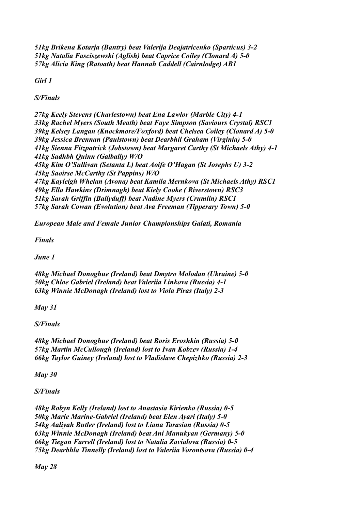*51kg Brikena Kotarja (Bantry) beat Valerija Deajatricenko (Sparticus) 3-2 51kg Natalia Fasciszewski (Aglish) beat Caprice Coiley (Clonard A) 5-0 57kg Alicia King (Ratoath) beat Hannah Caddell (Cairnlodge) AB1*

*Girl 1*

*S/Finals*

*27kg Keely Stevens (Charlestown) beat Ena Lawlor (Marble City) 4-1 33kg Rachel Myers (South Meath) beat Faye Simpson (Saviours Crystal) RSC1 39kg Kelsey Langan (Knockmore/Foxford) beat Chelsea Coiley (Clonard A) 5-0 39kg Jessica Brennan (Paulstown) beat Dearbhil Graham (Virginia) 5-0 41kg Sienna Fitzpatrick (Jobstown) beat Margaret Carthy (St Michaels Athy) 4-1 41kg Sadhbh Quinn (Galbally) W/O 45kg Kim O'Sullivan (Setanta L) beat Aoife O'Hagan (St Josephs U) 3-2 45kg Saoirse McCarthy (St Pappins) W/O 47kg Kayleigh Whelan (Avona) beat Kamila Mernkova (St Michaels Athy) RSC1 49kg Ella Hawkins (Drimnagh) beat Kiely Cooke ( Riverstown) RSC3 51kg Sarah Griffin (Ballyduff) beat Nadine Myers (Crumlin) RSC1 57kg Sarah Cowan (Evolution) beat Ava Freeman (Tipperary Town) 5-0*

*European Male and Female Junior Championships Galati, Romania*

*Finals*

*June 1*

*48kg Michael Donoghue (Ireland) beat Dmytro Molodan (Ukraine) 5-0 50kg Chloe Gabriel (Ireland) beat Valeriia Linkova (Russia) 4-1 63kg Winnie McDonagh (Ireland) lost to Viola Piras (Italy) 2-3*

*May 31*

*S/Finals*

*48kg Michael Donoghue (Ireland) beat Boris Eroshkin (Russia) 5-0 57kg Martin McCullough (Ireland) lost to Ivan Kobzev (Russia) 1-4 66kg Taylor Guiney (Ireland) lost to Vladislave Chepizhko (Russia) 2-3*

*May 30*

*S/Finals*

*48kg Robyn Kelly (Ireland) lost to Anastasia Kirienko (Russia) 0-5 50kg Marie Marine-Gabriel (Ireland) beat Elen Ayari (Italy) 5-0 54kg Aaliyah Butler (Ireland) lost to Liana Tarasian (Russia) 0-5 63kg Winnie McDonagh (Ireland) beat Ani Manukyan (Germany) 5-0 66kg Tiegan Farrell (Ireland) lost to Natalia Zavialova (Russia) 0-5 75kg Dearbhla Tinnelly (Ireland) lost to Valeriia Vorontsova (Russia) 0-4*

*May 28*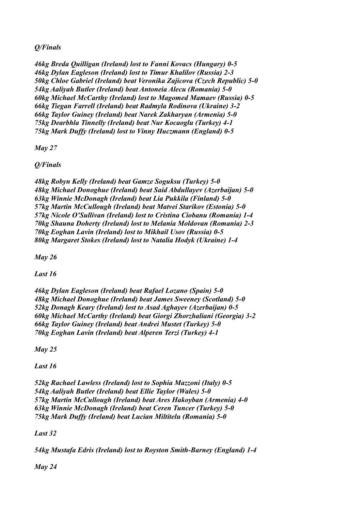# *Q/Finals*

*46kg Breda Quilligan (Ireland) lost to Fanni Kovacs (Hungary) 0-5 46kg Dylan Eagleson (Ireland) lost to Timur Khalilov (Russia) 2-3 50kg Chloe Gabriel (Ireland) beat Veronika Zajicova (Czech Republic) 5-0 54kg Aaliyah Butler (Ireland) beat Antoneia Alecu (Romania) 5-0 60kg Michael McCarthy (Ireland) lost to Magomed Mamaev (Russia) 0-5 66kg Tiegan Farrell (Ireland) beat Radmyla Rodinova (Ukraine) 3-2 66kg Taylor Guiney (Ireland) beat Narek Zakharyan (Armenia) 5-0 75kg Dearbhla Tinnelly (Ireland) beat Nur Kocaoglu (Turkey) 4-1 75kg Mark Duffy (Ireland) lost to Vinny Huczmann (England) 0-5*

*May 27*

*Q/Finals*

*48kg Robyn Kelly (Ireland) beat Gamze Soguksu (Turkey) 5-0 48kg Michael Donoghue (Ireland) beat Said Abdullayev (Azerbaijan) 5-0 63kg Winnie McDonagh (Ireland) beat Lia Pukkila (Finland) 5-0 57kg Martin McCullough (Ireland) beat Matvei Starikov (Estonia) 5-0 57kg Nicole O'Sullivan (Ireland) lost to Cristina Ciobanu (Romania) 1-4 70kg Shauna Doherty (Ireland) lost to Melania Moldovan (Romania) 2-3 70kg Eoghan Lavin (Ireland) lost to Mikhail Usov (Russia) 0-5 80kg Margaret Stokes (Ireland) lost to Natalia Hodyk (Ukraine) 1-4*

*May 26*

*Last 16*

*46kg Dylan Eagleson (Ireland) beat Rafael Lozano (Spain) 5-0 48kg Michael Donoghue (Ireland) beat James Sweeney (Scotland) 5-0 52kg Donagh Keary (Ireland) lost to Asad Aghayev (Azerbaijan) 0-5 60kg Michael McCarthy (Ireland) beat Giorgi Zhorzhaliani (Georgia) 3-2 66kg Taylor Guiney (Ireland) beat Andrei Mustet (Turkey) 5-0 70kg Eoghan Lavin (Ireland) beat Alperen Terzi (Turkey) 4-1*

*May 25*

*Last 16*

*52kg Rachael Lawless (Ireland) lost to Sophia Mazzoni (Italy) 0-5 54kg Aaliyah Butler (Ireland) beat Ellie Taylor (Wales) 5-0 57kg Martin McCullough (Ireland) beat Ares Hakoyban (Armenia) 4-0 63kg Winnie McDonagh (Ireland) beat Ceren Tuncer (Turkey) 5-0 75kg Mark Duffy (Ireland) beat Lucian Miltitelu (Romania) 5-0*

*Last 32*

*54kg Mustafa Edris (Ireland) lost to Royston Smith-Barney (England) 1-4*

*May 24*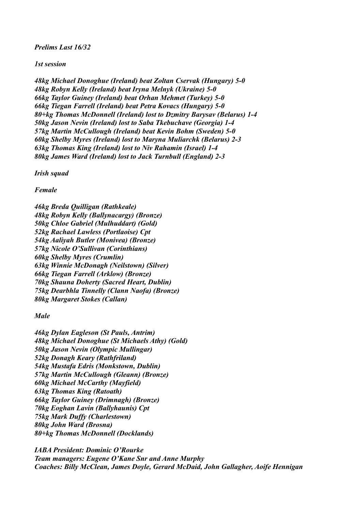*Prelims Last 16/32*

*1st session*

*48kg Michael Donoghue (Ireland) beat Zoltan Cservak (Hungary) 5-0 48kg Robyn Kelly (Ireland) beat Iryna Melnyk (Ukraine) 5-0 66kg Taylor Guiney (Ireland) beat Orhan Mehmet (Turkey) 5-0 66kg Tiegan Farrell (Ireland) beat Petra Kovacs (Hungary) 5-0 80+kg Thomas McDonnell (Ireland) lost to Dzmitry Barysav (Belarus) 1-4 50kg Jason Nevin (Ireland) lost to Saba Tkebuchave (Georgia) 1-4 57kg Martin McCullough (Ireland) beat Kevin Bohm (Sweden) 5-0 60kg Shelby Myres (Ireland) lost to Maryna Muliarchk (Belarus) 2-3 63kg Thomas King (Ireland) lost to Niv Rahamin (Israel) 1-4 80kg James Ward (Ireland) lost to Jack Turnbull (England) 2-3*

*Irish squad*

*Female*

*46kg Breda Quilligan (Rathkeale) 48kg Robyn Kelly (Ballynacargy) (Bronze) 50kg Chloe Gabriel (Mulhuddart) (Gold) 52kg Rachael Lawless (Portlaoise) Cpt 54kg Aaliyah Butler (Monivea) (Bronze) 57kg Nicole O'Sullivan (Corinthians) 60kg Shelby Myres (Crumlin) 63kg Winnie McDonagh (Neilstown) (Silver) 66kg Tiegan Farrell (Arklow) (Bronze) 70kg Shauna Doherty (Sacred Heart, Dublin) 75kg Dearbhla Tinnelly (Clann Naofa) (Bronze) 80kg Margaret Stokes (Callan)*

*Male*

*46kg Dylan Eagleson (St Pauls, Antrim) 48kg Michael Donoghue (St Michaels Athy) (Gold) 50kg Jason Nevin (Olympic Mullingar) 52kg Donagh Keary (Rathfriland) 54kg Mustafa Edris (Monkstown, Dublin) 57kg Martin McCullough (Gleann) (Bronze) 60kg Michael McCarthy (Mayfield) 63kg Thomas King (Ratoath) 66kg Taylor Guiney (Drimnagh) (Bronze) 70kg Eoghan Lavin (Ballyhaunis) Cpt 75kg Mark Duffy (Charlestown) 80kg John Ward (Brosna) 80+kg Thomas McDonnell (Docklands)*

*IABA President: Dominic O'Rourke Team managers: Eugene O'Kane Snr and Anne Murphy Coaches: Billy McClean, James Doyle, Gerard McDaid, John Gallagher, Aoife Hennigan*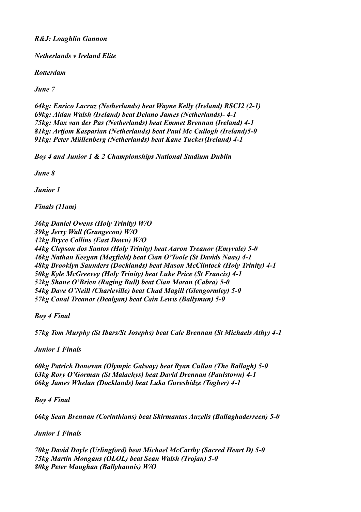## *R&J: Loughlin Gannon*

*Netherlands v Ireland Elite*

*Rotterdam*

*June 7*

*64kg: Enrico Lacruz (Netherlands) beat Wayne Kelly (Ireland) RSCI2 (2-1) 69kg: Aidan Walsh (Ireland) beat Delano James (Netherlands)- 4-1 75kg: Max van der Pas (Netherlands) beat Emmet Brennan (Ireland) 4-1 81kg: Artjom Kasparian (Netherlands) beat Paul Mc Cullogh (Ireland)5-0 91kg: Peter Müllenberg (Netherlands) beat Kane Tucker(Ireland) 4-1*

*Boy 4 and Junior 1 & 2 Championships National Stadium Dublin*

*June 8*

*Junior 1*

*Finals (11am)*

*36kg Daniel Owens (Holy Trinity) W/O 39kg Jerry Wall (Grangecon) W/O 42kg Bryce Collins (East Down) W/O 44kg Clepson dos Santos (Holy Trinity) beat Aaron Treanor (Emyvale) 5-0 46kg Nathan Keegan (Mayfield) beat Cian O'Toole (St Davids Naas) 4-1 48kg Brooklyn Saunders (Docklands) beat Mason McClintock (Holy Trinity) 4-1 50kg Kyle McGreevey (Holy Trinity) beat Luke Price (St Francis) 4-1 52kg Shane O'Brien (Raging Bull) beat Cian Moran (Cabra) 5-0 54kg Dave O'Neill (Charleville) beat Chad Magill (Glengormley) 5-0 57kg Conal Treanor (Dealgan) beat Cain Lewis (Ballymun) 5-0*

*Boy 4 Final*

*57kg Tom Murphy (St Ibars/St Josephs) beat Cale Brennan (St Michaels Athy) 4-1*

*Junior 1 Finals*

*60kg Patrick Donovan (Olympic Galway) beat Ryan Cullan (The Ballagh) 5-0 63kg Rory O'Gorman (St Malachys) beat David Drennan (Paulstown) 4-1 66kg James Whelan (Docklands) beat Luka Gureshidze (Togher) 4-1*

*Boy 4 Final*

*66kg Sean Brennan (Corinthians) beat Skirmantas Auzelis (Ballaghaderreen) 5-0*

*Junior 1 Finals*

*70kg David Doyle (Urlingford) beat Michael McCarthy (Sacred Heart D) 5-0 75kg Martin Mongans (OLOL) beat Sean Walsh (Trojan) 5-0 80kg Peter Maughan (Ballyhaunis) W/O*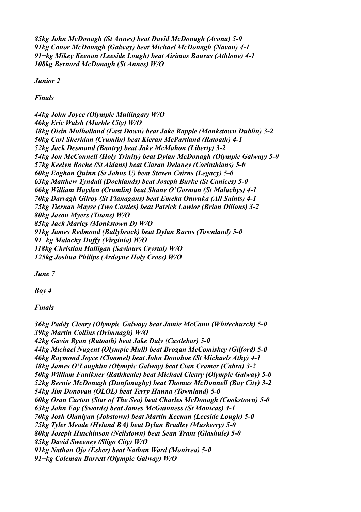*85kg John McDonagh (St Annes) beat David McDonagh (Avona) 5-0 91kg Conor McDonagh (Galway) beat Michael McDonagh (Navan) 4-1 91+kg Mikey Keenan (Leeside Lough) beat Airimas Bauras (Athlone) 4-1 108kg Bernard McDonagh (St Annes) W/O*

*Junior 2*

*Finals*

*44kg John Joyce (Olympic Mullingar) W/O 46kg Eric Walsh (Marble City) W/O 48kg Oisin Mulholland (East Down) beat Jake Rapple (Monkstown Dublin) 3-2 50kg Carl Sheridan (Crumlin) beat Kieran McPartland (Ratoath) 4-1 52kg Jack Desmond (Bantry) beat Jake McMahon (Liberty) 3-2 54kg Jon McConnell (Holy Trinity) beat Dylan McDonagh (Olympic Galway) 5-0 57kg Keelyn Roche (St Aidans) beat Ciaran Delaney (Corinthians) 5-0 60kg Eoghan Quinn (St Johns U) beat Steven Cairns (Legacy) 5-0 63kg Matthew Tyndall (Docklands) beat Joseph Burke (St Canices) 5-0 66kg William Hayden (Crumlin) beat Shane O'Gorman (St Malachys) 4-1 70kg Darragh Gilroy (St Flanagans) beat Emeka Onwuka (All Saints) 4-1 75kg Tiernan Mayse (Two Castles) beat Patrick Lawlor (Brian Dillons) 3-2 80kg Jason Myers (Titans) W/O 85kg Jack Marley (Monkstown D) W/O 91kg James Redmond (Ballybrack) beat Dylan Burns (Townland) 5-0 91+kg Malachy Duffy (Virginia) W/O 118kg Christian Halligan (Saviours Crystal) W/O 125kg Joshua Philips (Ardoyne Holy Cross) W/O*

*June 7*

*Boy 4*

*Finals*

*36kg Paddy Cleary (Olympic Galway) beat Jamie McCann (Whitechurch) 5-0 39kg Martin Collins (Drimnagh) W/O 42kg Gavin Ryan (Ratoath) beat Jake Daly (Castlebar) 5-0 44kg Michael Nugent (Olympic Mull) beat Brogan McComiskey (Gilford) 5-0 46kg Raymond Joyce (Clonmel) beat John Donohoe (St Michaels Athy) 4-1 48kg James O'Loughlin (Olympic Galway) beat Cian Cramer (Cabra) 3-2 50kg William Faulkner (Rathkeale) beat Michael Cleary (Olympic Galway) 5-0 52kg Bernie McDonagh (Dunfanaghy) beat Thomas McDonnell (Bay City) 3-2 54kg Jim Donovan (OLOL) beat Terry Hanna (Townland) 5-0 60kg Oran Carton (Star of The Sea) beat Charles McDonagh (Cookstown) 5-0 63kg John Fay (Swords) beat James McGuinness (St Monicas) 4-1 70kg Josh Olaniyan (Jobstown) beat Martin Keenan (Leeside Lough) 5-0 75kg Tyler Meade (Hyland BA) beat Dylan Bradley (Muskerry) 5-0 80kg Joseph Hutchinson (Neilstown) beat Sean Trant (Glashule) 5-0 85kg David Sweeney (Sligo City) W/O 91kg Nathan Ojo (Esker) beat Nathan Ward (Monivea) 5-0 91+kg Coleman Barrett (Olympic Galway) W/O*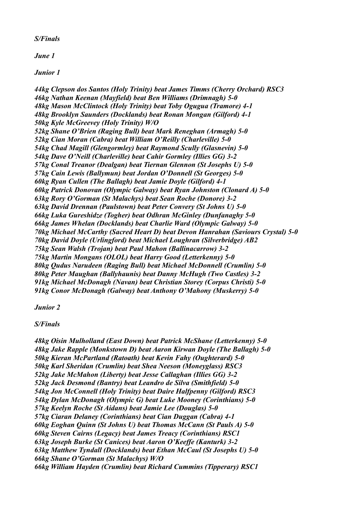## *S/Finals*

*June 1*

*Junior 1*

*44kg Clepson dos Santos (Holy Trinity) beat James Timms (Cherry Orchard) RSC3 46kg Nathan Keenan (Mayfield) beat Ben Williams (Drimnagh) 5-0 48kg Mason McClintock (Holy Trinity) beat Toby Ogugua (Tramore) 4-1 48kg Brooklyn Saunders (Docklands) beat Ronan Mongan (Gilford) 4-1 50kg Kyle McGreevey (Holy Trinity) W/O 52kg Shane O'Brien (Raging Bull) beat Mark Reneghan (Armagh) 5-0 52kg Cian Moran (Cabra) beat William O'Reilly (Charleville) 5-0 54kg Chad Magill (Glengormley) beat Raymond Scully (Glasnevin) 5-0 54kg Dave O'Neill (Charleville) beat Cahir Gormley (Illies GG) 3-2 57kg Conal Treanor (Dealgan) beat Tiernan Glennon (St Josephs U) 5-0 57kg Cain Lewis (Ballymun) beat Jordan O'Donnell (St Georges) 5-0 60kg Ryan Cullen (The Ballagh) beat Jamie Doyle (Gilford) 4-1 60kg Patrick Donovan (Olympic Galway) beat Ryan Johnston (Clonard A) 5-0 63kg Rory O'Gorman (St Malachys) beat Sean Roche (Donore) 3-2 63kg David Drennan (Paulstown) beat Peter Convery (St Johns U) 5-0 66kg Luka Gureshidze (Togher) beat Odhran McGinley (Dunfanaghy 5-0 66kg James Whelan (Docklands) beat Charlie Ward (Olympic Galway) 5-0 70kg Michael McCarthy (Sacred Heart D) beat Devon Hanrahan (Saviours Crystal) 5-0 70kg David Doyle (Urlingford) beat Michael Loughran (Silverbridge) AB2 75kg Sean Walsh (Trojan) beat Paul Mahon (Ballinacarrow) 3-2 75kg Martin Mongans (OLOL) beat Harry Good (Letterkenny) 5-0 80kg Qudus Narudeen (Raging Bull) beat Michael McDonnell (Crumlin) 5-0 80kg Peter Maughan (Ballyhaunis) beat Danny McHugh (Two Castles) 3-2 91kg Michael McDonagh (Navan) beat Christian Storey (Corpus Christi) 5-0 91kg Conor McDonagh (Galway) beat Anthony O'Mahony (Muskerry) 5-0*

# *Junior 2*

# *S/Finals*

*48kg Oisin Mulholland (East Down) beat Patrick McShane (Letterkenny) 5-0 48kg Jake Rapple (Monkstown D) beat Aaron Kirwan Doyle (The Ballagh) 5-0 50kg Kieran McPartland (Ratoath) beat Kevin Fahy (Oughterard) 5-0 50kg Karl Sheridan (Crumlin) beat Shea Neeson (Moneyglass) RSC3 52kg Jake McMahon (Liberty) beat Jesse Callaghan (Illies GG) 3-2 52kg Jack Desmond (Bantry) beat Leandro de Silva (Smithfield) 5-0 54kg Jon McConnell (Holy Trinity) beat Daire Halfpenny (Gilford) RSC3 54kg Dylan McDonagh (Olympic G) beat Luke Mooney (Corinthians) 5-0 57kg Keelyn Roche (St Aidans) beat Jamie Lee (Douglas) 5-0 57kg Ciaran Delaney (Corinthians) beat Cian Duggan (Cabra) 4-1 60kg Eoghan Quinn (St Johns U) beat Thomas McCann (St Pauls A) 5-0 60kg Steven Cairns (Legacy) beat James Treacy (Corinthians) RSC1 63kg Joseph Burke (St Canices) beat Aaron O'Keeffe (Kanturk) 3-2 63kg Matthew Tyndall (Docklands) beat Ethan McCaul (St Josephs U) 5-0 66kg Shane O'Gorman (St Malachys) W/O 66kg William Hayden (Crumlin) beat Richard Cummins (Tipperary) RSC1*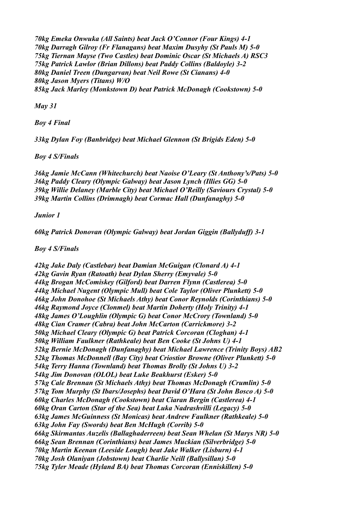*70kg Emeka Onwuka (All Saints) beat Jack O'Connor (Four Kings) 4-1 70kg Darragh Gilroy (Fr Flanagans) beat Maxim Dusyhy (St Pauls M) 5-0 75kg Tiernan Mayse (Two Castles) beat Dominic Oscar (St Michaels A) RSC3 75kg Patrick Lawlor (Brian Dillons) beat Paddy Collins (Baldoyle) 3-2 80kg Daniel Treen (Dungarvan) beat Neil Rowe (St Cianans) 4-0 80kg Jason Myers (Titans) W/O 85kg Jack Marley (Monkstown D) beat Patrick McDonagh (Cookstown) 5-0*

*May 31*

*Boy 4 Final*

*33kg Dylan Foy (Banbridge) beat Michael Glennon (St Brigids Eden) 5-0*

*Boy 4 S/Finals*

*36kg Jamie McCann (Whitechurch) beat Naoise O'Leary (St Anthony's/Pats) 5-0 36kg Paddy Cleary (Olympic Galway) beat Jason Lynch (Illies GG) 5-0 39kg Willie Delaney (Marble City) beat Michael O'Reilly (Saviours Crystal) 5-0 39kg Martin Collins (Drimnagh) beat Cormac Hall (Dunfanaghy) 5-0*

*Junior 1*

*60kg Patrick Donovan (Olympic Galway) beat Jordan Giggin (Ballyduff) 3-1*

*Boy 4 S/Finals*

*42kg Jake Daly (Castlebar) beat Damian McGuigan (Clonard A) 4-1 42kg Gavin Ryan (Ratoath) beat Dylan Sherry (Emyvale) 5-0 44kg Brogan McComiskey (Gilford) beat Darren Flynn (Castlerea) 5-0 44kg Michael Nugent (Olympic Mull) beat Cole Taylor (Oliver Plunkett) 5-0 46kg John Donohoe (St Michaels Athy) beat Conor Reynolds (Corinthians) 5-0 46kg Raymond Joyce (Clonmel) beat Martin Doherty (Holy Trinity) 4-1 48kg James O'Loughlin (Olympic G) beat Conor McCrory (Townland) 5-0 48kg Cian Cramer (Cabra) beat John McCarton (Carrickmore) 3-2 50kg Michael Cleary (Olympic G) beat Patrick Corcoran (Cloghan) 4-1 50kg William Faulkner (Rathkeale) beat Ben Cooke (St Johns U) 4-1 52kg Bernie McDonagh (Dunfanaghy) beat Michael Lawrence (Trinity Boys) AB2 52kg Thomas McDonnell (Bay City) beat Criostior Browne (Oliver Plunkett) 5-0 54kg Terry Hanna (Townland) beat Thomas Brolly (St Johns U) 3-2 54kg Jim Donovan (OLOL) beat Luke Beakhurst (Esker) 5-0 57kg Cale Brennan (St Michaels Athy) beat Thomas McDonagh (Crumlin) 5-0 57kg Tom Murphy (St Ibars/Josephs) beat David O'Hara (St John Bosco A) 5-0 60kg Charles McDonagh (Cookstown) beat Ciaran Bergin (Castlerea) 4-1 60kg Oran Carton (Star of the Sea) beat Luka Nadrashvilli (Legacy) 5-0 63kg James McGuinness (St Monicas) beat Andrew Faulkner (Rathkeale) 5-0 63kg John Fay (Swords) beat Ben McHugh (Corrib) 5-0 66kg Skirmantas Auzelis (Ballaghaderreen) beat Sean Whelan (St Marys NR) 5-0 66kg Sean Brennan (Corinthians) beat James Muckian (Silverbridge) 5-0 70kg Martin Keenan (Leeside Lough) beat Jake Walker (Lisburn) 4-1 70kg Josh Olaniyan (Jobstown) beat Charlie Neill (Ballysillan) 5-0 75kg Tyler Meade (Hyland BA) beat Thomas Corcoran (Enniskillen) 5-0*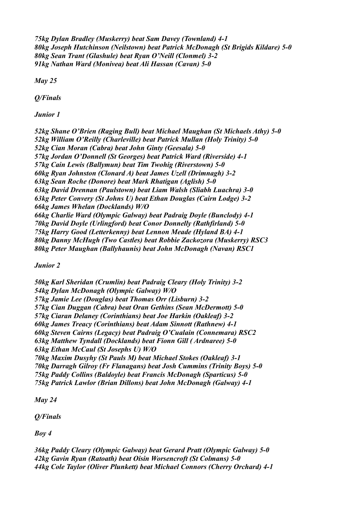*75kg Dylan Bradley (Muskerry) beat Sam Davey (Townland) 4-1 80kg Joseph Hutchinson (Neilstown) beat Patrick McDonagh (St Brigids Kildare) 5-0 80kg Sean Trant (Glashule) beat Ryan O'Neill (Clonmel) 3-2 91kg Nathan Ward (Monivea) beat Ali Hassan (Cavan) 5-0*

*May 25*

*Q/Finals*

*Junior 1*

*52kg Shane O'Brien (Raging Bull) beat Michael Maughan (St Michaels Athy) 5-0 52kg William O'Reilly (Charleville) beat Patrick Mullan (Holy Trinity) 5-0 52kg Cian Moran (Cabra) beat John Ginty (Geesala) 5-0 57kg Jordan O'Donnell (St Georges) beat Patrick Ward (Riverside) 4-1 57kg Cain Lewis (Ballymun) beat Tim Twohig (Riverstown) 5-0 60kg Ryan Johnston (Clonard A) beat James Uzell (Drimnagh) 3-2 63kg Sean Roche (Donore) beat Mark Rhatigan (Aglish) 5-0 63kg David Drennan (Paulstown) beat Liam Walsh (Sliabh Luachra) 3-0 63kg Peter Convery (St Johns U) beat Ethan Douglas (Cairn Lodge) 3-2 66kg James Whelan (Docklands) W/O 66kg Charlie Ward (Olympic Galway) beat Padraig Doyle (Bunclody) 4-1 70kg David Doyle (Urlingford) beat Conor Donnelly (Rathfirland) 5-0 75kg Harry Good (Letterkenny) beat Lennon Meade (Hyland BA) 4-1 80kg Danny McHugh (Two Castles) beat Robbie Zackozora (Muskerry) RSC3 80kg Peter Maughan (Ballyhaunis) beat John McDonagh (Navan) RSC1*

*Junior 2*

*50kg Karl Sheridan (Crumlin) beat Padraig Cleary (Holy Trinity) 3-2 54kg Dylan McDonagh (Olympic Galway) W/O 57kg Jamie Lee (Douglas) beat Thomas Orr (Lisburn) 3-2 57kg Cian Duggan (Cabra) beat Oran Gethins (Sean McDermott) 5-0 57kg Ciaran Delaney (Corinthians) beat Joe Harkin (Oakleaf) 3-2 60kg James Treacy (Corinthians) beat Adam Sinnott (Rathnew) 4-1 60kg Steven Cairns (Legacy) beat Padraig O'Cualain (Connemara) RSC2 63kg Matthew Tyndall (Docklands) beat Fionn Gill ( Ardnaree) 5-0 63kg Ethan McCaul (St Josephs U) W/O 70kg Maxim Dusyhy (St Pauls M) beat Michael Stokes (Oakleaf) 3-1 70kg Darragh Gilroy (Fr Flanagans) beat Josh Cummins (Trinity Boys) 5-0 75kg Paddy Collins (Baldoyle) beat Francis McDonagh (Sparticus) 5-0 75kg Patrick Lawlor (Brian Dillons) beat John McDonagh (Galway) 4-1*

*May 24*

*Q/Finals*

*Boy 4*

*36kg Paddy Cleary (Olympic Galway) beat Gerard Pratt (Olympic Galway) 5-0 42kg Gavin Ryan (Ratoath) beat Oisin Worsencroft (St Colmans) 5-0 44kg Cole Taylor (Oliver Plunkett) beat Michael Connors (Cherry Orchard) 4-1*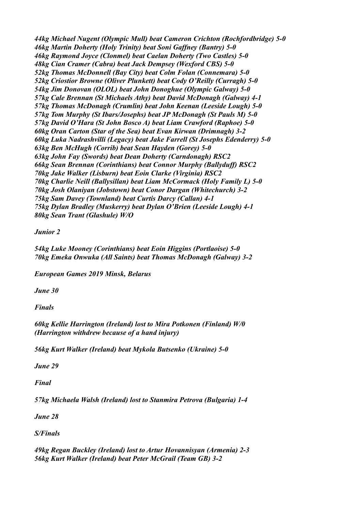*44kg Michael Nugent (Olympic Mull) beat Cameron Crichton (Rochfordbridge) 5-0 46kg Martin Doherty (Holy Trinity) beat Soni Gaffney (Bantry) 5-0 46kg Raymond Joyce (Clonmel) beat Caelan Doherty (Two Castles) 5-0 48kg Cian Cramer (Cabra) beat Jack Dempsey (Wexford CBS) 5-0 52kg Thomas McDonnell (Bay City) beat Colm Folan (Connemara) 5-0 52kg Criostior Browne (Oliver Plunkett) beat Cody O'Reilly (Curragh) 5-0 54kg Jim Donovan (OLOL) beat John Donoghue (Olympic Galway) 5-0 57kg Cale Brennan (St Michaels Athy) beat David McDonagh (Galway) 4-1 57kg Thomas McDonagh (Crumlin) beat John Keenan (Leeside Lough) 5-0 57kg Tom Murphy (St Ibars/Josephs) beat JP McDonagh (St Pauls M) 5-0 57kg David O'Hara (St John Bosco A) beat Liam Crawford (Raphoe) 5-0 60kg Oran Carton (Star of the Sea) beat Evan Kirwan (Drimnagh) 3-2 60kg Luka Nadrashvilli (Legacy) beat Jake Farrell (St Josephs Edenderry) 5-0 63kg Ben McHugh (Corrib) beat Sean Hayden (Gorey) 5-0 63kg John Fay (Swords) beat Dean Doherty (Carndonagh) RSC2 66kg Sean Brennan (Corinthians) beat Connor Murphy (Ballyduff) RSC2 70kg Jake Walker (Lisburn) beat Eoin Clarke (Virginia) RSC2 70kg Charlie Neill (Ballysillan) beat Liam McCormack (Holy Family L) 5-0 70kg Josh Olaniyan (Jobstown) beat Conor Dargan (Whitechurch) 3-2 75kg Sam Davey (Townland) beat Curtis Darcy (Callan) 4-1 75kg Dylan Bradley (Muskerry) beat Dylan O'Brien (Leeside Lough) 4-1 80kg Sean Trant (Glashule) W/O*

*Junior 2*

*54kg Luke Mooney (Corinthians) beat Eoin Higgins (Portlaoise) 5-0 70kg Emeka Onwuka (All Saints) beat Thomas McDonagh (Galway) 3-2*

*European Games 2019 Minsk, Belarus*

*June 30*

*Finals*

*60kg Kellie Harrington (Ireland) lost to Mira Potkonen (Finland) W/0 (Harrington withdrew because of a hand injury)*

*56kg Kurt Walker (Ireland) beat Mykola Butsenko (Ukraine) 5-0*

*June 29*

*Final*

*57kg Michaela Walsh (Ireland) lost to Stanmira Petrova (Bulgaria) 1-4*

*June 28*

*S/Finals*

*49kg Regan Buckley (Ireland) lost to Artur Hovannisyan (Armenia) 2-3 56kg Kurt Walker (Ireland) beat Peter McGrail (Team GB) 3-2*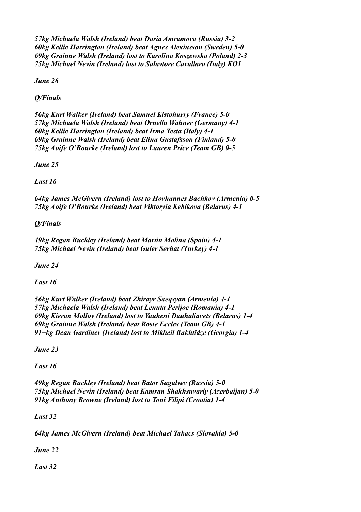*57kg Michaela Walsh (Ireland) beat Daria Amramova (Russia) 3-2 60kg Kellie Harrington (Ireland) beat Agnes Alexiusson (Sweden) 5-0 69kg Grainne Walsh (Ireland) lost to Karolina Koszewska (Poland) 2-3 75kg Michael Nevin (Ireland) lost to Salavtore Cavallaro (Italy) KO1*

*June 26*

*Q/Finals*

*56kg Kurt Walker (Ireland) beat Samuel Kistohurry (France) 5-0 57kg Michaela Walsh (Ireland) beat Ornella Wahner (Germany) 4-1 60kg Kellie Harrington (Ireland) beat Irma Testa (Italy) 4-1 69kg Grainne Walsh (Ireland) beat Elina Gustafsson (Finland) 5-0 75kg Aoife O'Rourke (Ireland) lost to Lauren Price (Team GB) 0-5*

*June 25*

*Last 16*

*64kg James McGivern (Ireland) lost to Hovhannes Bachkov (Armenia) 0-5 75kg Aoife O'Rourke (Ireland) beat Viktoryia Kebikova (Belarus) 4-1*

*Q/Finals*

*49kg Regan Buckley (Ireland) beat Martin Molina (Spain) 4-1 75kg Michael Nevin (Ireland) beat Guler Serhat (Turkey) 4-1*

*June 24*

*Last 16*

*56kg Kurt Walker (Ireland) beat Zhirayr Saeqsyan (Armenia) 4-1 57kg Michaela Walsh (Ireland) beat Lenuta Perijoc (Romania) 4-1 69kg Kieran Molloy (Ireland) lost to Yauheni Dauhaliavets (Belarus) 1-4 69kg Grainne Walsh (Ireland) beat Rosie Eccles (Team GB) 4-1 91+kg Dean Gardiner (Ireland) lost to Mikheil Bakhtidze (Georgia) 1-4*

*June 23*

*Last 16*

*49kg Regan Buckley (Ireland) beat Bator Sagalvev (Russia) 5-0 75kg Michael Nevin (Ireland) beat Kamran Shakhsuvarly (Azerbaijan) 5-0 91kg Anthony Browne (Ireland) lost to Toni Filipi (Croatia) 1-4*

*Last 32*

*64kg James McGivern (Ireland) beat Michael Takacs (Slovakia) 5-0*

*June 22*

*Last 32*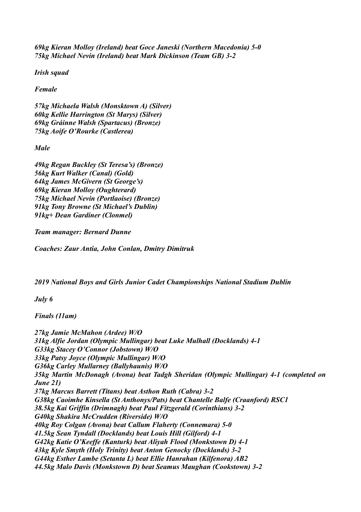*69kg Kieran Molloy (Ireland) beat Goce Janeski (Northern Macedonia) 5-0 75kg Michael Nevin (Ireland) beat Mark Dickinson (Team GB) 3-2*

*Irish squad*

*Female*

*57kg Michaela Walsh (Monsktown A) (Silver) 60kg Kellie Harrington (St Marys) (Silver) 69kg Gráinne Walsh (Spartacus) (Bronze) 75kg Aoife O'Rourke (Castlerea)*

*Male*

*49kg Regan Buckley (St Teresa's) (Bronze) 56kg Kurt Walker (Canal) (Gold) 64kg James McGivern (St George's) 69kg Kieran Molloy (Oughterard) 75kg Michael Nevin (Portlaoise) (Bronze) 91kg Tony Browne (St Michael's Dublin) 91kg+ Dean Gardiner (Clonmel)*

*Team manager: Bernard Dunne*

*Coaches: Zaur Antia, John Conlan, Dmitry Dimitruk*

*2019 National Boys and Girls Junior Cadet Championships National Stadium Dublin*

*July 6*

*Finals (11am)*

*27kg Jamie McMahon (Ardee) W/O 31kg Alfie Jordan (Olympic Mullingar) beat Luke Mulhall (Docklands) 4-1 G33kg Stacey O'Connor (Jobstown) W/O 33kg Patsy Joyce (Olympic Mullingar) W/O G36kg Carley Mullarney (Ballyhaunis) W/O 35kg Martin McDonagh (Avona) beat Tadgh Sheridan (Olympic Mullingar) 4-1 (completed on June 21) 37kg Marcus Barrett (Titans) beat Asthon Ruth (Cabra) 3-2 G38kg Caoimhe Kinsella (St Anthonys/Pats) beat Chantelle Balfe (Craanford) RSC1 38.5kg Kai Griffin (Drimnagh) beat Paul Fitzgerald (Corinthians) 3-2 G40kg Shakira McCrudden (Riverside) W/O 40kg Roy Colgan (Avona) beat Callum Flaherty (Connemara) 5-0 41.5kg Sean Tyndall (Docklands) beat Louis Hill (Gilford) 4-1 G42kg Katie O'Keeffe (Kanturk) beat Aliyah Flood (Monkstown D) 4-1 43kg Kyle Smyth (Holy Trinity) beat Anton Genocky (Docklands) 3-2 G44kg Esther Lambe (Setanta L) beat Ellie Hanrahan (Kilfenora) AB2 44.5kg Malo Davis (Monkstown D) beat Seamus Maughan (Cookstown) 3-2*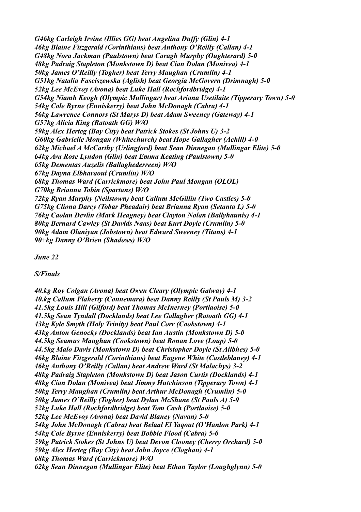*G46kg Carleigh Irvine (Illies GG) beat Angelina Duffy (Glin) 4-1 46kg Blaine Fitzgerald (Corinthians) beat Anthony O'Reilly (Callan) 4-1 G48kg Nora Jackman (Paulstown) beat Caragh Murphy (Oughterard) 5-0 48kg Padraig Stapleton (Monkstown D) beat Cian Dolan (Monivea) 4-1 50kg James O'Reilly (Togher) beat Terry Maughan (Crumlin) 4-1 G51kg Natalia Fasciszewska (Aglish) beat Georgia McGovern (Drimnagh) 5-0 52kg Lee McEvoy (Avona) beat Luke Hall (Rochfordbridge) 4-1 G54kg Niamh Keogh (Olympic Mullingar) beat Ariana Usetilaite (Tipperary Town) 5-0 54kg Cole Byrne (Enniskerry) beat John McDonagh (Cabra) 4-1 56kg Lawrence Connors (St Marys D) beat Adam Sweeney (Gateway) 4-1 G57kg Alicia King (Ratoath GG) W/O 59kg Alex Herteg (Bay City) beat Patrick Stokes (St Johns U) 3-2 G60kg Gabrielle Mongan (Whitechurch) beat Hope Gallagher (Achill) 4-0 62kg Michael A McCarthy (Urlingford) beat Sean Dinnegan (Mullingar Elite) 5-0 64kg Ava Rose Lyndon (Glin) beat Emma Keating (Paulstown) 5-0 65kg Dementas Auzelis (Ballaghederreen) W/O 67kg Dayna Elbharaoui (Crumlin) W/O 68kg Thomas Ward (Carrickmore) beat John Paul Mongan (OLOL) G70kg Brianna Tobin (Spartans) W/O 72kg Ryan Murphy (Neilstown) beat Callum McGillin (Two Castles) 5-0 G75kg Cliona Darcy (Tobar Pheadair) beat Brianna Ryan (Setanta L) 5-0 76kg Caolan Devlin (Mark Heagney) beat Clayton Nolan (Ballyhaunis) 4-1 80kg Bernard Cawley (St Davids Naas) beat Kurt Doyle (Crumlin) 5-0 90kg Adam Olaniyan (Jobstown) beat Edward Sweeney (Titans) 4-1 90+kg Danny O'Brien (Shadows) W/O*

*June 22*

*S/Finals*

*40.kg Roy Colgan (Avona) beat Owen Cleary (Olympic Galway) 4-1 40.kg Callum Flaherty (Connemara) beat Danny Reilly (St Pauls M) 3-2 41.5kg Louis Hill (Gilford) beat Thomas McInerney (Portlaoise) 5-0 41.5kg Sean Tyndall (Docklands) beat Lee Gallagher (Ratoath GG) 4-1 43kg Kyle Smyth (Holy Trinity) beat Paul Corr (Cookstown) 4-1 43kg Anton Genocky (Docklands) beat Ian Austin (Monkstown D) 5-0 44.5kg Seamus Maughan (Cookstown) beat Ronan Love (Loup) 5-0 44.5kg Malo Davis (Monkstown D) beat Christopher Doyle (St Ailbhes) 5-0 46kg Blaine Fitzgerald (Corinthians) beat Eugene White (Castleblaney) 4-1 46kg Anthony O'Reilly (Callan) beat Andrew Ward (St Malachys) 3-2 48kg Padraig Stapleton (Monkstown D) beat Jason Curtis (Docklands) 4-1 48kg Cian Dolan (Monivea) beat Jimmy Hutchinson (Tipperary Town) 4-1 50kg Terry Maughan (Crumlin) beat Arthur McDonagh (Crumlin) 5-0 50kg James O'Reilly (Togher) beat Dylan McShane (St Pauls A) 5-0 52kg Luke Hall (Rochfordbridge) beat Tom Cash (Portlaoise) 5-0 52kg Lee McEvoy (Avona) beat David Blaney (Navan) 5-0 54kg John McDonagh (Cabra) beat Belaal El Yaqout (O'Hanlon Park) 4-1 54kg Cole Byrne (Enniskerry) beat Bobbie Flood (Cabra) 5-0 59kg Patrick Stokes (St Johns U) beat Devon Clooney (Cherry Orchard) 5-0 59kg Alex Herteg (Bay City) beat John Joyce (Cloghan) 4-1 68kg Thomas Ward (Carrickmore) W/O 62kg Sean Dinnegan (Mullingar Elite) beat Ethan Taylor (Loughglynn) 5-0*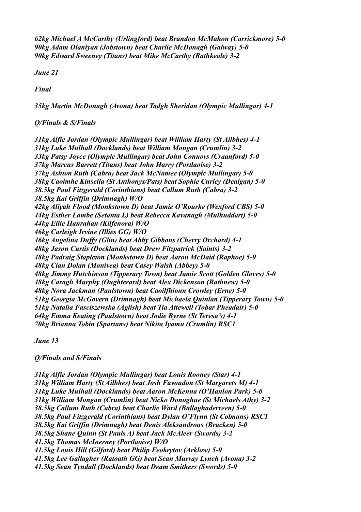*62kg Michael A McCarthy (Urlingford) beat Brandon McMahon (Carrickmore) 5-0 90kg Adam Olaniyan (Jobstown) beat Charlie McDonagh (Galway) 5-0 90kg Edward Sweeney (Titans) beat Mike McCarthy (Rathkeale) 3-2*

*June 21*

*Final*

*35kg Martin McDonagh (Avona) beat Tadgh Sheridan (Olympic Mullingar) 4-1*

*Q/Finals & S/Finals*

*31kg Alfie Jordan (Olympic Mullingar) beat William Harty (St Ailbhes) 4-1 31kg Luke Mulhall (Docklands) beat William Mongan (Crumlin) 3-2 33kg Patsy Joyce (Olympic Mullingar) beat John Connors (Craanford) 5-0 37kg Marcus Barrett (Titans) beat John Harry (Portlaoise) 3-2 37kg Ashton Ruth (Cabra) beat Jack McNamee (Olympic Mullingar) 5-0 38kg Caoimhe Kinsella (St Anthonys/Pats) beat Sophie Curley (Dealgan) 5-0 38.5kg Paul Fitzgerald (Corinthians) beat Callum Ruth (Cabra) 3-2 38.5kg Kai Griffin (Drimnagh) W/O 42kg Aliyah Flood (Monkstown D) beat Jamie O'Rourke (Wexford CBS) 5-0 44kg Esther Lambe (Setanta L) beat Rebecca Kavanagh (Mulhuddart) 5-0 44kg Ellie Hanrahan (Kilfenora) W/O 46kg Carleigh Irvine (Illies GG) W/O 46kg Angelina Duffy (Glin) beat Abby Gibbons (Cherry Orchard) 4-1 48kg Jason Curtis (Docklands) beat Drew Fitzpatrick (Saints) 3-2 48kg Padraig Stapleton (Monkstown D) beat Aaron McDaid (Raphoe) 5-0 48kg Cian Dolan (Monivea) beat Casey Walsh (Abbey) 5-0 48kg Jimmy Hutchinson (Tipperary Town) beat Jamie Scott (Golden Gloves) 5-0 48kg Caragh Murphy (Oughterard) beat Alex Dickenson (Rathnew) 5-0 48kg Nora Jackman (Paulstown) beat Caoilfhionn Crowley (Erne) 5-0 51kg Georgia McGovern (Drimnagh) beat Michaela Quinlan (Tipperary Town) 5-0 51kg Natalia Fasciszewska (Aglish) beat Tia Attewell (Tobar Pheadair) 5-0 64kg Emma Keating (Paulstown) beat Jodie Byrne (St Teresa's) 4-1 70kg Brianna Tobin (Spartans) beat Nikita Iyamu (Crumlin) RSC1*

*June 13*

## *Q/Finals and S/Finals*

*31kg Alfie Jordan (Olympic Mullingar) beat Louis Rooney (Star) 4-1 31kg William Harty (St Ailbhes) beat Josh Favoudon (St Margarets M) 4-1 31kg Luke Mulhall (Docklands) beat Aaron McKenna (O'Hanlon Park) 5-0 31kg William Mongan (Crumlin) beat Nicko Donoghue (St Michaels Athy) 3-2 38.5kg Callum Ruth (Cabra) beat Charlie Ward (Ballaghaderreen) 5-0 38.5kg Paul Fitzgerald (Corinthians) beat Dylan O'Flynn (St Colmans) RSC1 38.5kg Kai Griffin (Drimnagh) beat Denis Aleksandrous (Bracken) 5-0 38.5kg Shane Quinn (St Pauls A) beat Jack McAleer (Swords) 3-2 41.5kg Thomas McInerney (Portlaoise) W/O 41.5kg Louis Hill (Gilford) beat Philip Feokrytov (Arklow) 5-0 41.5kg Lee Gallagher (Ratoath GG) beat Sean Murray Lynch (Avona) 3-2 41.5kg Sean Tyndall (Docklands) beat Deam Smithers (Swords) 5-0*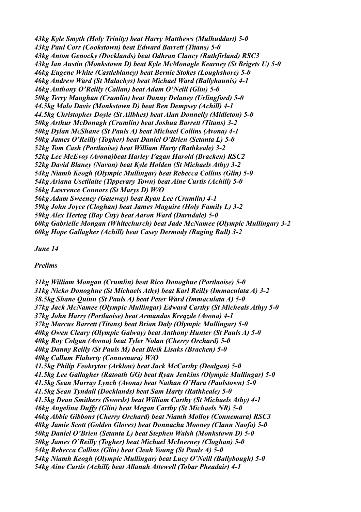*43kg Kyle Smyth (Holy Trinity) beat Harry Matthews (Mulhuddart) 5-0 43kg Paul Corr (Cookstown) beat Edward Barrett (Titans) 5-0 43kg Anton Genocky (Docklands) beat Odhran Clancy (Rathfirland) RSC3 43kg Ian Austin (Monkstown D) beat Kyle McMonagle Kearney (St Brigets U) 5-0 46kg Eugene White (Castleblaney) beat Bernie Stokes (Loughshore) 5-0 46kg Andrew Ward (St Malachys) beat Michael Ward (Ballyhaunis) 4-1 46kg Anthony O'Reilly (Callan) beat Adam O'Neill (Glin) 5-0 50kg Terry Maughan (Crumlin) beat Danny Delaney (Urlingford) 5-0 44.5kg Malo Davis (Monkstown D) beat Ben Dempsey (Achill) 4-1 44.5kg Christopher Doyle (St Ailbhes) beat Alan Donnelly (Midleton) 5-0 50kg Arthur McDonagh (Crumlin) beat Joshua Barrett (Titans) 3-2 50kg Dylan McShane (St Pauls A) beat Michael Collins (Avona) 4-1 50kg James O'Reilly (Togher) beat Daniel O'Brien (Setanta L) 5-0 52kg Tom Cash (Portlaoise) beat William Harty (Rathkeale) 3-2 52kg Lee McEvoy (Avona)beat Harley Fagan Harold (Bracken) RSC2 52kg David Blaney (Navan) beat Kyle Holden (St Michaels Athy) 3-2 54kg Niamh Keogh (Olympic Mullingar) beat Rebecca Collins (Glin) 5-0 54kg Ariana Usetilaite (Tipperary Town) beat Aine Curtis (Achill) 5-0 56kg Lawrence Connors (St Marys D) W/O 56kg Adam Sweeney (Gateway) beat Ryan Lee (Crumlin) 4-1 59kg John Joyce (Cloghan) beat James Maguire (Holy Family L) 3-2 59kg Alex Herteg (Bay City) beat Aaron Ward (Darndale) 5-0 60kg Gabrielle Mongan (Whitechurch) beat Jade McNamee (Olympic Mullingar) 3-2 60kg Hope Gallagher (Achill) beat Casey Dermody (Raging Bull) 3-2*

*June 14*

*Prelims*

*31kg William Mongan (Crumlin) beat Rico Donoghue (Portlaoise) 5-0 31kg Nicko Donoghue (St Michaels Athy) beat Karl Reilly (Immaculata A) 3-2 38.5kg Shane Quinn (St Pauls A) beat Peter Ward (Immaculata A) 5-0 37kg Jack McNamee (Olympic Mullingar) Edward Carthy (St Micheals Athy) 5-0 37kg John Harry (Portlaoise) beat Armandas Kreqzde (Avona) 4-1 37kg Marcus Barrett (Titans) beat Brian Daly (Olympic Mullingar) 5-0 40kg Owen Cleary (Olympic Galway) beat Anthony Hunter (St Pauls A) 5-0 40kg Roy Colgan (Avona) beat Tyler Nolan (Cherry Orchard) 5-0 40kg Danny Reilly (St Pauls M) beat Bleik Lisaks (Bracken) 5-0 40kg Callum Flaherty (Connemara) W/O 41.5kg Philip Feokrytov (Arklow) beat Jack McCarthy (Dealgan) 5-0 41.5kg Lee Gallagher (Ratoath GG) beat Ryan Jenkins (Olympic Mullingar) 5-0 41.5kg Sean Murray Lynch (Avona) beat Nathan O'Hara (Paulstown) 5-0 41.5kg Sean Tyndall (Docklands) beat Sam Harty (Rathkeale) 5-0 41.5kg Dean Smithers (Swords) beat William Carthy (St Michaels Athy) 4-1 46kg Angelina Duffy (Glin) beat Megan Carthy (St Michaels NR) 5-0 46kg Abbie Gibbons (Cherry Orchard) beat Niamh Molloy (Connemara) RSC3 48kg Jamie Scott (Golden Gloves) beat Donnacha Mooney (Clann Naofa) 5-0 50kg Daniel O'Brien (Setanta L) beat Stephen Walsh (Monkstown D) 5-0 50kg James O'Reilly (Togher) beat Michael McInerney (Cloghan) 5-0 54kg Rebecca Collins (Glin) beat Cleah Young (St Pauls A) 5-0 54kg Niamh Keogh (Olympic Mullingar) beat Lucy O'Neill (Ballybough) 5-0 54kg Aine Curtis (Achill) beat Allanah Attewell (Tobar Pheadair) 4-1*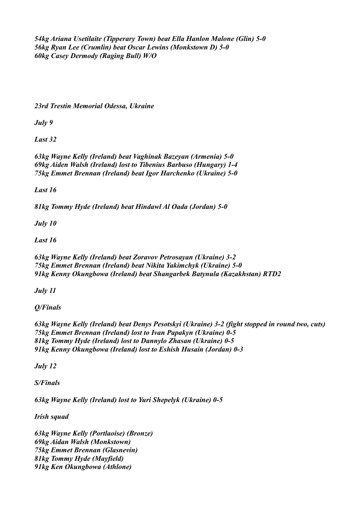*54kg Ariana Usetilaite (Tipperary Town) beat Ella Hanlon Malone (Glin) 5-0 56kg Ryan Lee (Crumlin) beat Oscar Lewins (Monkstown D) 5-0 60kg Casey Dermody (Raging Bull) W/O*

*23rd Trestin Memorial Odessa, Ukraine*

*July 9*

*Last 32*

*63kg Wayne Kelly (Ireland) beat Vaghinak Bazeyan (Armenia) 5-0 69kg Aiden Walsh (Ireland) lost to Tibenius Barbuso (Hungary) 1-4 75kg Emmet Brennan (Ireland) beat Igor Harchenko (Ukraine) 5-0*

*Last 16*

*81kg Tommy Hyde (Ireland) beat Hindawl Al Oada (Jordan) 5-0*

*July 10*

*Last 16*

*63kg Wayne Kelly (Ireland) beat Zoravov Petrosayan (Ukraine) 3-2 75kg Emmet Brennan (Ireland) beat Nikita Yakimchyk (Ukraine) 5-0 91kg Kenny Okungbowa (Ireland) beat Shangarbek Batynula (Kazakhstan) RTD2*

*July 11*

*Q/Finals*

*63kg Wayne Kelly (Ireland) beat Denys Pesotskyi (Ukraine) 3-2 (fight stopped in round two, cuts) 75kg Emmet Brennan (Ireland) lost to Ivan Papakyn (Ukraine) 0-5 81kg Tommy Hyde (Ireland) lost to Dannylo Zhasan (Ukraine) 0-5 91kg Kenny Okungbowa (Ireland) lost to Eshish Husain (Jordan) 0-3*

*July 12*

*S/Finals*

*63kg Wayne Kelly (Ireland) lost to Yuri Shepelyk (Ukraine) 0-5*

*Irish squad*

*63kg Wayne Kelly (Portlaoise) (Bronze) 69kg Aidan Walsh (Monkstown) 75kg Emmet Brennan (Glasnevin) 81kg Tommy Hyde (Mayfield) 91kg Ken Okungbowa (Athlone)*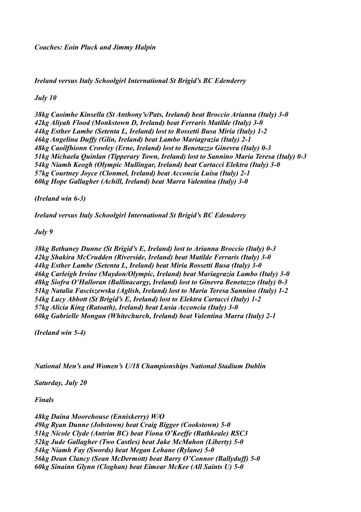*Ireland versus Italy Schoolgirl International St Brigid's BC Edenderry*

## *July 10*

*38kg Caoimhe Kinsella (St Anthony's/Pats, Ireland) beat Broccio Arianna (Italy) 3-0 42kg Aliyah Flood (Monkstown D, Ireland) beat Ferraris Matilde (Italy) 3-0 44kg Esther Lambe (Setenta L, Ireland) lost to Rossetti Busa Miria (Italy) 1-2 46kg Angelina Duffy (Glin, Ireland) beat Lambo Mariagrazia (Italy) 2-1 48kg Caoilfhionn Crowley (Erne, Ireland) lost to Benetazzo Ginevra (Italy) 0-3 51kg Michaela Quinlan (Tipperary Town, Ireland) lost to Sannino Maria Teresa (Italy) 0-3 54kg Niamh Keogh (Olympic Mullingar, Ireland) beat Cartacci Elektra (Italy) 3-0 57kg Courtney Joyce (Clonmel, Ireland) beat Acconcia Luisa (Italy) 2-1 60kg Hope Gallagher (Achill, Ireland) beat Marra Valentina (Italy) 3-0*

*(Ireland win 6-3)*

*Ireland versus Italy Schoolgirl International St Brigid's BC Edenderry*

*July 9*

*38kg Bethaney Dunne (St Brigid's E, Ireland) lost to Arianna Broccio (Italy) 0-3 42kg Shakira McCrudden (Riverside, Ireland) beat Matilde Ferraris (Italy) 3-0 44kg Esther Lambe (Setenta L, Ireland) beat Miria Rossetti Busa (Italy) 3-0 46kg Carleigh Irvine (Maydon/Olympic, Ireland) beat Mariagrazia Lambo (Italy) 3-0 48kg Siofra O'Halloran (Ballinacargy, Ireland) lost to Ginevra Benetazzo (Italy) 0-3 51kg Natalia Fasciszewska (Aglish, Ireland) lost to Maria Teresa Sannino (Italy) 1-2 54kg Lucy Abbott (St Brigid's E, Ireland) lost to Elektra Cartacci (Italy) 1-2 57kg Alicia King (Ratoath), Ireland) beat Lusia Acconcia (Italy) 3-0 60kg Gabrielle Mongan (Whitechurch, Ireland) beat Valentina Marra (Italy) 2-1*

*(Ireland win 5-4)*

*National Men's and Women's U/18 Championships National Stadium Dublin*

*Saturday, July 20*

*Finals* 

*48kg Daina Moorehouse (Enniskerry) W/O 49kg Ryan Dunne (Jobstown) beat Craig Bigger (Cookstown) 5-0 51kg Nicole Clyde (Antrim BC) beat Fiona O'Keeffe (Rathkeale) RSC3 52kg Jude Gallagher (Two Castles) beat Jake McMahon (Liberty) 5-0 54kg Niamh Fay (Swords) beat Megan Lehane (Rylane) 5-0 56kg Dean Clancy (Sean McDermott) beat Barry O'Connor (Ballyduff) 5-0 60kg Sinainn Glynn (Cloghan) beat Eimear McKee (All Saints U) 5-0*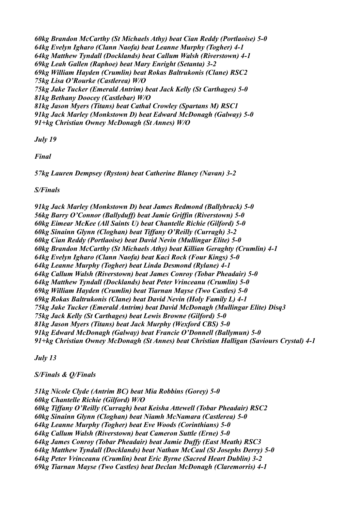*60kg Brandon McCarthy (St Michaels Athy) beat Cian Reddy (Portlaoise) 5-0 64kg Evelyn Igharo (Clann Naofa) beat Leanne Murphy (Togher) 4-1 64kg Matthew Tyndall (Docklands) beat Callum Walsh (Riverstown) 4-1 69kg Leah Gallen (Raphoe) beat Mary Enright (Setanta) 3-2 69kg William Hayden (Crumlin) beat Rokas Baltrukonis (Clane) RSC2 75kg Lisa O'Rourke (Castlerea) W/O 75kg Jake Tucker (Emerald Antrim) beat Jack Kelly (St Carthages) 5-0 81kg Bethany Doocey (Castlebar) W/O 81kg Jason Myers (Titans) beat Cathal Crowley (Spartans M) RSC1 91kg Jack Marley (Monkstown D) beat Edward McDonagh (Galway) 5-0 91+kg Christian Owney McDonagh (St Annes) W/O*

*July 19*

*Final*

*57kg Lauren Dempsey (Ryston) beat Catherine Blaney (Navan) 3-2*

*S/Finals*

*91kg Jack Marley (Monkstown D) beat James Redmond (Ballybrack) 5-0 56kg Barry O'Connor (Ballyduff) beat Jamie Griffin (Riverstown) 5-0 60kg Eimear McKee (All Saints U) beat Chantelle Richie (Gilford) 5-0 60kg Sinainn Glynn (Cloghan) beat Tiffany O'Reilly (Curragh) 3-2 60kg Cian Reddy (Portlaoise) beat David Nevin (Mullingar Elite) 5-0 60kg Brandon McCarthy (St Michaels Athy) beat Killian Geraghty (Crumlin) 4-1 64kg Evelyn Igharo (Clann Naofa) beat Kaci Rock (Four Kings) 5-0 64kg Leanne Murphy (Togher) beat Linda Desmond (Rylane) 4-1 64kg Callum Walsh (Riverstown) beat James Conroy (Tobar Pheadair) 5-0 64kg Matthew Tyndall (Docklands) beat Peter Vrinceanu (Crumlin) 5-0 69kg William Hayden (Crumlin) beat Tiarnan Mayse (Two Castles) 5-0 69kg Rokas Baltrukonis (Clane) beat David Nevin (Holy Family L) 4-1 75kg Jake Tucker (Emerald Antrim) beat David McDonagh (Mullingar Elite) Disq3 75kg Jack Kelly (St Carthages) beat Lewis Browne (Gilford) 5-0 81kg Jason Myers (Titans) beat Jack Murphy (Wexford CBS) 5-0 91kg Edward McDonagh (Galway) beat Francie O'Donnell (Ballymun) 5-0 91+kg Christian Owney McDonagh (St Annes) beat Christian Halligan (Saviours Crystal) 4-1*

*July 13*

*S/Finals & Q/Finals*

*51kg Nicole Clyde (Antrim BC) beat Mia Robbins (Gorey) 5-0 60kg Chantelle Richie (Gilford) W/O 60kg Tiffany O'Reilly (Curragh) beat Keisha Attewell (Tobar Pheadair) RSC2 60kg Sinainn Glynn (Cloghan) beat Niamh McNamara (Castlerea) 5-0 64kg Leanne Murphy (Togher) beat Eve Woods (Corinthians) 5-0 64kg Callum Walsh (Riverstown) beat Cameron Suttle (Erne) 5-0 64kg James Conroy (Tobar Pheadair) beat Jamie Duffy (East Meath) RSC3 64kg Matthew Tyndall (Docklands) beat Nathan McCaul (St Josephs Derry) 5-0 64kg Peter Vrinceanu (Crumlin) beat Eric Byrne (Sacred Heart Dublin) 3-2 69kg Tiarnan Mayse (Two Castles) beat Declan McDonagh (Claremorris) 4-1*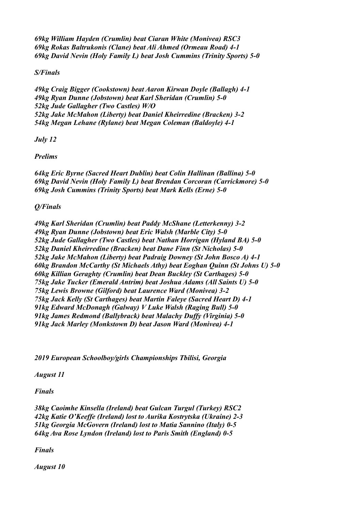*69kg William Hayden (Crumlin) beat Ciaran White (Monivea) RSC3 69kg Rokas Baltrukonis (Clane) beat Ali Ahmed (Ormeau Road) 4-1 69kg David Nevin (Holy Family L) beat Josh Cummins (Trinity Sports) 5-0*

## *S/Finals*

*49kg Craig Bigger (Cookstown) beat Aaron Kirwan Doyle (Ballagh) 4-1 49kg Ryan Dunne (Jobstown) beat Karl Sheridan (Crumlin) 5-0 52kg Jude Gallagher (Two Castles) W/O 52kg Jake McMahon (Liberty) beat Daniel Kheirredine (Bracken) 3-2 54kg Megan Lehane (Rylane) beat Megan Coleman (Baldoyle) 4-1*

*July 12*

*Prelims*

*64kg Eric Byrne (Sacred Heart Dublin) beat Colin Hallinan (Ballina) 5-0 69kg David Nevin (Holy Family L) beat Brendan Corcoran (Carrickmore) 5-0 69kg Josh Cummins (Trinity Sports) beat Mark Kells (Erne) 5-0*

*Q/Finals*

*49kg Karl Sheridan (Crumlin) beat Paddy McShane (Letterkenny) 3-2 49kg Ryan Dunne (Jobstown) beat Eric Walsh (Marble City) 5-0 52kg Jude Gallagher (Two Castles) beat Nathan Horrigan (Hyland BA) 5-0 52kg Daniel Kheirredine (Bracken) beat Dane Finn (St Nicholas) 5-0 52kg Jake McMahon (Liberty) beat Padraig Downey (St John Bosco A) 4-1 60kg Brandon McCarthy (St Michaels Athy) beat Eoghan Quinn (St Johns U) 5-0 60kg Killian Geraghty (Crumlin) beat Dean Buckley (St Carthages) 5-0 75kg Jake Tucker (Emerald Antrim) beat Joshua Adams (All Saints U) 5-0 75kg Lewis Browne (Gilford) beat Laurence Ward (Monivea) 3-2 75kg Jack Kelly (St Carthages) beat Martin Faleye (Sacred Heart D) 4-1 91kg Edward McDonagh (Galway) V Luke Walsh (Raging Bull) 5-0 91kg James Redmond (Ballybrack) beat Malachy Duffy (Virginia) 5-0 91kg Jack Marley (Monkstown D) beat Jason Ward (Monivea) 4-1*

*2019 European Schoolboy/girls Championships Tbilisi, Georgia*

*August 11*

*Finals*

*38kg Caoimhe Kinsella (Ireland) beat Gulcan Turgul (Turkey) RSC2 42kg Katie O'Keeffe (Ireland) lost to Aurika Kostrytska (Ukraine) 2-3 51kg Georgia McGovern (Ireland) lost to Matia Sannino (Italy) 0-5 64kg Ava Rose Lyndon (Ireland) lost to Paris Smith (England) 0-5*

*Finals*

*August 10*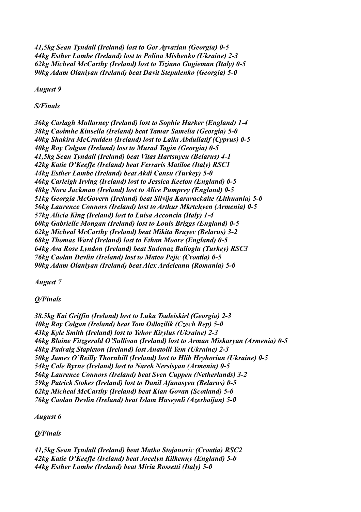*41,5kg Sean Tyndall (Ireland) lost to Gor Ayvazian (Georgia) 0-5 44kg Esther Lambe (Ireland) lost to Polina Mishenko (Ukraine) 2-3 62kg Micheal McCarthy (Ireland) lost to Tiziano Gugieman (Italy) 0-5 90kg Adam Olaniyan (Ireland) beat Davit Stepulenko (Georgia) 5-0*

*August 9*

*S/Finals*

*36kg Carlagh Mullarney (Ireland) lost to Sophie Harker (England) 1-4 38kg Caoimhe Kinsella (Ireland) beat Tamar Samelia (Georgia) 5-0 40kg Shakira McCrudden (Ireland) lost to Laila Abdullatif (Cyprus) 0-5 40kg Roy Colgan (Ireland) lost to Murad Tagin (Georgia) 0-5 41,5kg Sean Tyndall (Ireland) beat Vitas Hartsuyeu (Belarus) 4-1 42kg Katie O'Keeffe (Ireland) beat Ferraris Matiloe (Italy) RSC1 44kg Esther Lambe (Ireland) beat Akdi Cansu (Turkey) 5-0 46kg Carleigh Irving (Ireland) lost to Jessica Keeton (England) 0-5 48kg Nora Jackman (Ireland) lost to Alice Pumprey (England) 0-5 51kg Georgia McGovern (Ireland) beat Silvija Karavackaite (Lithuania) 5-0 56kg Laurence Connors (Ireland) lost to Arthur Mkrtchyen (Armenia) 0-5 57kg Alicia King (Ireland) lost to Luisa Acconcia (Italy) 1-4 60kg Gabrielle Mongan (Ireland) lost to Louis Briggs (England) 0-5 62kg Micheal McCarthy (Ireland) beat Mikita Bruyev (Belarus) 3-2 68kg Thomas Ward (Ireland) lost to Ethan Moore (England) 0-5 64kg Ava Rose Lyndon (Ireland) beat Sudenaz Balioglu (Turkey) RSC3 76kg Caolan Devlin (Ireland) lost to Mateo Pejic (Croatia) 0-5 90kg Adam Olaniyan (Ireland) beat Alex Ardeieanu (Romania) 5-0*

*August 7*

*Q/Finals*

*38.5kg Kai Griffin (Ireland) lost to Luka Tsuleiskirl (Georgia) 2-3 40kg Roy Colgan (Ireland) beat Tom Odlozilik (Czech Rep) 5-0 43kg Kyle Smith (Ireland) lost to Yehor Kirylus (Ukraine) 2-3 46kg Blaine Fitzgerald O'Sullivan (Ireland) lost to Arman Miskaryan (Armenia) 0-5 48kg Padraig Stapleton (Ireland) lost Anatolli Yem (Ukraine) 2-3 50kg James O'Reilly Thornhill (Ireland) lost to Hlib Hryhorian (Ukraine) 0-5 54kg Cole Byrne (Ireland) lost to Narek Nersisyan (Armenia) 0-5 56kg Laurence Connors (Ireland) beat Sven Cuppen (Netherlands) 3-2 59kg Patrick Stokes (Ireland) lost to Danil Afanasyeu (Belarus) 0-5 62kg Micheal McCarthy (Ireland) beat Kian Govan (Scotland) 5-0 76kg Caolan Devlin (Ireland) beat Islam Huseynli (Azerbaijan) 5-0*

*August 6*

*Q/Finals*

*41,5kg Sean Tyndall (Ireland) beat Matko Stojanovic (Croatia) RSC2 42kg Katie O'Keeffe (Ireland) beat Jocelyn Kilkenny (England) 5-0 44kg Esther Lambe (Ireland) beat Miria Rossetti (Italy) 5-0*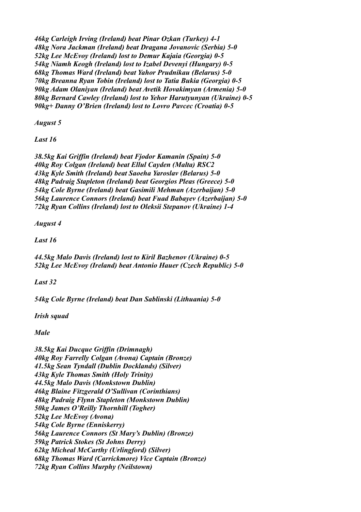*46kg Carleigh Irving (Ireland) beat Pinar Ozkan (Turkey) 4-1 48kg Nora Jackman (Ireland) beat Dragana Jovanovic (Serbia) 5-0 52kg Lee McEvoy (Ireland) lost to Demur Kajaia (Georgia) 0-5 54kg Niamh Keogh (Ireland) lost to Izabel Devenyi (Hungary) 0-5 68kg Thomas Ward (Ireland) beat Yahor Prudnikau (Belarus) 5-0 70kg Breanna Ryan Tobin (Ireland) lost to Tatia Bukia (Georgia) 0-5 90kg Adam Olaniyan (Ireland) beat Avetik Hovakimyan (Armenia) 5-0 80kg Bernard Cawley (Ireland) lost to Yehor Harutyunyan (Ukraine) 0-5 90kg+ Danny O'Brien (Ireland) lost to Lovro Pavcec (Croatia) 0-5*

*August 5*

*Last 16*

*38.5kg Kai Griffin (Ireland) beat Fjodor Kamanin (Spain) 5-0 40kg Roy Colgan (Ireland) beat Ellul Cayden (Malta) RSC2 43kg Kyle Smith (Ireland) beat Saoeha Yaroslav (Belarus) 5-0 48kg Padraig Stapleton (Ireland) beat Georgios Pleas (Greece) 5-0 54kg Cole Byrne (Ireland) beat Gasimili Mehman (Azerbaijan) 5-0 56kg Laurence Connors (Ireland) beat Fuad Babayev (Azerbaijan) 5-0 72kg Ryan Collins (Ireland) lost to Oleksii Stepanov (Ukraine) 1-4*

*August 4*

*Last 16*

*44.5kg Malo Davis (Ireland) lost to Kiril Bazhenov (Ukraine) 0-5 52kg Lee McEvoy (Ireland) beat Antonio Hauer (Czech Republic) 5-0*

*Last 32*

*54kg Cole Byrne (Ireland) beat Dan Sablinski (Lithuania) 5-0*

*Irish squad*

*Male*

*38.5kg Kai Ducque Griffin (Drimnagh) 40kg Roy Farrelly Colgan (Avona) Captain (Bronze) 41.5kg Sean Tyndall (Dublin Docklands) (Silver) 43kg Kyle Thomas Smith (Holy Trinity) 44.5kg Malo Davis (Monkstown Dublin) 46kg Blaine Fitzgerald O'Sullivan (Corinthians) 48kg Padraig Flynn Stapleton (Monkstown Dublin) 50kg James O'Reilly Thornhill (Togher) 52kg Lee McEvoy (Avona) 54kg Cole Byrne (Enniskerry) 56kg Laurence Connors (St Mary's Dublin) (Bronze) 59kg Patrick Stokes (St Johns Derry) 62kg Micheal McCarthy (Urlingford) (Silver) 68kg Thomas Ward (Carrickmore) Vice Captain (Bronze) 72kg Ryan Collins Murphy (Neilstown)*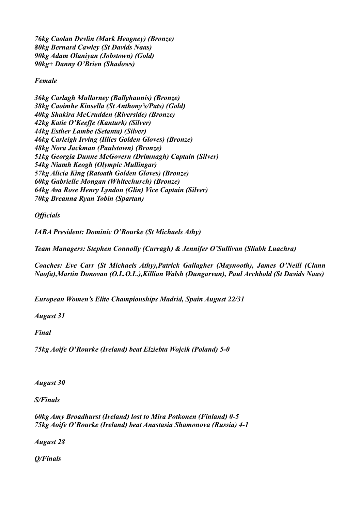*76kg Caolan Devlin (Mark Heagney) (Bronze) 80kg Bernard Cawley (St Davids Naas) 90kg Adam Olaniyan (Jobstown) (Gold) 90kg+ Danny O'Brien (Shadows)*

### *Female*

*36kg Carlagh Mullarney (Ballyhaunis) (Bronze) 38kg Caoimhe Kinsella (St Anthony's/Pats) (Gold) 40kg Shakira McCrudden (Riverside) (Bronze) 42kg Katie O'Keeffe (Kanturk) (Silver) 44kg Esther Lambe (Setanta) (Silver) 46kg Carleigh Irving (Illies Golden Gloves) (Bronze) 48kg Nora Jackman (Paulstown) (Bronze) 51kg Georgia Dunne McGovern (Drimnagh) Captain (Silver) 54kg Niamh Keogh (Olympic Mullingar) 57kg Alicia King (Ratoath Golden Gloves) (Bronze) 60kg Gabrielle Mongan (Whitechurch) (Bronze) 64kg Ava Rose Henry Lyndon (Glin) Vice Captain (Silver) 70kg Breanna Ryan Tobin (Spartan)*

*Officials*

*IABA President: Dominic O'Rourke (St Michaels Athy)*

*Team Managers: Stephen Connolly (Curragh) & Jennifer O'Sullivan (Sliabh Luachra)*

*Coaches: Eve Carr (St Michaels Athy),Patrick Gallagher (Maynooth), James O'Neill (Clann Naofa),Martin Donovan (O.L.O.L.),Killian Walsh (Dungarvan), Paul Archbold (St Davids Naas)*

*European Women's Elite Championships Madrid, Spain August 22/31*

*August 31*

*Final*

*75kg Aoife O'Rourke (Ireland) beat Elziebta Wojcik (Poland) 5-0*

*August 30*

*S/Finals*

*60kg Amy Broadhurst (Ireland) lost to Mira Potkonen (Finland) 0-5 75kg Aoife O'Rourke (Ireland) beat Anastasia Shamonova (Russia) 4-1*

*August 28*

*Q/Finals*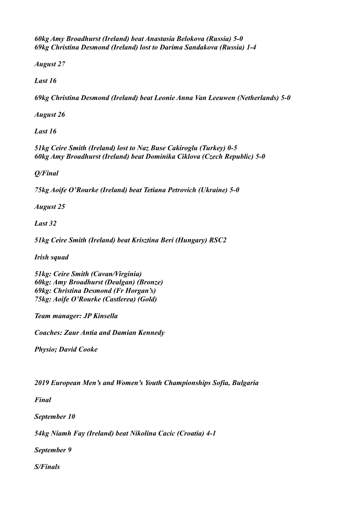*60kg Amy Broadhurst (Ireland) beat Anastasia Belokova (Russia) 5-0 69kg Christina Desmond (Ireland) lost to Darima Sandakova (Russia) 1-4*

*August 27*

*Last 16*

*69kg Christina Desmond (Ireland) beat Leonie Anna Van Leeuwen (Netherlands) 5-0*

*August 26*

*Last 16*

*51kg Ceire Smith (Ireland) lost to Naz Buse Cakiroglu (Turkey) 0-5 60kg Amy Broadhurst (Ireland) beat Dominika Ciklova (Czech Republic) 5-0*

*Q/Final*

*75kg Aoife O'Rourke (Ireland) beat Tetiana Petrovich (Ukraine) 5-0*

*August 25*

*Last 32*

*51kg Ceire Smith (Ireland) beat Krisztina Beri (Hungary) RSC2*

*Irish squad*

*51kg: Ceire Smith (Cavan/Virginia) 60kg: Amy Broadhurst (Dealgan) (Bronze) 69kg: Christina Desmond (Fr Horgan's) 75kg: Aoife O'Rourke (Castlerea) (Gold)*

*Team manager: JP Kinsella*

*Coaches: Zaur Antia and Damian Kennedy*

*Physio; David Cooke*

*2019 European Men's and Women's Youth Championships Sofia, Bulgaria*

*Final*

*September 10*

*54kg Niamh Fay (Ireland) beat Nikolina Cacic (Croatia) 4-1*

*September 9*

*S/Finals*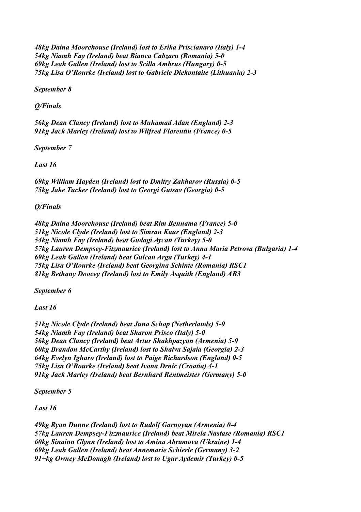*48kg Daina Moorehouse (Ireland) lost to Erika Priscianaro (Italy) 1-4 54kg Niamh Fay (Ireland) beat Bianca Cabzaru (Romania) 5-0 69kg Leah Gallen (Ireland) lost to Scilla Ambrus (Hungary) 0-5 75kg Lisa O'Rourke (Ireland) lost to Gabriele Diekontaite (Lithuania) 2-3*

*September 8*

*Q/Finals*

*56kg Dean Clancy (Ireland) lost to Muhamad Adan (England) 2-3 91kg Jack Marley (Ireland) lost to Wilfred Florentin (France) 0-5*

*September 7*

*Last 16*

*69kg William Hayden (Ireland) lost to Dmitry Zakharov (Russia) 0-5 75kg Jake Tucker (Ireland) lost to Georgi Gutsav (Georgia) 0-5*

*Q/Finals*

*48kg Daina Moorehouse (Ireland) beat Rim Bennama (France) 5-0 51kg Nicole Clyde (Ireland) lost to Simran Kaur (England) 2-3 54kg Niamh Fay (Ireland) beat Gudagi Aycan (Turkey) 5-0 57kg Lauren Dempsey-Fitzmaurice (Ireland) lost to Anna Maria Petrova (Bulgaria) 1-4 69kg Leah Gallen (Ireland) beat Gulcan Arga (Turkey) 4-1 75kg Lisa O'Rourke (Ireland) beat Georgina Schinte (Romania) RSC1 81kg Bethany Doocey (Ireland) lost to Emily Asquith (England) AB3*

*September 6*

*Last 16*

*51kg Nicole Clyde (Ireland) beat Juna Schop (Netherlands) 5-0 54kg Niamh Fay (Ireland) beat Sharon Prisco (Italy) 5-0 56kg Dean Clancy (Ireland) beat Artur Shakhpazyan (Armenia) 5-0 60kg Brandon McCarthy (Ireland) lost to Shalva Sajaia (Georgia) 2-3 64kg Evelyn Igharo (Ireland) lost to Paige Richardson (England) 0-5 75kg Lisa O'Rourke (Ireland) beat Ivona Drnic (Croatia) 4-1 91kg Jack Marley (Ireland) beat Bernhard Rentmeister (Germany) 5-0*

*September 5*

*Last 16*

*49kg Ryan Dunne (Ireland) lost to Rudolf Garnoyan (Armenia) 0-4 57kg Lauren Dempsey-Fitzmaurice (Ireland) beat Mirela Nastase (Romania) RSC1 60kg Sinainn Glynn (Ireland) lost to Amina Abramova (Ukraine) 1-4 69kg Leah Gallen (Ireland) beat Annemarie Schierle (Germany) 3-2 91+kg Owney McDonagh (Ireland) lost to Ugur Aydemir (Turkey) 0-5*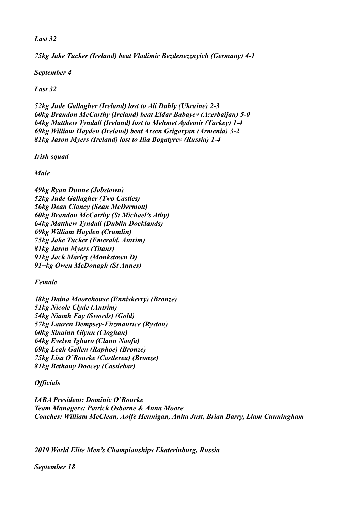*Last 32*

*75kg Jake Tucker (Ireland) beat Vladimir Bezdenezznyich (Germany) 4-1*

*September 4*

*Last 32*

*52kg Jude Gallagher (Ireland) lost to Ali Dahly (Ukraine) 2-3 60kg Brandon McCarthy (Ireland) beat Eldar Babayev (Azerbaijan) 5-0 64kg Matthew Tyndall (Ireland) lost to Mehmet Aydemir (Turkey) 1-4 69kg William Hayden (Ireland) beat Arsen Grigoryan (Armenia) 3-2 81kg Jason Myers (Ireland) lost to Ilia Bogatyrev (Russia) 1-4*

*Irish squad*

*Male*

*49kg Ryan Dunne (Jobstown) 52kg Jude Gallagher (Two Castles) 56kg Dean Clancy (Sean McDermott) 60kg Brandon McCarthy (St Michael's Athy) 64kg Matthew Tyndall (Dublin Docklands) 69kg William Hayden (Crumlin) 75kg Jake Tucker (Emerald, Antrim) 81kg Jason Myers (Titans) 91kg Jack Marley (Monkstown D) 91+kg Owen McDonagh (St Annes)*

*Female*

*48kg Daina Moorehouse (Enniskerry) (Bronze) 51kg Nicole Clyde (Antrim) 54kg Niamh Fay (Swords) (Gold) 57kg Lauren Dempsey-Fitzmaurice (Ryston) 60kg Sinainn Glynn (Cloghan) 64kg Evelyn Igharo (Clann Naofa) 69kg Leah Gallen (Raphoe) (Bronze) 75kg Lisa O'Rourke (Castlerea) (Bronze) 81kg Bethany Doocey (Castlebar)*

# *Officials*

*IABA President: Dominic O'Rourke Team Managers: Patrick Osborne & Anna Moore Coaches: William McClean, Aoife Hennigan, Anita Just, Brian Barry, Liam Cunningham*

*2019 World Elite Men's Championships Ekaterinburg, Russia*

*September 18*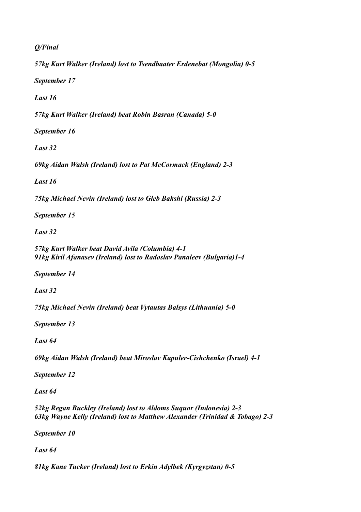*Q/Final*

*57kg Kurt Walker (Ireland) lost to Tsendbaater Erdenebat (Mongolia) 0-5*

*September 17*

*Last 16*

*57kg Kurt Walker (Ireland) beat Robin Basran (Canada) 5-0*

*September 16*

*Last 32*

*69kg Aidan Walsh (Ireland) lost to Pat McCormack (England) 2-3*

*Last 16*

*75kg Michael Nevin (Ireland) lost to Gleb Bakshi (Russia) 2-3*

*September 15*

*Last 32*

*57kg Kurt Walker beat David Avila (Columbia) 4-1 91kg Kiril Afanasev (Ireland) lost to Radoslav Panaleev (Bulgaria)1-4*

*September 14*

*Last 32*

*75kg Michael Nevin (Ireland) beat Vytautas Balsys (Lithuania) 5-0*

*September 13*

*Last 64*

*69kg Aidan Walsh (Ireland) beat Miroslav Kapuler-Cishchenko (Israel) 4-1*

*September 12*

*Last 64*

*52kg Regan Buckley (Ireland) lost to Aldoms Suquor (Indonesia) 2-3 63kg Wayne Kelly (Ireland) lost to Matthew Alexander (Trinidad & Tobago) 2-3*

*September 10*

*Last 64*

*81kg Kane Tucker (Ireland) lost to Erkin Adylbek (Kyrgyzstan) 0-5*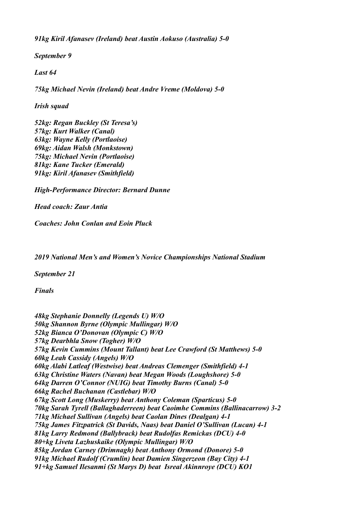*91kg Kiril Afanasev (Ireland) beat Austin Aokuso (Australia) 5-0*

*September 9*

*Last 64*

*75kg Michael Nevin (Ireland) beat Andre Vreme (Moldova) 5-0*

*Irish squad*

*52kg: Regan Buckley (St Teresa's) 57kg: Kurt Walker (Canal) 63kg: Wayne Kelly (Portlaoise) 69kg: Aidan Walsh (Monkstown) 75kg: Michael Nevin (Portlaoise) 81kg: Kane Tucker (Emerald) 91kg: Kiril Afanasev (Smithfield)*

*High-Performance Director: Bernard Dunne*

*Head coach: Zaur Antia*

*Coaches: John Conlan and Eoin Pluck*

*2019 National Men's and Women's Novice Championships National Stadium*

*September 21*

*Finals*

*48kg Stephanie Donnelly (Legends U) W/O 50kg Shannon Byrne (Olympic Mullingar) W/O 52kg Bianca O'Donovan (Olympic C) W/O 57kg Dearbhla Snow (Togher) W/O 57kg Kevin Cummins (Mount Tallant) beat Lee Crawford (St Matthews) 5-0 60kg Leah Cassidy (Angels) W/O 60kg Alabi Latleaf (Westwise) beat Andreas Clemenger (Smithfield) 4-1 63kg Christine Waters (Navan) beat Megan Woods (Loughshore) 5-0 64kg Darren O'Connor (NUIG) beat Timothy Burns (Canal) 5-0 66kg Rachel Buchanan (Castlebar) W/O 67kg Scott Long (Muskerry) beat Anthony Coleman (Sparticus) 5-0 70kg Sarah Tyrell (Ballaghaderreen) beat Caoimhe Commins (Ballinacarrow) 3-2 71kg Michael Sullivan (Angels) beat Caolan Dines (Dealgan) 4-1 75kg James Fitzpatrick (St Davids, Naas) beat Daniel O'Sullivan (Lucan) 4-1 81kg Larry Redmond (Ballybrack) beat Rudolfas Remickas (DCU) 4-0 80+kg Liveta Lazhuskaike (Olympic Mullingar) W/O 85kg Jordan Carney (Drimnagh) beat Anthony Ormond (Donore) 5-0 91kg Michael Rudolf (Crumlin) beat Damien Singerzeon (Bay City) 4-1 91+kg Samuel Ilesanmi (St Marys D) beat Isreal Akinnroye (DCU) KO1*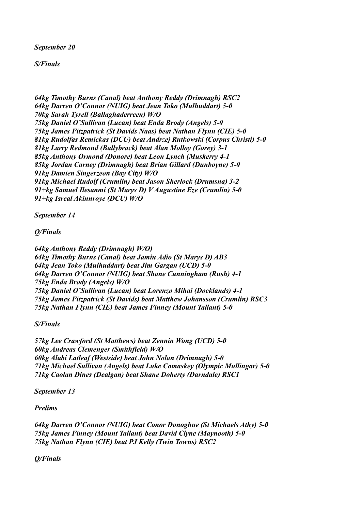*September 20*

*S/Finals*

*64kg Timothy Burns (Canal) beat Anthony Reddy (Drimnagh) RSC2 64kg Darren O'Connor (NUIG) beat Jean Toko (Mulhuddart) 5-0 70kg Sarah Tyrell (Ballaghaderreen) W/O 75kg Daniel O'Sullivan (Lucan) beat Enda Brody (Angels) 5-0 75kg James Fitzpatrick (St Davids Naas) beat Nathan Flynn (CIE) 5-0 81kg Rudolfas Remickas (DCU) beat Andrzej Rutkowski (Corpus Christi) 5-0 81kg Larry Redmond (Ballybrack) beat Alan Molloy (Gorey) 3-1 85kg Anthony Ormond (Donore) beat Leon Lynch (Muskerry 4-1 85kg Jordan Carney (Drimnagh) beat Brian Gillard (Dunboyne) 5-0 91kg Damien Singerzeon (Bay City) W/O 91kg Michael Rudolf (Crumlin) beat Jason Sherlock (Drumsna) 3-2 91+kg Samuel Ilesanmi (St Marys D) V Augustine Eze (Crumlin) 5-0 91+kg Isreal Akinnroye (DCU) W/O*

*September 14*

*Q/Finals*

*64kg Anthony Reddy (Drimnagh) W/O) 64kg Timothy Burns (Canal) beat Jamiu Adio (St Marys D) AB3 64kg Jean Toko (Mulhuddart) beat Jim Gargan (UCD) 5-0 64kg Darren O'Connor (NUIG) beat Shane Cunningham (Rush) 4-1 75kg Enda Brody (Angels) W/O 75kg Daniel O'Sullivan (Lucan) beat Lorenzo Mihai (Docklands) 4-1 75kg James Fitzpatrick (St Davids) beat Matthew Johansson (Crumlin) RSC3 75kg Nathan Flynn (CIE) beat James Finney (Mount Tallant) 5-0*

*S/Finals*

*57kg Lee Crawford (St Matthews) beat Zennin Wong (UCD) 5-0 60kg Andreas Clemenger (Smithfield) W/O 60kg Alabi Latleaf (Westside) beat John Nolan (Drimnagh) 5-0 71kg Michael Sullivan (Angels) beat Luke Comaskey (Olympic Mullingar) 5-0 71kg Caolan Dines (Dealgan) beat Shane Doherty (Darndale) RSC1*

*September 13*

*Prelims*

*64kg Darren O'Connor (NUIG) beat Conor Donoghue (St Michaels Athy) 5-0 75kg James Finney (Mount Tallant) beat David Clyne (Maynooth) 5-0 75kg Nathan Flynn (CIE) beat PJ Kelly (Twin Towns) RSC2*

*Q/Finals*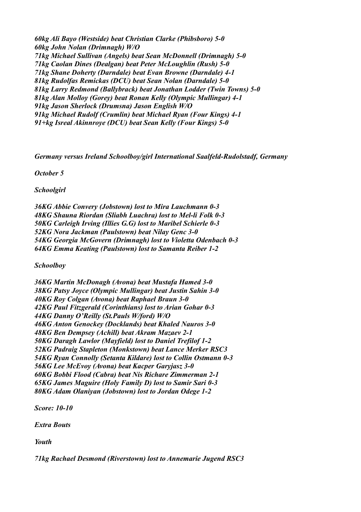*60kg Ali Bayo (Westside) beat Christian Clarke (Phibsboro) 5-0 60kg John Nolan (Drimnagh) W/O 71kg Michael Sullivan (Angels) beat Sean McDonnell (Drimnagh) 5-0 71kg Caolan Dines (Dealgan) beat Peter McLoughlin (Rush) 5-0 71kg Shane Doherty (Darndale) beat Evan Browne (Darndale) 4-1 81kg Rudolfas Remickas (DCU) beat Sean Nolan (Darndale) 5-0 81kg Larry Redmond (Ballybrack) beat Jonathan Lodder (Twin Towns) 5-0 81kg Alan Molloy (Gorey) beat Ronan Kelly (Olympic Mullingar) 4-1 91kg Jason Sherlock (Drumsna) Jason English W/O 91kg Michael Rudolf (Crumlin) beat Michael Ryan (Four Kings) 4-1 91+kg Isreal Akinnroye (DCU) beat Sean Kelly (Four Kings) 5-0*

*Germany versus Ireland Schoolboy/girl International Saalfeld-Rudolstadf, Germany*

*October 5*

*Schoolgirl*

*36KG Abbie Convery (Jobstown) lost to Mira Lauchmann 0-3 48KG Shauna Riordan (Sliabh Luachra) lost to Mel-li Folk 0-3 50KG Carleigh Irving (Illies G.G) lost to Maribel Schierle 0-3 52KG Nora Jackman (Paulstown) beat Nilay Genc 3-0 54KG Georgia McGovern (Drimnagh) lost to Violetta Odenbach 0-3 64KG Emma Keating (Paulstown) lost to Samanta Reiber 1-2*

*Schoolboy*

*36KG Martin McDonagh (Avona) beat Mustafa Hamed 3-0 38KG Patsy Joyce (Olympic Mullingar) beat Justin Sahin 3-0 40KG Roy Colgan (Avona) beat Raphael Braun 3-0 42KG Paul Fitzgerald (Corinthians) lost to Arian Gohar 0-3 44KG Danny O'Reilly (St.Pauls W/ford) W/O 46KG Anton Genockey (Docklands) beat Khaled Nauros 3-0 48KG Ben Dempsey (Achill) beat Akram Mazaev 2-1 50KG Daragh Lawlor (Mayfield) lost to Daniel Trefilof 1-2 52KG Padraig Stapleton (Monkstown) beat Lance Merker RSC3 54KG Ryan Connolly (Setanta Kildare) lost to Collin Ostmann 0-3 56KG Lee McEvoy (Avona) beat Kacper Garyjasz 3-0 60KG Bobbi Flood (Cabra) beat Nis Richare Zimmerman 2-1 65KG James Maguire (Holy Family D) lost to Samir Sari 0-3 80KG Adam Olaniyan (Jobstown) lost to Jordan Odege 1-2*

*Score: 10-10*

*Extra Bouts*

*Youth*

*71kg Rachael Desmond (Riverstown) lost to Annemarie Jugend RSC3*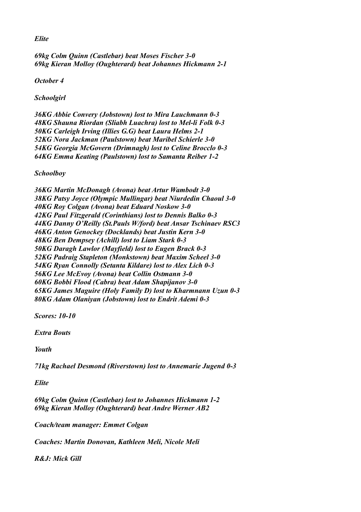*Elite*

*69kg Colm Quinn (Castlebar) beat Moses Fischer 3-0 69kg Kieran Molloy (Oughterard) beat Johannes Hickmann 2-1*

*October 4*

*Schoolgirl*

*36KG Abbie Convery (Jobstown) lost to Mira Lauchmann 0-3 48KG Shauna Riordan (Sliabh Luachra) lost to Mel-li Folk 0-3 50KG Carleigh Irving (Illies G.G) beat Laura Helms 2-1 52KG Nora Jackman (Paulstown) beat Maribel Schierle 3-0 54KG Georgia McGovern (Drimnagh) lost to Celine Brocclo 0-3 64KG Emma Keating (Paulstown) lost to Samanta Reiber 1-2*

*Schoolboy*

*36KG Martin McDonagh (Avona) beat Artur Wambodt 3-0 38KG Patsy Joyce (Olympic Mullingar) beat Niurdedin Chaoul 3-0 40KG Roy Colgan (Avona) beat Eduard Noskow 3-0 42KG Paul Fitzgerald (Corinthians) lost to Dennis Balko 0-3 44KG Danny O'Reilly (St.Pauls W/ford) beat Ansar Tschinaev RSC3 46KG Anton Genockey (Docklands) beat Justin Kern 3-0 48KG Ben Dempsey (Achill) lost to Liam Stark 0-3 50KG Daragh Lawlor (Mayfield) lost to Eugen Brack 0-3 52KG Padraig Stapleton (Monkstown) beat Maxim Scheel 3-0 54KG Ryan Connolly (Setanta Kildare) lost to Alex Lich 0-3 56KG Lee McEvoy (Avona) beat Collin Ostmann 3-0 60KG Bobbi Flood (Cabra) beat Adam Shapijanov 3-0 65KG James Maguire (Holy Family D) lost to Kharmnann Uzun 0-3 80KG Adam Olaniyan (Jobstown) lost to Endrit Ademi 0-3*

*Scores: 10-10*

*Extra Bouts*

*Youth*

*71kg Rachael Desmond (Riverstown) lost to Annemarie Jugend 0-3*

*Elite*

*69kg Colm Quinn (Castlebar) lost to Johannes Hickmann 1-2 69kg Kieran Molloy (Oughterard) beat Andre Werner AB2*

*Coach/team manager: Emmet Colgan*

*Coaches: Martin Donovan, Kathleen Meli, Nicole Meli*

*R&J: Mick Gill*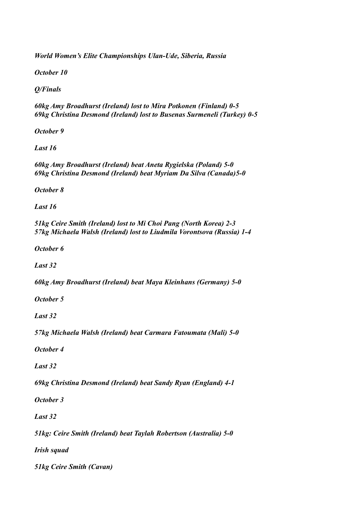*World Women's Elite Championships Ulan-Ude, Siberia, Russia*

*October 10*

*Q/Finals*

*60kg Amy Broadhurst (Ireland) lost to Mira Potkonen (Finland) 0-5 69kg Christina Desmond (Ireland) lost to Busenas Surmeneli (Turkey) 0-5*

*October 9*

*Last 16*

*60kg Amy Broadhurst (Ireland) beat Aneta Rygielska (Poland) 5-0 69kg Christina Desmond (Ireland) beat Myriam Da Silva (Canada)5-0*

*October 8*

*Last 16*

*51kg Ceire Smith (Ireland) lost to Mi Choi Pang (North Korea) 2-3 57kg Michaela Walsh (Ireland) lost to Liudmila Vorontsova (Russia) 1-4*

*October 6*

*Last 32*

*60kg Amy Broadhurst (Ireland) beat Maya Kleinhans (Germany) 5-0*

*October 5*

*Last 32*

*57kg Michaela Walsh (Ireland) beat Carmara Fatoumata (Mali) 5-0*

*October 4*

*Last 32*

*69kg Christina Desmond (Ireland) beat Sandy Ryan (England) 4-1*

*October 3*

*Last 32*

*51kg: Ceire Smith (Ireland) beat Taylah Robertson (Australia) 5-0*

*Irish squad*

*51kg Ceire Smith (Cavan)*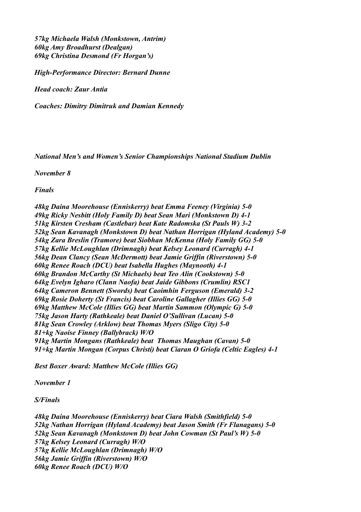*57kg Michaela Walsh (Monkstown, Antrim) 60kg Amy Broadhurst (Dealgan) 69kg Christina Desmond (Fr Horgan's)*

*High-Performance Director: Bernard Dunne*

*Head coach: Zaur Antia*

*Coaches: Dimitry Dimitruk and Damian Kennedy*

*National Men's and Women's Senior Championships National Stadium Dublin*

*November 8*

*Finals* 

*48kg Daina Moorehouse (Enniskerry) beat Emma Feeney (Virginia) 5-0 49kg Ricky Nesbitt (Holy Family D) beat Sean Mari (Monkstown D) 4-1 51kg Kirsten Cresham (Castlebar) beat Kate Radomska (St Pauls W) 3-2 52kg Sean Kavanagh (Monkstown D) beat Nathan Horrigan (Hyland Academy) 5-0 54kg Zara Breslin (Tramore) beat Siobhan McKenna (Holy Family GG) 5-0 57kg Kellie McLoughlan (Drimnagh) beat Kelsey Leonard (Curragh) 4-1 56kg Dean Clancy (Sean McDermott) beat Jamie Griffin (Riverstown) 5-0 60kg Renee Roach (DCU) beat Isabella Hughes (Maynooth) 4-1 60kg Brandon McCarthy (St Michaels) beat Teo Alin (Cookstown) 5-0 64kg Evelyn Igharo (Clann Naofa) beat Jaide Gibbons (Crumlin) RSC1 64kg Cameron Bennett (Swords) beat Caoimhin Ferguson (Emerald) 3-2 69kg Rosie Doherty (St Francis) beat Caroline Gallagher (Illies GG) 5-0 69kg Matthew McCole (Illies GG) beat Martin Sammon (Olympic G) 5-0 75kg Jason Harty (Rathkeale) beat Daniel O'Sullivan (Lucan) 5-0 81kg Sean Crowley (Arklow) beat Thomas Myers (Sligo City) 5-0 81+kg Naoise Finney (Ballybrack) W/O 91kg Martin Mongans (Rathkeale) beat Thomas Maughan (Cavan) 5-0 91+kg Martin Mongan (Corpus Christi) beat Ciaran O Griofa (Celtic Eagles) 4-1*

*Best Boxer Award: Matthew McCole (Illies GG)*

*November 1*

*S/Finals*

*48kg Daina Moorehouse (Enniskerry) beat Ciara Walsh (Smithfield) 5-0 52kg Nathan Horrigan (Hyland Academy) beat Jason Smith (Fr Flanagans) 5-0 52kg Sean Kavanagh (Monkstown D) beat John Cowman (St Paul's W) 5-0 57kg Kelsey Leonard (Curragh) W/O 57kg Kellie McLoughlan (Drimnagh) W/O 56kg Jamie Griffin (Riverstown) W/O 60kg Renee Roach (DCU) W/O*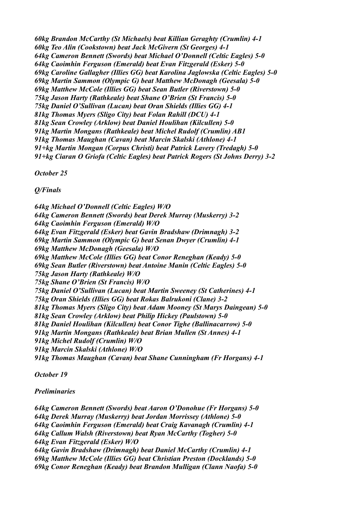*60kg Brandon McCarthy (St Michaels) beat Killian Geraghty (Crumlin) 4-1 60kg Teo Alin (Cookstown) beat Jack McGivern (St Georges) 4-1 64kg Cameron Bennett (Swords) beat Michael O'Donnell (Celtic Eagles) 5-0 64kg Caoimhin Ferguson (Emerald) beat Evan Fitzgerald (Esker) 5-0 69kg Caroline Gallagher (Illies GG) beat Karolina Jaglowska (Celtic Eagles) 5-0 69kg Martin Sammon (Olympic G) beat Matthew McDonagh (Geesala) 5-0 69kg Matthew McCole (Illies GG) beat Sean Butler (Riverstown) 5-0 75kg Jason Harty (Rathkeale) beat Shane O'Brien (St Francis) 5-0 75kg Daniel O'Sullivan (Lucan) beat Oran Shields (Illies GG) 4-1 81kg Thomas Myers (Sligo City) beat Folan Rahill (DCU) 4-1 81kg Sean Crowley (Arklow) beat Daniel Houlihan (Kilcullen) 5-0 91kg Martin Mongans (Rathkeale) beat Michel Rudolf (Crumlin) AB1 91kg Thomas Maughan (Cavan) beat Marcin Skalski (Athlone) 4-1 91+kg Martin Mongan (Corpus Christi) beat Patrick Lavery (Tredagh) 5-0 91+kg Ciaran O Griofa (Celtic Eagles) beat Patrick Rogers (St Johns Derry) 3-2*

*October 25*

*Q/Finals*

*64kg Michael O'Donnell (Celtic Eagles) W/O 64kg Cameron Bennett (Swords) beat Derek Murray (Muskerry) 3-2 64kg Caoimhin Ferguson (Emerald) W/O 64kg Evan Fitzgerald (Esker) beat Gavin Bradshaw (Drimnagh) 3-2 69kg Martin Sammon (Olympic G) beat Senan Dwyer (Crumlin) 4-1 69kg Matthew McDonagh (Geesala) W/O 69kg Matthew McCole (Illies GG) beat Conor Reneghan (Keady) 5-0 69kg Sean Butler (Riverstown) beat Antoine Manin (Celtic Eagles) 5-0 75kg Jason Harty (Rathkeale) W/O 75kg Shane O'Brien (St Francis) W/O 75kg Daniel O'Sullivan (Lucan) beat Martin Sweeney (St Catherines) 4-1 75kg Oran Shields (Illies GG) beat Rokas Balrukoni (Clane) 3-2 81kg Thomas Myers (Sligo City) beat Adam Mooney (St Marys Daingean) 5-0 81kg Sean Crowley (Arklow) beat Philip Hickey (Paulstown) 5-0 81kg Daniel Houlihan (Kilcullen) beat Conor Tighe (Ballinacarrow) 5-0 91kg Martin Mongans (Rathkeale) beat Brian Mullen (St Annes) 4-1 91kg Michel Rudolf (Crumlin) W/O 91kg Marcin Skalski (Athlone) W/O 91kg Thomas Maughan (Cavan) beat Shane Cunningham (Fr Horgans) 4-1*

*October 19*

#### *Preliminaries*

*64kg Cameron Bennett (Swords) beat Aaron O'Donohue (Fr Horgans) 5-0 64kg Derek Murray (Muskerry) beat Jordan Morrissey (Athlone) 5-0 64kg Caoimhin Ferguson (Emerald) beat Craig Kavanagh (Crumlin) 4-1 64kg Callum Walsh (Riverstown) beat Ryan McCarthy (Togher) 5-0 64kg Evan Fitzgerald (Esker) W/O 64kg Gavin Bradshaw (Drimnagh) beat Daniel McCarthy (Crumlin) 4-1 69kg Matthew McCole (Illies GG) beat Christian Preston (Docklands) 5-0 69kg Conor Reneghan (Keady) beat Brandon Mulligan (Clann Naofa) 5-0*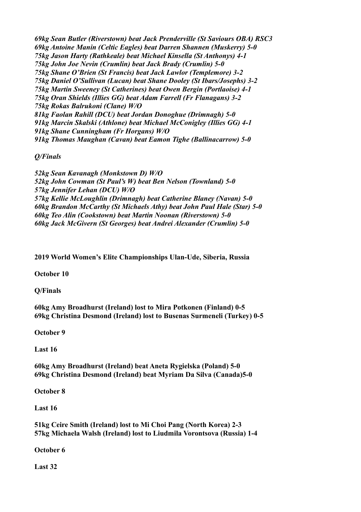*69kg Sean Butler (Riverstown) beat Jack Prenderville (St Saviours OBA) RSC3 69kg Antoine Manin (Celtic Eagles) beat Darren Shannen (Muskerry) 5-0 75kg Jason Harty (Rathkeale) beat Michael Kinsella (St Anthonys) 4-1 75kg John Joe Nevin (Crumlin) beat Jack Brady (Crumlin) 5-0 75kg Shane O'Brien (St Francis) beat Jack Lawlor (Templemore) 3-2 75kg Daniel O'Sullivan (Lucan) beat Shane Dooley (St Ibars/Josephs) 3-2 75kg Martin Sweeney (St Catherines) beat Owen Bergin (Portlaoise) 4-1 75kg Oran Shields (Illies GG) beat Adam Farrell (Fr Flanagans) 3-2 75kg Rokas Balrukoni (Clane) W/O 81kg Faolan Rahill (DCU) beat Jordan Donoghue (Drimnagh) 5-0 91kg Marcin Skalski (Athlone) beat Michael McConigley (Illies GG) 4-1 91kg Shane Cunningham (Fr Horgans) W/O 91kg Thomas Maughan (Cavan) beat Eamon Tighe (Ballinacarrow) 5-0*

*Q/Finals*

*52kg Sean Kavanagh (Monkstown D) W/O 52kg John Cowman (St Paul's W) beat Ben Nelson (Townland) 5-0 57kg Jennifer Lehan (DCU) W/O 57kg Kellie McLoughlin (Drimnagh) beat Catherine Blaney (Navan) 5-0 60kg Brandon McCarthy (St Michaels Athy) beat John Paul Hale (Star) 5-0 60kg Teo Alin (Cookstown) beat Martin Noonan (Riverstown) 5-0 60kg Jack McGivern (St Georges) beat Andrei Alexander (Crumlin) 5-0*

**2019 World Women's Elite Championships Ulan-Ude, Siberia, Russia**

**October 10**

**Q/Finals**

**60kg Amy Broadhurst (Ireland) lost to Mira Potkonen (Finland) 0-5 69kg Christina Desmond (Ireland) lost to Busenas Surmeneli (Turkey) 0-5**

**October 9**

**Last 16**

**60kg Amy Broadhurst (Ireland) beat Aneta Rygielska (Poland) 5-0 69kg Christina Desmond (Ireland) beat Myriam Da Silva (Canada)5-0**

**October 8**

**Last 16**

**51kg Ceire Smith (Ireland) lost to Mi Choi Pang (North Korea) 2-3 57kg Michaela Walsh (Ireland) lost to Liudmila Vorontsova (Russia) 1-4**

**October 6**

**Last 32**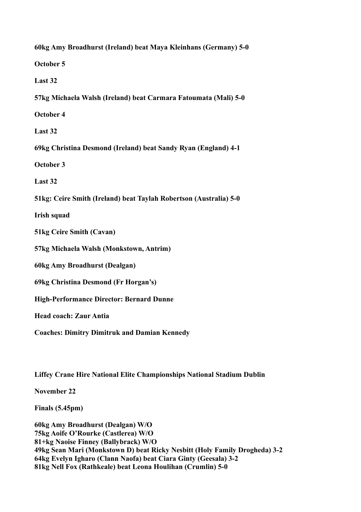**60kg Amy Broadhurst (Ireland) beat Maya Kleinhans (Germany) 5-0 October 5 Last 32 57kg Michaela Walsh (Ireland) beat Carmara Fatoumata (Mali) 5-0 October 4 Last 32 69kg Christina Desmond (Ireland) beat Sandy Ryan (England) 4-1 October 3 Last 32 51kg: Ceire Smith (Ireland) beat Taylah Robertson (Australia) 5-0 Irish squad 51kg Ceire Smith (Cavan) 57kg Michaela Walsh (Monkstown, Antrim) 60kg Amy Broadhurst (Dealgan) 69kg Christina Desmond (Fr Horgan's) High-Performance Director: Bernard Dunne Head coach: Zaur Antia Coaches: Dimitry Dimitruk and Damian Kennedy**

**Liffey Crane Hire National Elite Championships National Stadium Dublin**

**November 22**

**Finals (5.45pm)**

**60kg Amy Broadhurst (Dealgan) W/O 75kg Aoife O'Rourke (Castlerea) W/O 81+kg Naoise Finney (Ballybrack) W/O 49kg Sean Mari (Monkstown D) beat Ricky Nesbitt (Holy Family Drogheda) 3-2 64kg Evelyn Igharo (Clann Naofa) beat Ciara Ginty (Geesala) 3-2 81kg Nell Fox (Rathkeale) beat Leona Houlihan (Crumlin) 5-0**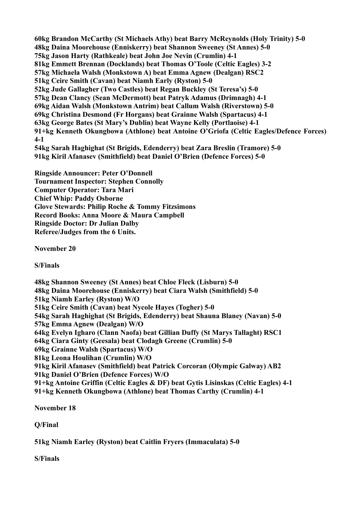**60kg Brandon McCarthy (St Michaels Athy) beat Barry McReynolds (Holy Trinity) 5-0 48kg Daina Moorehouse (Enniskerry) beat Shannon Sweeney (St Annes) 5-0 75kg Jason Harty (Rathkeale) beat John Joe Nevin (Crumlin) 4-1 81kg Emmett Brennan (Docklands) beat Thomas O'Toole (Celtic Eagles) 3-2 57kg Michaela Walsh (Monkstown A) beat Emma Agnew (Dealgan) RSC2 51kg Ceire Smith (Cavan) beat Niamh Early (Ryston) 5-0 52kg Jude Gallagher (Two Castles) beat Regan Buckley (St Teresa's) 5-0 57kg Dean Clancy (Sean McDermott) beat Patryk Adamus (Drimnagh) 4-1 69kg Aidan Walsh (Monkstown Antrim) beat Callum Walsh (Riverstown) 5-0 69kg Christina Desmond (Fr Horgans) beat Grainne Walsh (Spartacus) 4-1 63kg George Bates (St Mary's Dublin) beat Wayne Kelly (Portlaoise) 4-1 91+kg Kenneth Okungbowa (Athlone) beat Antoine O'Griofa (Celtic Eagles/Defence Forces) 4-1 54kg Sarah Haghighat (St Brigids, Edenderry) beat Zara Breslin (Tramore) 5-0 91kg Kiril Afanasev (Smithfield) beat Daniel O'Brien (Defence Forces) 5-0**

**Ringside Announcer: Peter O'Donnell Tournament Inspector: Stephen Connolly Computer Operator: Tara Mari Chief Whip: Paddy Osborne Glove Stewards: Philip Roche & Tommy Fitzsimons Record Books: Anna Moore & Maura Campbell Ringside Doctor: Dr Julian Dalby Referee/Judges from the 6 Units.**

**November 20**

**S/Finals**

**48kg Shannon Sweeney (St Annes) beat Chloe Fleck (Lisburn) 5-0 48kg Daina Moorehouse (Enniskerry) beat Ciara Walsh (Smithfield) 5-0 51kg Niamh Earley (Ryston) W/O 51kg Ceire Smith (Cavan) beat Nycole Hayes (Togher) 5-0 54kg Sarah Haghighat (St Brigids, Edenderry) beat Shauna Blaney (Navan) 5-0 57kg Emma Agnew (Dealgan) W/O 64kg Evelyn Igharo (Clann Naofa) beat Gillian Duffy (St Marys Tallaght) RSC1 64kg Ciara Ginty (Geesala) beat Clodagh Greene (Crumlin) 5-0 69kg Grainne Walsh (Spartacus) W/O 81kg Leona Houlihan (Crumlin) W/O 91kg Kiril Afanasev (Smithfield) beat Patrick Corcoran (Olympic Galway) AB2 91kg Daniel O'Brien (Defence Forces) W/O 91+kg Antoine Griffin (Celtic Eagles & DF) beat Gytis Lisinskas (Celtic Eagles) 4-1 91+kg Kenneth Okungbowa (Athlone) beat Thomas Carthy (Crumlin) 4-1**

**November 18**

**Q/Final** 

**51kg Niamh Earley (Ryston) beat Caitlin Fryers (Immaculata) 5-0**

**S/Finals**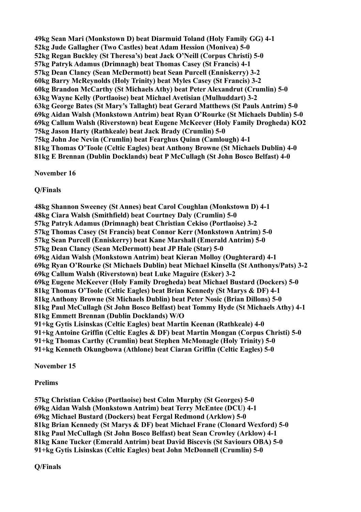**49kg Sean Mari (Monkstown D) beat Diarmuid Toland (Holy Family GG) 4-1 52kg Jude Gallagher (Two Castles) beat Adam Hession (Monivea) 5-0 52kg Regan Buckley (St Theresa's) beat Jack O'Neill (Corpus Christi) 5-0 57kg Patryk Adamus (Drimnagh) beat Thomas Casey (St Francis) 4-1 57kg Dean Clancy (Sean McDermott) beat Sean Purcell (Enniskerry) 3-2 60kg Barry McReynolds (Holy Trinity) beat Myles Casey (St Francis) 3-2 60kg Brandon McCarthy (St Michaels Athy) beat Peter Alexandrut (Crumlin) 5-0 63kg Wayne Kelly (Portlaoise) beat Michael Avetisian (Mulhuddart) 3-2 63kg George Bates (St Mary's Tallaght) beat Gerard Matthews (St Pauls Antrim) 5-0 69kg Aidan Walsh (Monkstown Antrim) beat Ryan O'Rourke (St Michaels Dublin) 5-0 69kg Callum Walsh (Riverstown) beat Eugene McKeever (Holy Family Drogheda) KO2 75kg Jason Harty (Rathkeale) beat Jack Brady (Crumlin) 5-0 75kg John Joe Nevin (Crumlin) beat Fearghus Quinn (Camlough) 4-1 81kg Thomas O'Toole (Celtic Eagles) beat Anthony Browne (St Michaels Dublin) 4-0 81kg E Brennan (Dublin Docklands) beat P McCullagh (St John Bosco Belfast) 4-0**

**November 16**

**Q/Finals**

**48kg Shannon Sweeney (St Annes) beat Carol Coughlan (Monkstown D) 4-1 48kg Ciara Walsh (Smithfield) beat Courtney Daly (Crumlin) 5-0 57kg Patryk Adamus (Drimnagh) beat Christian Cekiso (Portlaoise) 3-2 57kg Thomas Casey (St Francis) beat Connor Kerr (Monkstown Antrim) 5-0 57kg Sean Purcell (Enniskerry) beat Kane Marshall (Emerald Antrim) 5-0 57kg Dean Clancy (Sean McDermott) beat JP Hale (Star) 5-0 69kg Aidan Walsh (Monkstown Antrim) beat Kieran Molloy (Oughterard) 4-1 69kg Ryan O'Rourke (St Michaels Dublin) beat Michael Kinsella (St Anthonys/Pats) 3-2 69kg Callum Walsh (Riverstown) beat Luke Maguire (Esker) 3-2 69kg Eugene McKeever (Holy Family Drogheda) beat Michael Bustard (Dockers) 5-0 81kg Thomas O'Toole (Celtic Eagles) beat Brian Kennedy (St Marys & DF) 4-1 81kg Anthony Browne (St Michaels Dublin) beat Peter Nosic (Brian Dillons) 5-0 81kg Paul McCullagh (St John Bosco Belfast) beat Tommy Hyde (St Michaels Athy) 4-1 81kg Emmett Brennan (Dublin Docklands) W/O 91+kg Gytis Lisinskas (Celtic Eagles) beat Martin Keenan (Rathkeale) 4-0 91+kg Antoine Griffin (Celtic Eagles & DF) beat Martin Mongan (Corpus Christi) 5-0 91+kg Thomas Carthy (Crumlin) beat Stephen McMonagle (Holy Trinity) 5-0 91+kg Kenneth Okungbowa (Athlone) beat Ciaran Griffin (Celtic Eagles) 5-0**

**November 15**

**Prelims**

**57kg Christian Cekiso (Portlaoise) best Colm Murphy (St Georges) 5-0 69kg Aidan Walsh (Monkstown Antrim) beat Terry McEntee (DCU) 4-1 69kg Michael Bustard (Dockers) beat Fergal Redmond (Arklow) 5-0 81kg Brian Kennedy (St Marys & DF) beat Michael Frane (Clonard Wexford) 5-0 81kg Paul McCullagh (St John Bosco Belfast) beat Sean Crowley (Arklow) 4-1 81kg Kane Tucker (Emerald Antrim) beat David Biscevis (St Saviours OBA) 5-0 91+kg Gytis Lisinskas (Celtic Eagles) beat John McDonnell (Crumlin) 5-0**

**Q/Finals**